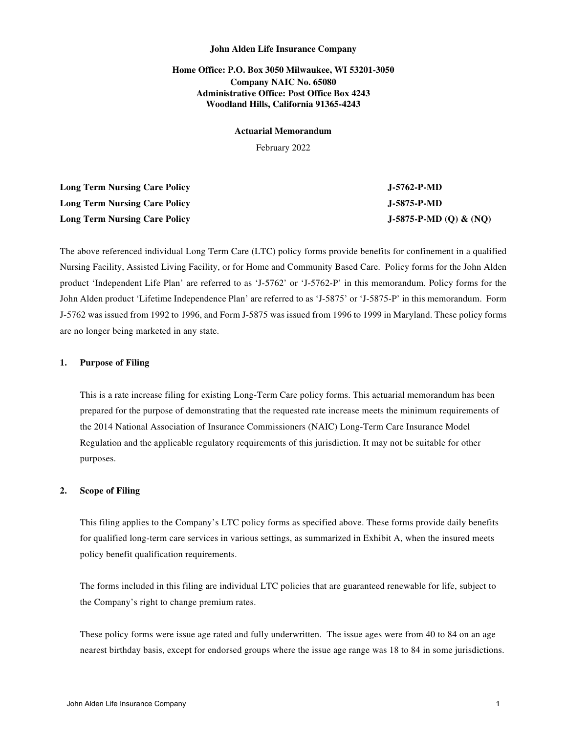# **Home Office: P.O. Box 3050 Milwaukee, WI 53201-3050 Company NAIC No. 65080 Administrative Office: Post Office Box 4243 Woodland Hills, California 91365-4243**

#### **Actuarial Memorandum**

February 2022

| <b>Long Term Nursing Care Policy</b> | $J-5762-P-MD$          |
|--------------------------------------|------------------------|
| Long Term Nursing Care Policy        | J-5875-P-MD            |
| <b>Long Term Nursing Care Policy</b> | J-5875-P-MD (Q) & (NQ) |

The above referenced individual Long Term Care (LTC) policy forms provide benefits for confinement in a qualified Nursing Facility, Assisted Living Facility, or for Home and Community Based Care. Policy forms for the John Alden product 'Independent Life Plan' are referred to as 'J-5762' or 'J-5762-P' in this memorandum. Policy forms for the John Alden product 'Lifetime Independence Plan' are referred to as 'J-5875' or 'J-5875-P' in this memorandum. Form J-5762 was issued from 1992 to 1996, and Form J-5875 was issued from 1996 to 1999 in Maryland. These policy forms are no longer being marketed in any state.

## **1. Purpose of Filing**

This is a rate increase filing for existing Long-Term Care policy forms. This actuarial memorandum has been prepared for the purpose of demonstrating that the requested rate increase meets the minimum requirements of the 2014 National Association of Insurance Commissioners (NAIC) Long-Term Care Insurance Model Regulation and the applicable regulatory requirements of this jurisdiction. It may not be suitable for other purposes.

#### **2. Scope of Filing**

This filing applies to the Company's LTC policy forms as specified above. These forms provide daily benefits for qualified long-term care services in various settings, as summarized in Exhibit A, when the insured meets policy benefit qualification requirements.

The forms included in this filing are individual LTC policies that are guaranteed renewable for life, subject to the Company's right to change premium rates.

These policy forms were issue age rated and fully underwritten. The issue ages were from 40 to 84 on an age nearest birthday basis, except for endorsed groups where the issue age range was 18 to 84 in some jurisdictions.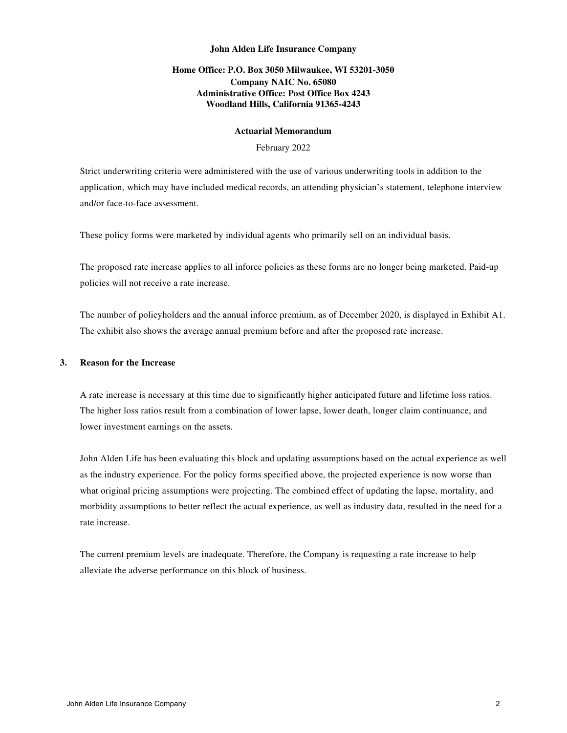# **Home Office: P.O. Box 3050 Milwaukee, WI 53201-3050 Company NAIC No. 65080 Administrative Office: Post Office Box 4243 Woodland Hills, California 91365-4243**

## **Actuarial Memorandum**

## February 2022

Strict underwriting criteria were administered with the use of various underwriting tools in addition to the application, which may have included medical records, an attending physician's statement, telephone interview and/or face-to-face assessment.

These policy forms were marketed by individual agents who primarily sell on an individual basis.

The proposed rate increase applies to all inforce policies as these forms are no longer being marketed. Paid-up policies will not receive a rate increase.

The number of policyholders and the annual inforce premium, as of December 2020, is displayed in Exhibit A1. The exhibit also shows the average annual premium before and after the proposed rate increase.

## **3. Reason for the Increase**

A rate increase is necessary at this time due to significantly higher anticipated future and lifetime loss ratios. The higher loss ratios result from a combination of lower lapse, lower death, longer claim continuance, and lower investment earnings on the assets.

John Alden Life has been evaluating this block and updating assumptions based on the actual experience as well as the industry experience. For the policy forms specified above, the projected experience is now worse than what original pricing assumptions were projecting. The combined effect of updating the lapse, mortality, and morbidity assumptions to better reflect the actual experience, as well as industry data, resulted in the need for a rate increase.

The current premium levels are inadequate. Therefore, the Company is requesting a rate increase to help alleviate the adverse performance on this block of business.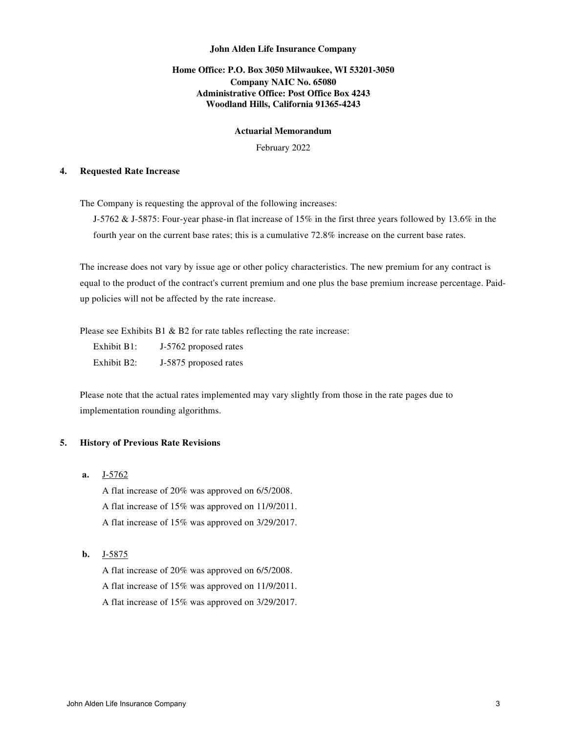# **Home Office: P.O. Box 3050 Milwaukee, WI 53201-3050 Company NAIC No. 65080 Administrative Office: Post Office Box 4243 Woodland Hills, California 91365-4243**

## **Actuarial Memorandum**

February 2022

#### **4. Requested Rate Increase**

The Company is requesting the approval of the following increases:

J-5762 & J-5875: Four-year phase-in flat increase of 15% in the first three years followed by 13.6% in the fourth year on the current base rates; this is a cumulative 72.8% increase on the current base rates.

The increase does not vary by issue age or other policy characteristics. The new premium for any contract is equal to the product of the contract's current premium and one plus the base premium increase percentage. Paidup policies will not be affected by the rate increase.

Please see Exhibits B1  $\&$  B2 for rate tables reflecting the rate increase:

 Exhibit B1: J-5762 proposed rates Exhibit B2: J-5875 proposed rates

Please note that the actual rates implemented may vary slightly from those in the rate pages due to implementation rounding algorithms.

## **5. History of Previous Rate Revisions**

**a.** J-5762

A flat increase of 20% was approved on 6/5/2008.

A flat increase of 15% was approved on 11/9/2011.

A flat increase of 15% was approved on 3/29/2017.

# **b.** J-5875

A flat increase of 20% was approved on 6/5/2008. A flat increase of 15% was approved on 11/9/2011.

A flat increase of 15% was approved on 3/29/2017.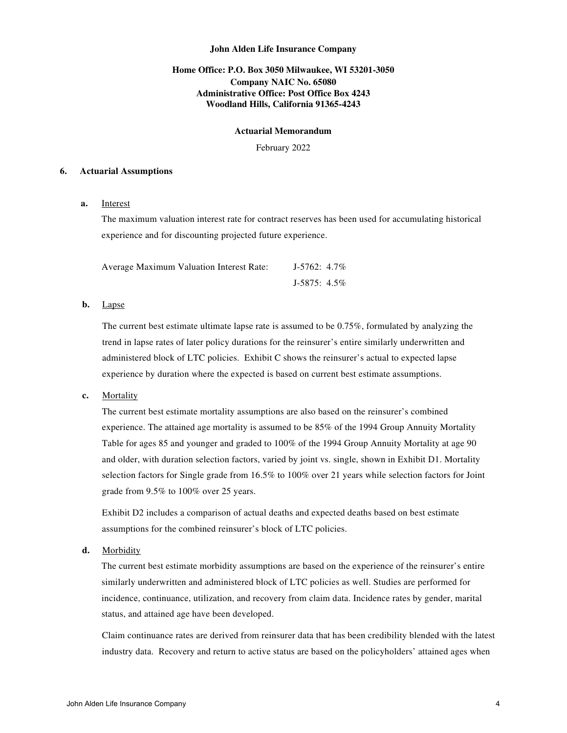# **Home Office: P.O. Box 3050 Milwaukee, WI 53201-3050 Company NAIC No. 65080 Administrative Office: Post Office Box 4243 Woodland Hills, California 91365-4243**

#### **Actuarial Memorandum**

February 2022

#### **6. Actuarial Assumptions**

# **a.** Interest

The maximum valuation interest rate for contract reserves has been used for accumulating historical experience and for discounting projected future experience.

| Average Maximum Valuation Interest Rate: | $J-5762: 4.7\%$ |  |
|------------------------------------------|-----------------|--|
|                                          | $J-5875: 4.5\%$ |  |

## **b.** Lapse

The current best estimate ultimate lapse rate is assumed to be 0.75%, formulated by analyzing the trend in lapse rates of later policy durations for the reinsurer's entire similarly underwritten and administered block of LTC policies. Exhibit C shows the reinsurer's actual to expected lapse experience by duration where the expected is based on current best estimate assumptions.

# **c.** Mortality

The current best estimate mortality assumptions are also based on the reinsurer's combined experience. The attained age mortality is assumed to be 85% of the 1994 Group Annuity Mortality Table for ages 85 and younger and graded to 100% of the 1994 Group Annuity Mortality at age 90 and older, with duration selection factors, varied by joint vs. single, shown in Exhibit D1. Mortality selection factors for Single grade from 16.5% to 100% over 21 years while selection factors for Joint grade from 9.5% to 100% over 25 years.

Exhibit D2 includes a comparison of actual deaths and expected deaths based on best estimate assumptions for the combined reinsurer's block of LTC policies.

**d.** Morbidity

The current best estimate morbidity assumptions are based on the experience of the reinsurer's entire similarly underwritten and administered block of LTC policies as well. Studies are performed for incidence, continuance, utilization, and recovery from claim data. Incidence rates by gender, marital status, and attained age have been developed.

Claim continuance rates are derived from reinsurer data that has been credibility blended with the latest industry data. Recovery and return to active status are based on the policyholders' attained ages when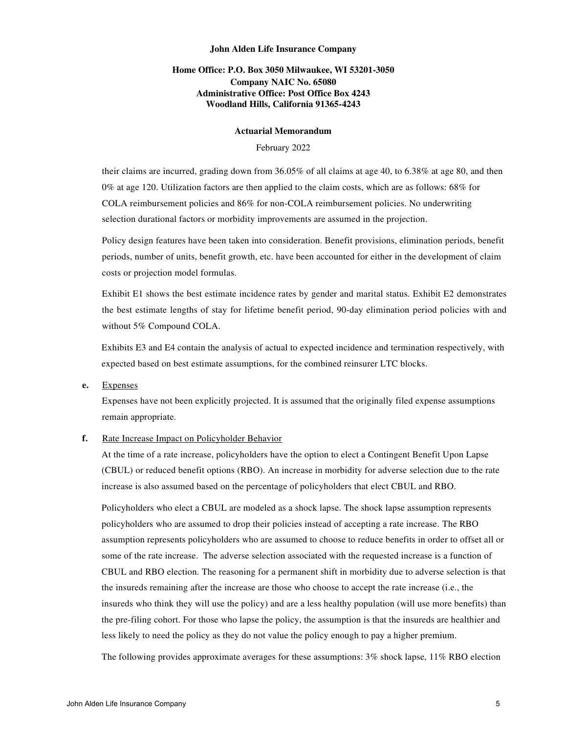# **Home Office: P.O. Box 3050 Milwaukee, WI 53201-3050 Company NAIC No. 65080 Administrative Office: Post Office Box 4243 Woodland Hills, California 91365-4243**

#### **Actuarial Memorandum**

## February 2022

their claims are incurred, grading down from 36.05% of all claims at age 40, to 6.38% at age 80, and then 0% at age 120. Utilization factors are then applied to the claim costs, which are as follows: 68% for COLA reimbursement policies and 86% for non-COLA reimbursement policies. No underwriting selection durational factors or morbidity improvements are assumed in the projection.

Policy design features have been taken into consideration. Benefit provisions, elimination periods, benefit periods, number of units, benefit growth, etc. have been accounted for either in the development of claim costs or projection model formulas.

Exhibit E1 shows the best estimate incidence rates by gender and marital status. Exhibit E2 demonstrates the best estimate lengths of stay for lifetime benefit period, 90-day elimination period policies with and without 5% Compound COLA.

Exhibits E3 and E4 contain the analysis of actual to expected incidence and termination respectively, with expected based on best estimate assumptions, for the combined reinsurer LTC blocks.

**e.** Expenses

Expenses have not been explicitly projected. It is assumed that the originally filed expense assumptions remain appropriate.

## **f.** Rate Increase Impact on Policyholder Behavior

At the time of a rate increase, policyholders have the option to elect a Contingent Benefit Upon Lapse (CBUL) or reduced benefit options (RBO). An increase in morbidity for adverse selection due to the rate increase is also assumed based on the percentage of policyholders that elect CBUL and RBO.

Policyholders who elect a CBUL are modeled as a shock lapse. The shock lapse assumption represents policyholders who are assumed to drop their policies instead of accepting a rate increase. The RBO assumption represents policyholders who are assumed to choose to reduce benefits in order to offset all or some of the rate increase. The adverse selection associated with the requested increase is a function of CBUL and RBO election. The reasoning for a permanent shift in morbidity due to adverse selection is that the insureds remaining after the increase are those who choose to accept the rate increase (i.e., the insureds who think they will use the policy) and are a less healthy population (will use more benefits) than the pre-filing cohort. For those who lapse the policy, the assumption is that the insureds are healthier and less likely to need the policy as they do not value the policy enough to pay a higher premium.

The following provides approximate averages for these assumptions: 3% shock lapse, 11% RBO election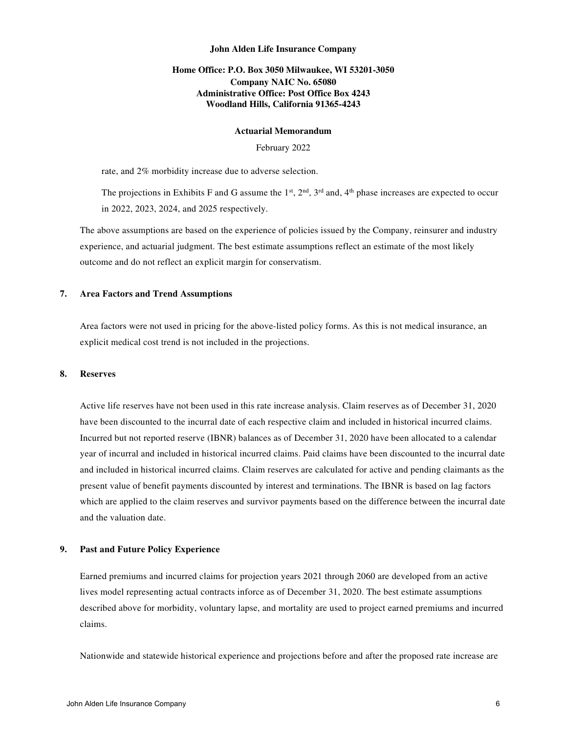# **Home Office: P.O. Box 3050 Milwaukee, WI 53201-3050 Company NAIC No. 65080 Administrative Office: Post Office Box 4243 Woodland Hills, California 91365-4243**

#### **Actuarial Memorandum**

February 2022

rate, and 2% morbidity increase due to adverse selection.

The projections in Exhibits F and G assume the  $1<sup>st</sup>$ ,  $2<sup>nd</sup>$ ,  $3<sup>rd</sup>$  and,  $4<sup>th</sup>$  phase increases are expected to occur in 2022, 2023, 2024, and 2025 respectively.

The above assumptions are based on the experience of policies issued by the Company, reinsurer and industry experience, and actuarial judgment. The best estimate assumptions reflect an estimate of the most likely outcome and do not reflect an explicit margin for conservatism.

#### **7. Area Factors and Trend Assumptions**

Area factors were not used in pricing for the above-listed policy forms. As this is not medical insurance, an explicit medical cost trend is not included in the projections.

#### **8. Reserves**

Active life reserves have not been used in this rate increase analysis. Claim reserves as of December 31, 2020 have been discounted to the incurral date of each respective claim and included in historical incurred claims. Incurred but not reported reserve (IBNR) balances as of December 31, 2020 have been allocated to a calendar year of incurral and included in historical incurred claims. Paid claims have been discounted to the incurral date and included in historical incurred claims. Claim reserves are calculated for active and pending claimants as the present value of benefit payments discounted by interest and terminations. The IBNR is based on lag factors which are applied to the claim reserves and survivor payments based on the difference between the incurral date and the valuation date.

#### **9. Past and Future Policy Experience**

Earned premiums and incurred claims for projection years 2021 through 2060 are developed from an active lives model representing actual contracts inforce as of December 31, 2020. The best estimate assumptions described above for morbidity, voluntary lapse, and mortality are used to project earned premiums and incurred claims.

Nationwide and statewide historical experience and projections before and after the proposed rate increase are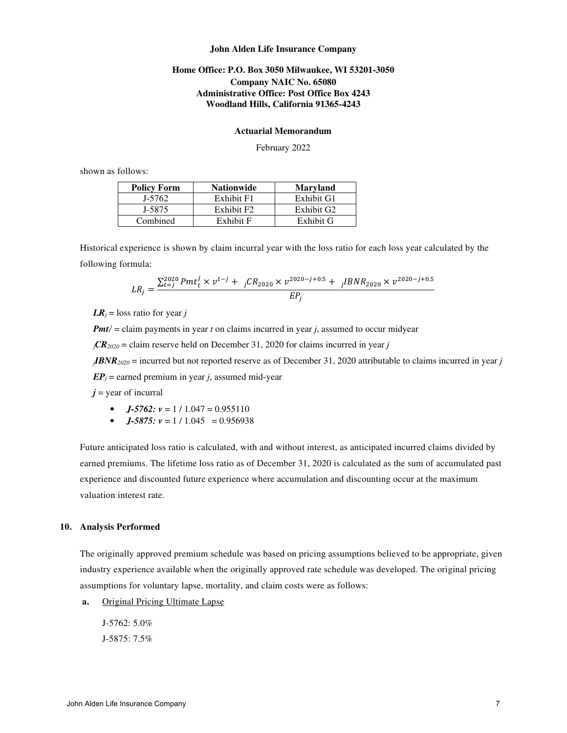# **Home Office: P.O. Box 3050 Milwaukee, WI 53201-3050 Company NAIC No. 65080 Administrative Office: Post Office Box 4243 Woodland Hills, California 91365-4243**

#### **Actuarial Memorandum**

February 2022

shown as follows:

| <b>Policy Form</b> | <b>Nationwide</b>      | <b>Maryland</b>        |
|--------------------|------------------------|------------------------|
| J-5762             | Exhibit F1             | Exhibit G1             |
| J-5875             | Exhibit F <sub>2</sub> | Exhibit G <sub>2</sub> |
| Combined           | Exhibit F              | Exhibit G              |

Historical experience is shown by claim incurral year with the loss ratio for each loss year calculated by the following formula:

$$
LR_j = \frac{\sum_{t=j}^{2020} Pmt_t^j \times v^{t-j} + jCR_{2020} \times v^{2020-j+0.5} + jIBNR_{2020} \times v^{2020-j+0.5}}{EP_j}
$$

 $LR<sub>i</sub>$  = loss ratio for year *j* 

*Pmt*<sup> $j$ </sup> = claim payments in year *t* on claims incurred in year *j*, assumed to occur midyear

 *= claim reserve held on December 31, 2020 for claims incurred in year <i>j* 

*<sup>j</sup>IBNR<sup>2020</sup>* = incurred but not reported reserve as of December 31, 2020 attributable to claims incurred in year *j*

 $EP_i$  = earned premium in year *j*, assumed mid-year

 $j$  = year of incurral

- *J-5762:*  $v = 1 / 1.047 = 0.955110$
- $J-5875$ :  $v = 1 / 1.045 = 0.956938$

Future anticipated loss ratio is calculated, with and without interest, as anticipated incurred claims divided by earned premiums. The lifetime loss ratio as of December 31, 2020 is calculated as the sum of accumulated past experience and discounted future experience where accumulation and discounting occur at the maximum valuation interest rate.

#### **10. Analysis Performed**

The originally approved premium schedule was based on pricing assumptions believed to be appropriate, given industry experience available when the originally approved rate schedule was developed. The original pricing assumptions for voluntary lapse, mortality, and claim costs were as follows:

**a.** Original Pricing Ultimate Lapse

J-5762: 5.0%

J-5875: 7.5%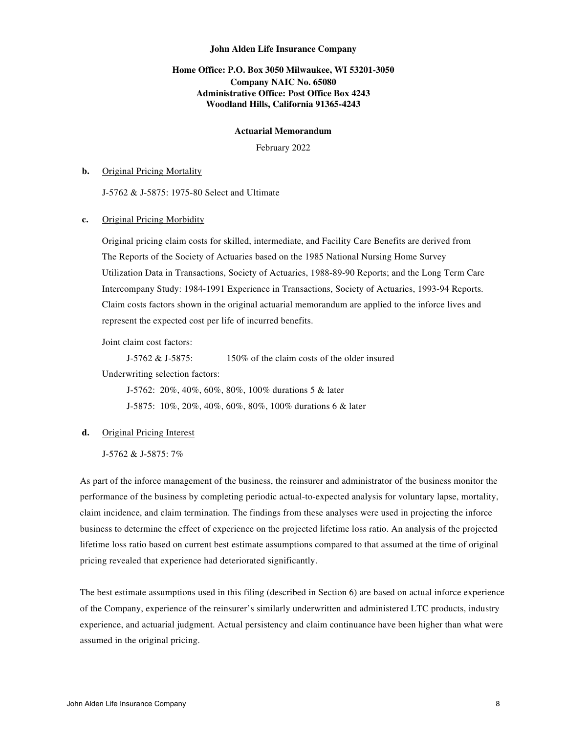# **Home Office: P.O. Box 3050 Milwaukee, WI 53201-3050 Company NAIC No. 65080 Administrative Office: Post Office Box 4243 Woodland Hills, California 91365-4243**

#### **Actuarial Memorandum**

February 2022

#### **b.** Original Pricing Mortality

J-5762 & J-5875: 1975-80 Select and Ultimate

#### **c.** Original Pricing Morbidity

Original pricing claim costs for skilled, intermediate, and Facility Care Benefits are derived from The Reports of the Society of Actuaries based on the 1985 National Nursing Home Survey Utilization Data in Transactions, Society of Actuaries, 1988-89-90 Reports; and the Long Term Care Intercompany Study: 1984-1991 Experience in Transactions, Society of Actuaries, 1993-94 Reports. Claim costs factors shown in the original actuarial memorandum are applied to the inforce lives and represent the expected cost per life of incurred benefits.

Joint claim cost factors:

J-5762 & J-5875:  $150\%$  of the claim costs of the older insured

Underwriting selection factors:

 J-5762: 20%, 40%, 60%, 80%, 100% durations 5 & later J-5875: 10%, 20%, 40%, 60%, 80%, 100% durations 6 & later

#### **d.** Original Pricing Interest

J-5762 & J-5875: 7%

As part of the inforce management of the business, the reinsurer and administrator of the business monitor the performance of the business by completing periodic actual-to-expected analysis for voluntary lapse, mortality, claim incidence, and claim termination. The findings from these analyses were used in projecting the inforce business to determine the effect of experience on the projected lifetime loss ratio. An analysis of the projected lifetime loss ratio based on current best estimate assumptions compared to that assumed at the time of original pricing revealed that experience had deteriorated significantly.

The best estimate assumptions used in this filing (described in Section 6) are based on actual inforce experience of the Company, experience of the reinsurer's similarly underwritten and administered LTC products, industry experience, and actuarial judgment. Actual persistency and claim continuance have been higher than what were assumed in the original pricing.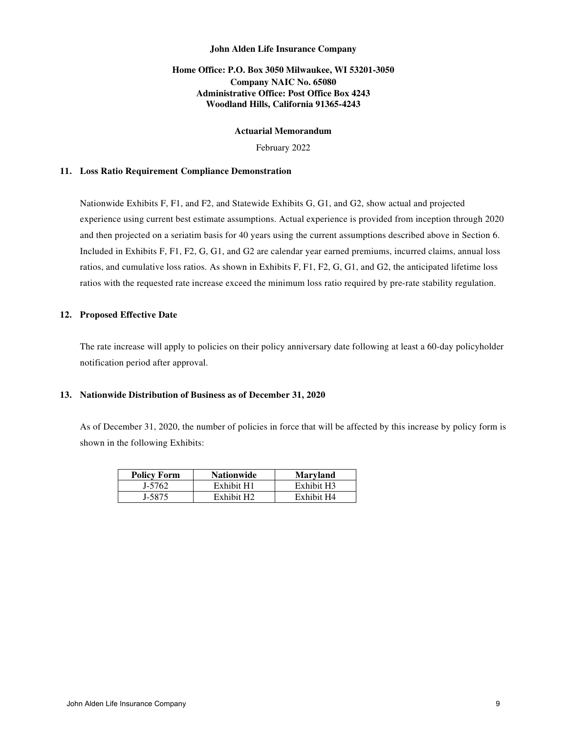# **Home Office: P.O. Box 3050 Milwaukee, WI 53201-3050 Company NAIC No. 65080 Administrative Office: Post Office Box 4243 Woodland Hills, California 91365-4243**

## **Actuarial Memorandum**

February 2022

## **11. Loss Ratio Requirement Compliance Demonstration**

Nationwide Exhibits F, F1, and F2, and Statewide Exhibits G, G1, and G2, show actual and projected experience using current best estimate assumptions. Actual experience is provided from inception through 2020 and then projected on a seriatim basis for 40 years using the current assumptions described above in Section 6. Included in Exhibits F, F1, F2, G, G1, and G2 are calendar year earned premiums, incurred claims, annual loss ratios, and cumulative loss ratios. As shown in Exhibits F, F1, F2, G, G1, and G2, the anticipated lifetime loss ratios with the requested rate increase exceed the minimum loss ratio required by pre-rate stability regulation.

## **12. Proposed Effective Date**

The rate increase will apply to policies on their policy anniversary date following at least a 60-day policyholder notification period after approval.

# **13. Nationwide Distribution of Business as of December 31, 2020**

As of December 31, 2020, the number of policies in force that will be affected by this increase by policy form is shown in the following Exhibits:

| <b>Policy Form</b> | <b>Nationwide</b>      | <b>Maryland</b> |
|--------------------|------------------------|-----------------|
| J-5762             | Exhibit H1             | Exhibit H3      |
| I-5875             | Exhibit H <sub>2</sub> | Exhibit H4      |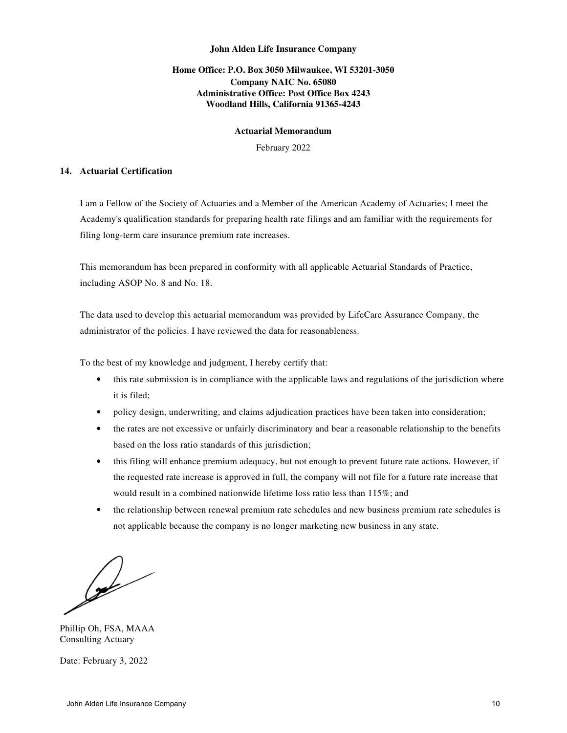# **Home Office: P.O. Box 3050 Milwaukee, WI 53201-3050 Company NAIC No. 65080 Administrative Office: Post Office Box 4243 Woodland Hills, California 91365-4243**

## **Actuarial Memorandum**

February 2022

#### **14. Actuarial Certification**

I am a Fellow of the Society of Actuaries and a Member of the American Academy of Actuaries; I meet the Academy's qualification standards for preparing health rate filings and am familiar with the requirements for filing long-term care insurance premium rate increases.

This memorandum has been prepared in conformity with all applicable Actuarial Standards of Practice, including ASOP No. 8 and No. 18.

The data used to develop this actuarial memorandum was provided by LifeCare Assurance Company, the administrator of the policies. I have reviewed the data for reasonableness.

To the best of my knowledge and judgment, I hereby certify that:

- this rate submission is in compliance with the applicable laws and regulations of the jurisdiction where it is filed;
- policy design, underwriting, and claims adjudication practices have been taken into consideration;
- the rates are not excessive or unfairly discriminatory and bear a reasonable relationship to the benefits based on the loss ratio standards of this jurisdiction;
- this filing will enhance premium adequacy, but not enough to prevent future rate actions. However, if the requested rate increase is approved in full, the company will not file for a future rate increase that would result in a combined nationwide lifetime loss ratio less than 115%; and
- the relationship between renewal premium rate schedules and new business premium rate schedules is not applicable because the company is no longer marketing new business in any state.

 $\mathcal{Q}$ 

Phillip Oh, FSA, MAAA Consulting Actuary

Date: February 3, 2022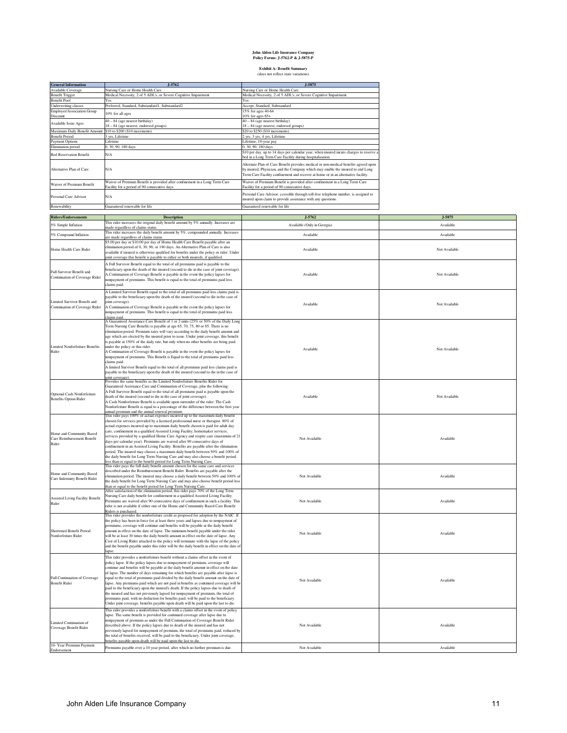#### **John Alden Life Insurance Company Policy Forms: J-5762-P & J-5875-P**

# **Exhibit A: Benefit Summary** (does not reflect state variations)

| <b>General Information</b>             | J-5762                                                                                                                       | J-5875                                                                                                                                                                                                                                                      |
|----------------------------------------|------------------------------------------------------------------------------------------------------------------------------|-------------------------------------------------------------------------------------------------------------------------------------------------------------------------------------------------------------------------------------------------------------|
| Available Coverage                     | Nursing Care or Home Health Care                                                                                             | Nursing Care or Home Health Care                                                                                                                                                                                                                            |
| <b>Benefit Trigger</b>                 | Medical Necessity, 2 of 5 ADL's, or Severe Cognitive Impairment                                                              | Medical Necessity, 2 of 5 ADL's, or Severe Cognitive Impairment                                                                                                                                                                                             |
| <b>Benefit Pool</b>                    | Yes                                                                                                                          | Yes                                                                                                                                                                                                                                                         |
| <b>Underwriting classes</b>            | Preferred, Standard, Substandard1, Substandard2                                                                              | Accept, Standard, Substandard                                                                                                                                                                                                                               |
| Employer/Association Group<br>Discount | 10% for all ages                                                                                                             | 15% for ages 40-64<br>$10\%$ for ages $65+$                                                                                                                                                                                                                 |
| Available Issue Ages                   | $40 - 84$ (age nearest birthday)<br>18 - 84 (age nearest, endorsed groups)                                                   | 40 - 84 (age nearest birthday)<br>18 - 84 (age nearest, endorsed groups)                                                                                                                                                                                    |
| Maximum Daily Benefit Amount           | \$10 to \$200 (\$10 increments)                                                                                              | \$20 to \$250 (\$10 increments)                                                                                                                                                                                                                             |
| <b>Benefit Period</b>                  | 3 vrs. Lifetime                                                                                                              | 2 yrs, 3 yrs, 4 yrs, Lifetime                                                                                                                                                                                                                               |
| Payment Options                        | Lifetime                                                                                                                     | Lifetime, 10-year pay                                                                                                                                                                                                                                       |
| Elimination period                     | 0, 30, 90, 180 days                                                                                                          | 0, 30, 90, 180 days                                                                                                                                                                                                                                         |
| <b>Bed Reservation Benefit</b>         | N/A                                                                                                                          | \$10 per day, up to 14 days per calendar year, when insured incurs charges to reserve a<br>bed in a Long Term Care Facility during hospitalization.                                                                                                         |
| Alternative Plan of Care               | N/A                                                                                                                          | Alternate Plan of Care Benefit provides medical or non-medical benefits agreed upon<br>by insured, Physician, and the Company which may enable the insured to end Long<br>Term Care Facility confinement and recover at home or in an alternative facility. |
| Waiver of Premium Benefit              | Waiver of Premium Benefit is provided after confinement in a Long Term Care<br>Facility for a period of 90 consecutive days. | Waiver of Premium Benefit is provided after confinement in a Long Term Care<br>Facility for a period of 90 consecutive days.                                                                                                                                |
| Personal Care Advisor                  | N/A                                                                                                                          | Personal Care Advisor, ccessible through toll-free telephone number, is assigned to<br>insured upon claim to provide assistance with any questions.                                                                                                         |
| Renewability                           | Guaranteed renewable for life                                                                                                | Guaranteed renewable for life                                                                                                                                                                                                                               |

| <b>Riders/Endorsements</b>                                     | <b>Description</b>                                                                                                                                                                | $J-5762$                    | J-5875        |  |  |  |
|----------------------------------------------------------------|-----------------------------------------------------------------------------------------------------------------------------------------------------------------------------------|-----------------------------|---------------|--|--|--|
| 5% Simple Inflation                                            | This rider increases the original daily benefit amount by 5% annually. Increases are                                                                                              | Available (Only in Georgia) | Available     |  |  |  |
|                                                                | made regardless of claims status.                                                                                                                                                 |                             |               |  |  |  |
| 5% Compound Inflation                                          | This rider increases the daily benefit amount by 5%, compounded annually. Increases<br>are made regardless of claims status.                                                      | Available                   | Available     |  |  |  |
|                                                                | \$5.00 per day or \$10.00 per day of Home Health Care Benefit payable after an                                                                                                    |                             |               |  |  |  |
|                                                                | elimination period of 0, 30, 90, or 180 days. An Alternative Plan of Care is also                                                                                                 | Available                   | Not Available |  |  |  |
| Home Health Care Rider                                         | ivalable if insured is otherwise qualified for benefits under the policy or rider. Under                                                                                          |                             |               |  |  |  |
|                                                                | oint coverage this benefit is payable to either or both insureds, if qualified.                                                                                                   |                             |               |  |  |  |
| Full Survivor Benefit and                                      | A Full Survivor Benefit equal to the total of all premiums paid is payable to the                                                                                                 |                             |               |  |  |  |
|                                                                | beneficiary upon the death of the insured (second to die in the case of joint coverage).                                                                                          |                             |               |  |  |  |
| Continuation of Coverage Rider                                 | A Continuation of Coverage Benefit is payable in the event the policy lapses for                                                                                                  | Available                   | Not Available |  |  |  |
|                                                                | nonpayment of premiums. This benefit is equal to the total of premiums paid less<br>claims paid.                                                                                  |                             |               |  |  |  |
|                                                                |                                                                                                                                                                                   |                             |               |  |  |  |
|                                                                | A Limited Survivor Benefit equal to the total of all premiums paid less claims paid is<br>payable to the beneficiary upon the death of the insured (second to die in the case of  |                             |               |  |  |  |
| Limited Survivor Benefit and<br>Continuation of Coverage Rider | oint coverage).                                                                                                                                                                   |                             |               |  |  |  |
|                                                                | A Continuation of Coverage Benefit is payable in the event the policy lapses for                                                                                                  | Available                   | Not Available |  |  |  |
|                                                                | nonpayment of premiums. This benefit is equal to the total of premiums paid less                                                                                                  |                             |               |  |  |  |
|                                                                | claims paid                                                                                                                                                                       |                             |               |  |  |  |
|                                                                | A Guaranteed Assistance Care Benefit of 1 or 2 units (25% or 50% of the Daily Long<br>Term Nursing Care Benefit) is payable at age 65, 70, 75, 80 or 85. There is no              |                             |               |  |  |  |
|                                                                | elimination period. Premium rates will vary according to the daily benefit amount and                                                                                             |                             |               |  |  |  |
|                                                                | age which are elected by the insured prior to issue. Under joint coverage, this benefit                                                                                           |                             |               |  |  |  |
|                                                                | is payable at 150% of the daily rate, but only when no other benefits are being paid                                                                                              |                             |               |  |  |  |
| imited Nonforfeiture Benefits                                  | under the policy or this rider.                                                                                                                                                   | Available                   | Not Available |  |  |  |
| Rider                                                          | A Continuation of Coverage Benefit is payable in the event the policy lapses for                                                                                                  |                             |               |  |  |  |
|                                                                | nonpayment of premiums. This Benefit is Equal to the total of premiums paid less<br>claims paid.                                                                                  |                             |               |  |  |  |
|                                                                | A limited Survivor Benefit equal to the total of all premiums paid less claims paid is                                                                                            |                             |               |  |  |  |
|                                                                | payable to the beneficiary upon the death of the insured (second to die in the case of                                                                                            |                             |               |  |  |  |
|                                                                | oint coverage).                                                                                                                                                                   |                             |               |  |  |  |
|                                                                | Provides the same benefits as the Limited Nonforfeiture Benefits Rider for                                                                                                        |                             |               |  |  |  |
|                                                                | Guaranteed Assistance Care and Continuation of Coverage, plus the following:<br>A Full Survivor Benefit equal to the total of all premiums paid is payable upon the               |                             |               |  |  |  |
| Optional Cash Nonforfeiture                                    | death of the insured (second to die in the case of joint coverage).                                                                                                               | Available                   | Not Available |  |  |  |
| <b>Benefits Option Rider</b>                                   | A Cash Nonforfeiture Benefit is available upon surrender of the rider. The Cash                                                                                                   |                             |               |  |  |  |
|                                                                | Nonforfeiture Benefit is equal to a percentage of the difference between the first year                                                                                           |                             |               |  |  |  |
|                                                                | annual premium and the annual renewal premium.<br>This rider pays 100% of actual expenses incurred up to the maximum daily benefit                                                |                             |               |  |  |  |
|                                                                | chosen for services provided by a licensed professional nurse or therapist. 80% of                                                                                                |                             |               |  |  |  |
|                                                                | actual expenses incurred up to maximum daily benefit chosen is paid for adult day                                                                                                 |                             |               |  |  |  |
| Home and Community Based                                       | care, confinement in a qualified Assisted Living Facility, homemaker services,                                                                                                    |                             |               |  |  |  |
| Care Reimbursement Benefit                                     | ervices provided by a qualified Home Care Agency and respite care (maximum of 21                                                                                                  | Not Available               | Available     |  |  |  |
| Rider                                                          | days per calendar year). Premiums are waived after 90 consecutive days of                                                                                                         |                             |               |  |  |  |
|                                                                | confinement in an Assisted Living Facility. Benefits are payable after the elimination                                                                                            |                             |               |  |  |  |
|                                                                | period. The insured may choose a maximum daily benefit between 50% and 100% of<br>the daily benefit for Long Term Nursing Care and may also choose a benefit period               |                             |               |  |  |  |
|                                                                | less than or equal to the benefit period for Long Term Nursing Care.                                                                                                              |                             |               |  |  |  |
|                                                                | This rider pays the full daily benefit amount chosen for the same care and services                                                                                               |                             |               |  |  |  |
| Home and Community Based                                       | lescribed under the Reimbursement Benefit Rider. Benefits are payable after the                                                                                                   | Not Available               |               |  |  |  |
| Care Indemnity Benefit Rider                                   | elimination period. The insured may choose a daily benefit between 50% and 100% of<br>the daily benefit for Long Term Nursing Care and may also choose benefit period less        |                             | Available     |  |  |  |
|                                                                | than or equal to the benefit period for Long Term Nursing Care.                                                                                                                   |                             |               |  |  |  |
|                                                                | After satisfaction of the elimination period, this rider pays 70% of the Long Term                                                                                                |                             |               |  |  |  |
| <b>Assisted Living Facility Benefit</b>                        | Nursing Care daily benefit for confinement in a qualified Assisted Living Facility.                                                                                               |                             | Available     |  |  |  |
| Rider                                                          | Premiums are waived after 90 consecutive days of confinement in such a facility. This                                                                                             | Not Available               |               |  |  |  |
|                                                                | rider is not available if either one of the Home and Community Based Care Benefit<br>Riders is purchased.                                                                         |                             |               |  |  |  |
|                                                                | This rider provides the nonforfeiture credit as proposed for adoption by the NAIC. If                                                                                             |                             |               |  |  |  |
|                                                                | the policy has been in force for at least three years and lapses due to nonpayment of                                                                                             |                             |               |  |  |  |
|                                                                | premiums, coverage will continue and benefits will be payable at the daily benefit                                                                                                |                             |               |  |  |  |
| Shortened Benefit Period                                       | imount in effect on the date of lapse. The minimum benefit payable under the rider                                                                                                | Not Available               | Available     |  |  |  |
| Nonforfeiture Rider                                            | will be at least 30 times the daily benefit amount in effect on the date of lapse. Any<br>Cost of Living Rider attached to the policy will terminate with the lapse of the policy |                             |               |  |  |  |
|                                                                | and the benefit payable under this rider will be the daily benefit in effect on the date of                                                                                       |                             |               |  |  |  |
|                                                                | lapse                                                                                                                                                                             |                             |               |  |  |  |
|                                                                | This rider provides a nonforfeiture benefit without a claims offset in the event of                                                                                               |                             |               |  |  |  |
|                                                                | policy lapse. If the policy lapses due to nonpayment of premium, coverage will                                                                                                    |                             |               |  |  |  |
|                                                                | continue and benefits will be payable at the daily benefit amount in effect on the date                                                                                           |                             |               |  |  |  |
|                                                                | of lapse. The number of days remaining for which benefits are payable after lapse is                                                                                              |                             |               |  |  |  |
| Full Continuation of Coverage                                  | equal to the total of premiums paid divided by the daily benefit amount on the date of                                                                                            | Not Available               | Available     |  |  |  |
| <b>Benefit Rider</b>                                           | lapse. Any premiums paid which are not paid in benefits as continued coverage will be<br>baid to the beneficiary upon the insured's death. If the policy lapses due to death of   |                             |               |  |  |  |
|                                                                | the insured and has not previously lapsed for nonpayment of premium, the total of                                                                                                 |                             |               |  |  |  |
|                                                                | premiums paid, with no deduction for benefits paid, will be paid to the beneficiary.                                                                                              |                             |               |  |  |  |
|                                                                | Under joint coverage, benefits payable upon death will be paid upon the last to die.                                                                                              |                             |               |  |  |  |
|                                                                | This rider provides a nonforfeiture benefit with a claims offset in the event of policy                                                                                           |                             |               |  |  |  |
|                                                                | lapse. The same benefit is provided for continued coverage after lapse due to                                                                                                     |                             |               |  |  |  |
| Limited Continuation of                                        | nonpayment of premium as under the Full Continuation of Coverage Benefit Rider                                                                                                    | Not Available               | Available     |  |  |  |
| Coverage Benefit Rider                                         | described above. If the policy lapses due to death of the insured and has not<br>previously lapsed for nonpayment of premium, the total of premiums paid, reduced by              |                             |               |  |  |  |
|                                                                | the total of benefits received, will be paid to the beneficiary. Under joint coverage,                                                                                            |                             |               |  |  |  |
|                                                                | enefits payable upon death will be paid upon the last to die                                                                                                                      |                             |               |  |  |  |
| 10- Year Premium Payment                                       | Premiums payable over a 10 year period, after which no further premium is due.                                                                                                    | Not Available               | Available     |  |  |  |
| Endorsement                                                    |                                                                                                                                                                                   |                             |               |  |  |  |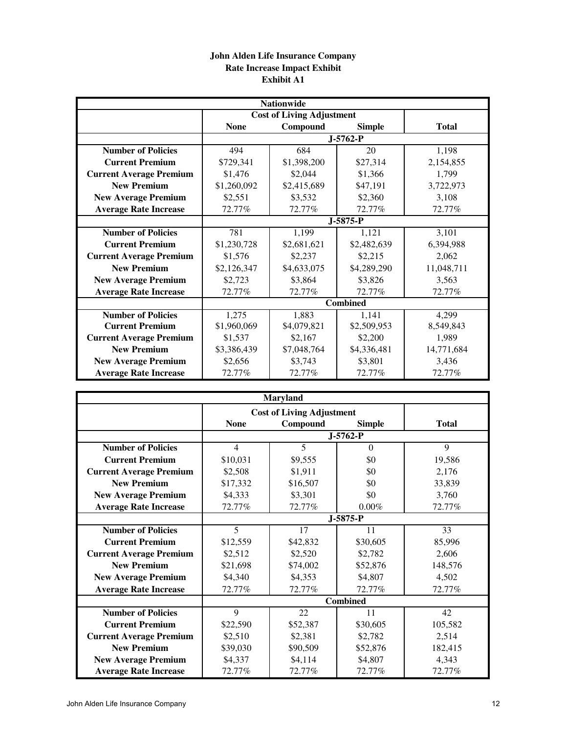# **John Alden Life Insurance Company Rate Increase Impact Exhibit Exhibit A1**

|                                |                            | <b>Nationwide</b>                |                 |              |  |
|--------------------------------|----------------------------|----------------------------------|-----------------|--------------|--|
|                                |                            | <b>Cost of Living Adjustment</b> |                 |              |  |
|                                | <b>None</b>                | Compound                         | <b>Simple</b>   | <b>Total</b> |  |
|                                |                            |                                  |                 |              |  |
| <b>Number of Policies</b>      | 494                        | 684                              | 20              | 1,198        |  |
| <b>Current Premium</b>         | \$729,341                  | \$1,398,200                      | \$27,314        | 2,154,855    |  |
| <b>Current Average Premium</b> | \$1,476                    | \$2,044                          | \$1,366         | 1,799        |  |
| <b>New Premium</b>             | \$1,260,092                | \$2,415,689                      | \$47,191        | 3,722,973    |  |
| <b>New Average Premium</b>     | \$2,551                    | \$3,532                          | \$2,360         | 3.108        |  |
| <b>Average Rate Increase</b>   | 72.77%                     | 72.77%                           | 72.77%          | 72.77%       |  |
|                                |                            |                                  | $J-5875-P$      |              |  |
| <b>Number of Policies</b>      | 781                        | 1,199                            | 1,121           | 3,101        |  |
| <b>Current Premium</b>         | \$1,230,728                | \$2,681,621                      | \$2,482,639     | 6,394,988    |  |
| <b>Current Average Premium</b> | \$1,576                    | \$2,215<br>\$2,237               |                 | 2,062        |  |
| <b>New Premium</b>             | \$4,633,075<br>\$2,126,347 |                                  | \$4,289,290     | 11,048,711   |  |
| <b>New Average Premium</b>     | \$2,723                    | \$3,864                          | \$3,826         | 3,563        |  |
| <b>Average Rate Increase</b>   | 72.77%                     | 72.77%                           | 72.77%          | 72.77%       |  |
|                                |                            |                                  | <b>Combined</b> |              |  |
| <b>Number of Policies</b>      | 1,275                      | 1,883                            | 1,141           | 4,299        |  |
| <b>Current Premium</b>         | \$1,960,069                | \$4,079,821                      | \$2,509,953     | 8,549,843    |  |
| <b>Current Average Premium</b> | \$1,537                    | \$2,167                          | \$2,200         | 1,989        |  |
| <b>New Premium</b>             | \$3,386,439                | \$7,048,764                      | \$4,336,481     | 14,771,684   |  |
| <b>New Average Premium</b>     | \$2,656                    | \$3,743                          | \$3,801         | 3,436        |  |
| <b>Average Rate Increase</b>   | 72.77%                     | 72.77%                           | 72.77%          | 72.77%       |  |

|                                | <b>Maryland</b> |                                  |               |              |  |  |  |  |  |
|--------------------------------|-----------------|----------------------------------|---------------|--------------|--|--|--|--|--|
|                                |                 | <b>Cost of Living Adjustment</b> |               |              |  |  |  |  |  |
|                                | <b>None</b>     | Compound                         | <b>Simple</b> | <b>Total</b> |  |  |  |  |  |
|                                |                 |                                  |               |              |  |  |  |  |  |
| <b>Number of Policies</b>      | $\overline{4}$  | 5                                | $\Omega$      | 9            |  |  |  |  |  |
| <b>Current Premium</b>         | \$10,031        | \$9,555                          | \$0           | 19,586       |  |  |  |  |  |
| <b>Current Average Premium</b> | \$2,508         | \$1,911                          | \$0           | 2,176        |  |  |  |  |  |
| <b>New Premium</b>             | \$17,332        | \$16,507                         | \$0           | 33,839       |  |  |  |  |  |
| <b>New Average Premium</b>     | \$4,333         | \$3,301                          | \$0           | 3,760        |  |  |  |  |  |
| <b>Average Rate Increase</b>   | 72.77%          | 72.77%                           | $0.00\%$      | 72.77%       |  |  |  |  |  |
|                                |                 |                                  | $J-5875-P$    |              |  |  |  |  |  |
| <b>Number of Policies</b>      | 5               | 17                               | 11            | 33           |  |  |  |  |  |
| <b>Current Premium</b>         | \$12,559        | \$42,832                         | \$30,605      | 85,996       |  |  |  |  |  |
| <b>Current Average Premium</b> | \$2,512         | \$2,520<br>\$2,782               |               | 2,606        |  |  |  |  |  |
| <b>New Premium</b>             | \$21,698        | \$74,002<br>\$52,876             |               | 148,576      |  |  |  |  |  |
| <b>New Average Premium</b>     | \$4,340         | \$4,353<br>\$4,807               |               | 4,502        |  |  |  |  |  |
| <b>Average Rate Increase</b>   | 72.77%          | 72.77%                           | 72.77%        | 72.77%       |  |  |  |  |  |
|                                |                 |                                  | Combined      |              |  |  |  |  |  |
| <b>Number of Policies</b>      | 9               | 22                               | 11            | 42           |  |  |  |  |  |
| <b>Current Premium</b>         | \$22,590        | \$52,387                         | \$30,605      | 105,582      |  |  |  |  |  |
| <b>Current Average Premium</b> | \$2,510         | \$2,381                          | \$2,782       | 2,514        |  |  |  |  |  |
| <b>New Premium</b>             | \$39,030        | \$90,509                         | \$52,876      | 182,415      |  |  |  |  |  |
| <b>New Average Premium</b>     | \$4,337         | \$4,114                          | \$4,807       | 4,343        |  |  |  |  |  |
| <b>Average Rate Increase</b>   | 72.77%          | 72.77%                           | 72.77%        | 72.77%       |  |  |  |  |  |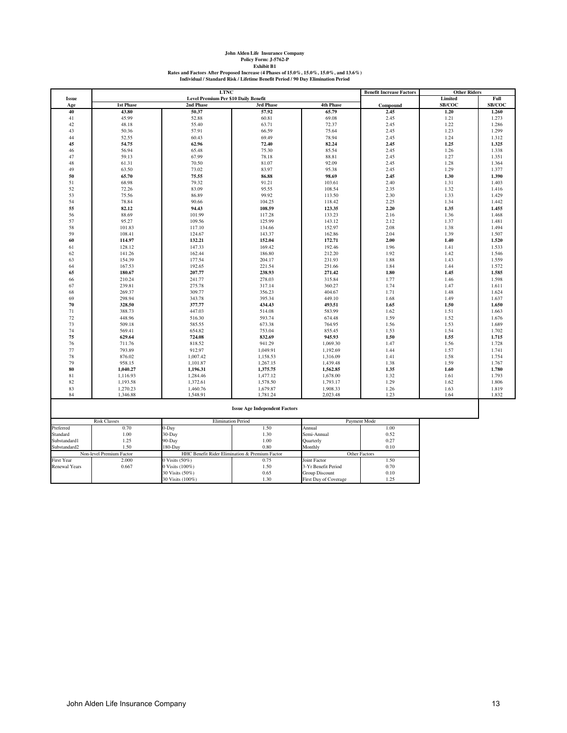| John Alden Life Insurance Company                                                      |  |
|----------------------------------------------------------------------------------------|--|
| Policy Form: J-5762-P                                                                  |  |
| <b>Exhibit B1</b>                                                                      |  |
| Rates and Factors After Proposed Increase (4 Phases of 15.0%, 15.0%, 15.0%, and 13.6%) |  |
| Individual / Standard Risk / Lifetime Benefit Period / 90 Day Elimination Period       |  |

|                      |                          | <b>LTNC</b>                          |                                                |                       | <b>Benefit Increase Factors</b> | <b>Other Riders</b> |                |  |
|----------------------|--------------------------|--------------------------------------|------------------------------------------------|-----------------------|---------------------------------|---------------------|----------------|--|
| <b>Issue</b>         |                          | Level Premium Per \$10 Daily Benefit |                                                |                       |                                 | Limited             | Full           |  |
| Age                  | <b>1st Phase</b>         | 2nd Phase                            | 3rd Phase                                      | <b>4th Phase</b>      | Compound                        | SB/COC              | SB/COC         |  |
| 40                   | 43.80                    | 50.37                                | 57.92                                          | 65.79                 | 2.45                            | 1.20                | 1.260          |  |
| 41                   | 45.99                    | 52.88                                | 60.81                                          | 69.08                 | 2.45                            | 1.21                | 1.273          |  |
| 42                   | 48.18                    | 55.40                                | 63.71                                          | 72.37                 | 2.45                            | 1.22                | 1.286          |  |
| 43                   | 50.36                    | 57.91                                | 66.59                                          | 75.64                 | 2.45                            | 1.23                | 1.299          |  |
| 44                   | 52.55                    | 60.43                                | 69.49                                          | 78.94                 | 2.45                            | 1.24                | 1.312          |  |
| 45                   | 54.75                    | 62.96                                | 72.40                                          | 82.24                 | 2.45                            | 1.25                | 1.325          |  |
| 46                   | 56.94                    | 65.48                                | 75.30                                          | 85.54                 | 2.45                            | 1.26                | 1.338          |  |
| 47                   | 59.13                    | 67.99                                | 78.18                                          | 88.81                 | 2.45                            | 1.27                | 1.351          |  |
| 48                   | 61.31                    | 70.50                                | 81.07                                          | 92.09                 | 2.45                            | 1.28                | 1.364          |  |
| 49                   | 63.50                    | 73.02                                | 83.97                                          | 95.38                 | 2.45                            | 1.29                | 1.377          |  |
| 50                   | 65.70                    | 75.55                                | 86.88                                          | 98.69                 | 2.45                            | 1.30                | 1.390          |  |
| 51                   | 68.98                    | 79.32                                | 91.21                                          | 103.61                | 2.40                            | 1.31                | 1.403          |  |
| 52                   | 72.26                    | 83.09                                | 95.55                                          | 108.54                | 2.35                            | 1.32                | 1.416          |  |
| 53                   | 75.56                    | 86.89                                | 99.92                                          | 113.50                | 2.30                            | 1.33                | 1.429          |  |
| 54                   | 78.84                    | 90.66                                | 104.25                                         | 118.42                | 2.25                            | 1.34                | 1.442          |  |
| 55                   | 82.12                    | 94.43                                | 108.59                                         | 123.35                | 2.20                            | 1.35                | 1.455          |  |
| 56                   | 88.69                    | 101.99                               | 117.28                                         | 133.23                | 2.16                            | 1.36                | 1.468          |  |
| 57                   | 95.27                    | 109.56                               | 125.99                                         | 143.12                | 2.12                            | 1.37                | 1.481          |  |
| 58                   | 101.83                   | 117.10                               | 134.66                                         | 152.97                | 2.08                            | 1.38                | 1.494          |  |
| 59                   | 108.41                   | 124.67                               | 143.37                                         | 162.86                | 2.04                            | 1.39                | 1.507          |  |
| 60                   | 114.97                   | 132.21                               | 152.04                                         | 172.71                | 2.00                            | 1.40                | 1.520          |  |
| 61                   | 128.12                   | 147.33                               | 169.42                                         | 192.46                | 1.96                            | 1.41                | 1.533          |  |
| 62                   | 141.26                   | 162.44                               | 186.80                                         | 212.20                | 1.92                            | 1.42                | 1.546          |  |
| 63                   | 154.39                   | 177.54                               | 204.17                                         | 231.93                | 1.88                            | 1.43                | 1.559          |  |
| 64                   | 167.53                   | 192.65                               | 221.54                                         | 251.66                | 1.84                            | 1.44                | 1.572          |  |
| 65                   | 180.67                   | 207.77                               | 238.93                                         | 271.42                | 1.80                            | 1.45                | 1.585          |  |
| 66                   | 210.24                   | 241.77                               | 278.03                                         | 315.84                | 1.77                            | 1.46                | 1.598          |  |
| 67                   | 239.81                   | 275.78                               | 317.14                                         | 360.27                | 1.74                            | 1.47                | 1.611          |  |
| 68<br>69             | 269.37<br>298.94         | 309.77<br>343.78                     | 356.23<br>395.34                               | 404.67<br>449.10      | 1.71<br>1.68                    | 1.48                | 1.624<br>1.637 |  |
| 70                   |                          |                                      |                                                |                       | 1.65                            | 1.49                |                |  |
| 71                   | 328.50                   | 377.77                               | 434.43                                         | 493.51                | 1.62                            | 1.50                | 1.650          |  |
| 72                   | 388.73<br>448.96         | 447.03                               | 514.08                                         | 583.99                | 1.59                            | 1.51<br>1.52        | 1.663          |  |
| 73                   | 509.18                   | 516.30<br>585.55                     | 593.74<br>673.38                               | 674.48                | 1.56                            |                     | 1.676          |  |
| 74                   | 569.41                   | 654.82                               | 753.04                                         | 764.95<br>855.45      | 1.53                            | 1.53<br>1.54        | 1.689<br>1.702 |  |
| 75                   | 629.64                   | 724.08                               | 832.69                                         | 945.93                | 1.50                            | 1.55                |                |  |
| 76                   | 711.76                   | 818.52                               | 941.29                                         | 1,069.30              | 1.47                            | 1.56                | 1.715<br>1.728 |  |
| 77                   | 793.89                   | 912.97                               | 1,049.91                                       | 1,192.69              | 1.44                            | 1.57                | 1.741          |  |
| 78                   | 876.02                   | 1,007.42                             | 1,158.53                                       | 1,316.09              | 1.41                            | 1.58                | 1.754          |  |
| 79                   | 958.15                   |                                      |                                                |                       | 1.38                            |                     | 1.767          |  |
| 80                   | 1,040.27                 | 1,101.87<br>1,196.31                 | 1,267.15                                       | 1,439.48<br>1,562.85  | 1.35                            | 1.59<br>1.60        | 1.780          |  |
|                      |                          |                                      | 1,375.75                                       |                       |                                 |                     |                |  |
| 81<br>82             | 1,116.93<br>1,193.58     | 1,284.46<br>1,372.61                 | 1,477.12<br>1,578.50                           | 1,678.00<br>1,793.17  | 1.32<br>1.29                    | 1.61<br>1.62        | 1.793<br>1.806 |  |
| 83                   | 1,270.23                 | 1,460.76                             | 1,679.87                                       | 1,908.33              | 1.26                            | 1.63                | 1.819          |  |
| 84                   | 1,346.88                 | 1,548.91                             | 1,781.24                                       | 2,023.48              | 1.23                            | 1.64                | 1.832          |  |
|                      |                          |                                      |                                                |                       |                                 |                     |                |  |
|                      |                          | <b>Issue Age Independent Factors</b> |                                                |                       |                                 |                     |                |  |
| <b>Risk Classes</b>  |                          | <b>Elimination Period</b>            |                                                |                       | Payment Mode                    |                     |                |  |
| Preferred            | 0.70                     | 0-Day                                | 1.50                                           | Annual                | 1.00                            |                     |                |  |
| Standard             | 1.00                     | 30-Day                               | 1.30                                           | Semi-Annual           | 0.52                            |                     |                |  |
| Substandard1         | 1.25                     | 90-Day                               | 1.00                                           | Quarterly             | 0.27                            |                     |                |  |
| Substandard2         | 1.50                     | $180 - Day$                          | 0.80                                           | Monthly               | 0.10                            |                     |                |  |
|                      | Non-level Premium Factor |                                      | HHC Benefit Rider Elimination & Premium Factor |                       | Other Factors                   |                     |                |  |
| <b>First Year</b>    | 2.000                    | 0 Visits (50%)                       | 0.75                                           | Joint Factor          | 1.50                            |                     |                |  |
| <b>Renewal Years</b> | 0.667                    | 0 Visits (100%)                      | 1.50                                           | 3-Yr Benefit Period   | 0.70                            |                     |                |  |
|                      |                          | 30 Visits (50%)                      | 0.65                                           | <b>Group Discount</b> | 0.10                            |                     |                |  |
|                      |                          | 30 Visits (100%)                     | 1.30                                           | First Day of Coverage | 1.25                            |                     |                |  |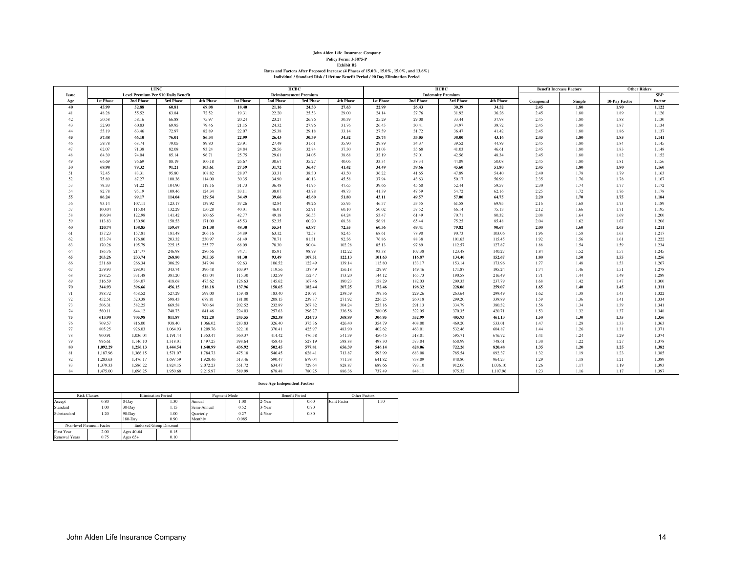| John Alden Life Insurance Company                                                      |
|----------------------------------------------------------------------------------------|
| Policy Form: J-5875-P                                                                  |
| <b>Exhibit B2</b>                                                                      |
| Rates and Factors After Proposed Increase (4 Phases of 15.0%, 15.0%, 15.0%, and 13.6%) |
| Individual / Standard Risk / Lifetime Benefit Period / 90 Day Elimination Period       |

|              |                     |                                      | <b>LTNC</b><br>нсвс<br>нсвс |             |                  |                                      | <b>Benefit Increase Factors</b> |                  | <b>Other Riders</b> |           |                          |                  |          |               |               |            |
|--------------|---------------------|--------------------------------------|-----------------------------|-------------|------------------|--------------------------------------|---------------------------------|------------------|---------------------|-----------|--------------------------|------------------|----------|---------------|---------------|------------|
| <b>Issue</b> |                     | Level Premium Per \$10 Daily Benefit |                             |             |                  |                                      | <b>Reimbursement Premium</b>    |                  |                     |           | <b>Indemnity Premium</b> |                  |          |               |               | <b>SBP</b> |
| Age          | <b>1st Phase</b>    | 2nd Phase                            | 3rd Phase                   | 4th Phase   | <b>1st Phase</b> | 2nd Phase                            | 3rd Phase                       | <b>4th Phase</b> | <b>1st Phase</b>    | 2nd Phase | 3rd Phase                | <b>4th Phase</b> | Compound | <b>Simple</b> | 10-Pay Factor | Factor     |
| 40           | 45.99               | 52.88                                | 60.81                       | 69.08       | 18.40            | 21.16                                | 24.33                           | 27.63            | 22.99               | 26.43     | 30.39                    | 34.52            | 2.45     | 1.80          | 1.90          | 1.122      |
| 41           | 48.28               | 55.52                                | 63.84                       | 72.52       | 19.31            | 22.20                                | 25.53                           | 29.00            | 24.14               | 27.76     | 31.92                    | 36.26            | 2.45     | 1.80          | 1.89          | 1.126      |
| 42           | 50.58               | 58.16                                | 66.88                       | 75.97       | 20.24            | 23.27                                | 26.76                           | 30.39            | 25.29               | 29.08     | 33.44                    | 37.98            | 2.45     | 1.80          | 1.88          | 1.130      |
| 43           | 52.90               | 60.83                                | 69.95                       | 79.46       | 21.15            | 24.32                                | 27.96                           | 31.76            | 26.45               | 30.41     | 34.97                    | 39.72            | 2.45     | 1.80          | 1.87          | 1.134      |
| 44           | 55.19               | 63.46                                | 72.97                       | 82.89       | 22.07            | 25.38                                | 29.18                           | 33.14            | 27.59               | 31.72     | 36.47                    | 41.42            | 2.45     | 1.80          | 1.86          | 1.137      |
| 45           | 57.48               | 66.10                                | 76.01                       | 86.34       | 22.99            | 26.43                                | 30.39                           | 34.52            | 28.74               | 33.05     | 38.00                    | 43.16            | 2.45     | 1.80          | 1.85          | 1.141      |
| 46           | 59.78               | 68.74                                | 79.05                       | 89.80       | 23.91            | 27.49                                | 31.61                           | 35.90            | 29.89               | 34.37     | 39.52                    | 44.89            | 2.45     | 1.80          | 1.84          | 1.145      |
| 47           | 62.07               | 71.38                                | 82.08                       | 93.24       | 24.84            | 28.56                                | 32.84                           | 37.30            | 31.03               | 35.68     | 41.03                    | 46.61            | 2.45     | 1.80          | 1.83          | 1.148      |
| 48           | 64.39               | 74.04                                | 85.14                       | 96.71       | 25.75            | 29.61                                | 34.05                           | 38.68            | 32.19               | 37.01     | 42.56                    | 48.34            | 2.45     | 1.80          | 1.82          | 1.152      |
| 49           | 66.69               | 76.69                                | 88.19                       | 100.18      | 26.67            | 30.67                                | 35.27                           | 40.06            | 33.34               | 38.34     | 44.09                    | 50.08            | 2.45     | 1.80          | 1.81          | 1.156      |
| 50           | 68.98               | 79.32                                | 91.21                       | 103.61      | 27.59            | 31.72                                | 36.47                           | 41.42            | 34.49               | 39.66     | 45.60                    | 51.80            | 2.45     | 1.80          | 1.80          | 1.160      |
|              |                     |                                      |                             |             |                  |                                      |                                 |                  |                     |           |                          |                  |          |               |               |            |
| 51           | 72.45               | 83.31                                | 95.80                       | 108.82      | 28.97            | 33.31                                | 38.30                           | 43.50            | 36.22               | 41.65     | 47.89                    | 54.40            | 2.40     | 1.78          | 1.79          | 1.163      |
| 52           | 75.89               | 87.27                                | 100.36                      | 114.00      | 30.35            | 34.90                                | 40.13                           | 45.58            | 37.94               | 43.63     | 50.17                    | 56.99            | 2.35     | 1.76          | 1.78          | 1.167      |
| 53           | 79.33               | 91.22                                | 104.90                      | 119.16      | 31.73            | 36.48                                | 41.95                           | 47.65            | 39.66               | 45.60     | 52.44                    | 59.57            | 2.30     | 1.74          | 1.77          | 1.172      |
| 54           | 82.78               | 95.19                                | 109.46                      | 124.34      | 33.11            | 38.07                                | 43.78                           | 49.73            | 41.39               | 47.59     | 54.72                    | 62.16            | 2.25     | 1.72          | 1.76          | 1.178      |
| 55           | 86.24               | 99.17                                | 114.04                      | 129.54      | 34.49            | 39.66                                | 45.60                           | 51.80            | 43.11               | 49.57     | 57.00                    | 64.75            | 2.20     | 1.70          | 1.75          | 1.184      |
| 56           | 93.14               | 107.11                               | 123.17                      | 139.92      | 37.26            | 42.84                                | 49.26                           | 55.95            | 46.57               | 53.55     | 61.58                    | 69.95            | 2.16     | 1.68          | 1.73          | 1.189      |
| 57           | 100.04              | 115.04                               | 132.29                      | 150.28      | 40.01            | 46.01                                | 52.91                           | 60.10            | 50.02               | 57.52     | 66.14                    | 75.13            | 2.12     | 1.66          | 1.71          | 1.195      |
| 58           | 106.94              | 122.98                               | 141.42                      | 160.65      | 42.77            | 49.18                                | 56.55                           | 64.24            | 53.47               | 61.49     | 70.71                    | 80.32            | 2.08     | 1.64          | 1.69          | 1.200      |
| 59           | 113.83              | 130.90                               | 150.53                      | 171.00      | 45.53            | 52.35                                | 60.20                           | 68.38            | 56.91               | 65.44     | 75.25                    | 85.48            | 2.04     | 1.62          | 1.67          | 1.206      |
| 60           | 120.74              | 138.85                               | 159.67                      | 181.38      | 48.30            | 55.54                                | 63.87                           | 72.55            | 60.36               | 69.41     | 79.82                    | 90.67            | 2.00     | 1.60          | 1.65          | 1.211      |
| 61           | 137.23              | 157.81                               | 181.48                      | 206.16      | 54.89            | 63.12                                | 72.58                           | 82.45            | 68.61               | 78.90     | 90.73                    | 103.06           | 1.96     | 1.58          | 1.63          | 1.217      |
| 62           | 153.74              | 176.80                               | 203.32                      | 230.97      | 61.49            | 70.71                                | 81.31                           | 92.36            | 76.86               | 88.38     | 101.63                   | 115.45           | 1.92     | 1.56          | 1.61          | 1.222      |
| 63           | 170.26              | 195.79                               | 225.15                      | 255.77      | 68.09            | 78.30                                | 90.04                           | 102.28           | 85.13               | 97.89     | 112.57                   | 127.87           | 1.88     | 1.54          | 1.59          | 1.234      |
| 64           | 186.76              | 214.77                               | 246.98                      | 280.56      | 74.71            | 85.91                                | 98.79                           | 112.22           | 93.38               | 107.38    | 123.48                   | 140.27           | 1.84     | 1.52          | 1.57          | 1.245      |
| 65           | 203.26              | 233.74                               | 268.80                      | 305.35      | 81.30            | 93.49                                | 107.51                          | 122.13           | 101.63              | 116.87    | 134.40                   | 152.67           | 1.80     | 1.50          | 1.55          | 1.256      |
| 66           | 231.60              | 266.34                               | 306.29                      | 347.94      | 92.63            | 106.52                               | 122.49                          | 139.14           | 115.80              | 133.17    | 153.14                   | 173.96           | 1.77     | 1.48          | 1.53          | 1.267      |
| 67           | 259.93              | 298.91                               | 343.74                      | 390.48      | 103.97           | 119.56                               | 137.49                          | 156.18           | 129.97              | 149.46    | 171.87                   | 195.24           | 1.74     | 1.46          | 1.51          | 1.278      |
| 68           | 288.25              | 331.48                               | 381.20                      | 433.04      | 115.30           | 132.59                               | 152.47                          | 173.20           | 144.12              | 165.73    | 190.58                   | 216.49           | 1.71     | 1.44          | 1.49          | 1.289      |
| 69           | 316.59              | 364.07                               | 418.68                      | 475.62      | 126.63           | 145.62                               | 167.46                          | 190.23           | 158.29              | 182.03    | 209.33                   | 237.79           | 1.68     | 1.42          | 1.47          | 1.300      |
| 70           | 344.93              | 396.66                               | 456.15                      | 518.18      | 137.96           | 158.65                               | 182.44                          | 207.25           | 172.46              | 198.32    | 228.06                   | 259.07           | 1.65     | 1.40          | 1.45          | 1.311      |
| 71           | 398.72              | 458.52                               | 527.29                      | 599.00      | 159.48           | 183.40                               | 210.91                          | 239.59           | 199.36              | 229.26    | 263.64                   | 299.49           | 1.62     | 1.38          | 1.43          | 1.322      |
| 72           | 452.51              | 520.38                               | 598.43                      | 679.81      | 181.00           | 208.15                               | 239.37                          | 271.92           | 226.25              | 260.18    | 299.20                   | 339.89           | 1.59     | 1.36          | 1.41          | 1.334      |
| 73           | 506.31              | 582.25                               | 669.58                      | 760.64      | 202.52           | 232.89                               | 267.82                          | 304.24           | 253.16              | 291.13    | 334.79                   | 380.32           | 1.56     | 1.34          | 1.39          | 1.341      |
| 74           | 560.11              | 644.12                               | 740.73                      | 841.46      | 224.03           | 257.63                               | 296.27                          | 336.56           | 280.05              | 322.05    | 370.35                   | 420.71           | 1.53     | 1.32          | 1.37          | 1.348      |
| 75           | 613.90              | 705.98                               | 811.87                      | 922.28      | 245.55           | 282.38                               | 324.73                          | 368.89           | 306.95              | 352.99    | 405.93                   | 461.13           | 1.50     | 1.30          | 1.35          | 1.356      |
| 76           | 709.57              | 816.00                               | 938.40                      | 1,066.02    | 283.83           | 326.40                               | 375.36                          | 426.40           | 354.79              | 408.00    | 469.20                   | 533.01           | 1.47     | 1.28          | 1.33          | 1.363      |
| 77           | 805.25              | 926.03                               | 1.064.93                    | 1.209.76    | 322.10           | 370.41                               | 425.97                          | 483.90           | 402.62              | 463.01    | 532.46                   | 604.87           | 1.44     | 1.26          | 1.31          | 1.371      |
| 78           | 900.91              | 1.036.04                             | 1,191.44                    | 1,353.47    | 360.37           | 414.42                               | 476.58                          | 541.39           | 450.45              | 518.01    | 595.71                   | 676.72           | 1.41     | 1.24          | 1.29          | 1.374      |
| 79           | 996.61              | 1,146.10                             | 1,318.01                    | 1,497.25    | 398.64           | 458.43                               | 527.19                          | 598.88           | 498.30              | 573.04    | 658.99                   | 748.61           | 1.38     | 1.22          | 1.27          | 1.378      |
| 80           | 1,092.29            | 1,256.13                             | 1,444.54                    | 1,640.99    | 436.92           | 502.45                               | 577.81                          | 656.39           | 546.14              | 628.06    | 722.26                   | 820.48           | 1.35     | 1.20          | 1.25          | 1.382      |
| 81           | 1,187.96            | 1,366.15                             | 1,571.07                    | 1,784.73    | 475.18           | 546.45                               | 628.41                          | 713.87           | 593.99              | 683.08    | 785.54                   | 892.37           | 1.32     | 1.19          | 1.23          | 1.385      |
| 82           | 1,283.63            | 1,476.17                             | 1,697.59                    | 1,928.46    | 513.46           | 590.47                               | 679.04                          | 771.38           | 641.82              | 738.09    | 848.80                   | 964.23           | 1.29     | 1.18          | 1.21          | 1.389      |
| 83           | 1,379.33            | 1,586.22                             | 1,824.15                    | 2,072.23    | 551.72           | 634.47                               | 729.64                          | 828.87           | 689.66              | 793.10    | 912.06                   | 1,036.10         | 1.26     | 1.17          | 1.19          | 1.393      |
| 84           | 1,475.00            | 1,696.25                             | 1,950.68                    | 2,215.97    | 589.99           | 678.48                               | 780.25                          | 886.36           | 737.49              | 848.11    | 975.32                   | 1,107.96         | 1.23     | 1.16          | 1.17          | 1.397      |
|              |                     |                                      |                             |             |                  |                                      |                                 |                  |                     |           |                          |                  |          |               |               |            |
|              |                     |                                      |                             |             |                  | <b>Issue Age Independent Factors</b> |                                 |                  |                     |           |                          |                  |          |               |               |            |
|              |                     |                                      |                             |             |                  |                                      |                                 |                  |                     |           |                          |                  |          |               |               |            |
|              | <b>Risk Classes</b> |                                      | <b>Elimination Period</b>   |             | Payment Mode     |                                      | <b>Benefit Period</b>           |                  | Other Factors       |           |                          |                  |          |               |               |            |
| Accept       | 0.80                | 0-Day                                | 1.30                        | Annual      | 1.00             | 2-Year                               | 0.60                            | Joint Factor     | 1.50                |           |                          |                  |          |               |               |            |
| Standard     | 1.00                | 30-Day                               | 1.15                        | Semi-Annual | 0.52             | 3-Year                               | 0.70                            |                  |                     |           |                          |                  |          |               |               |            |
| Substandard  | 1.20                | 90-Day                               | 1.00                        | Quarterly   | 0.27             | 4-Year                               | 0.80                            |                  |                     |           |                          |                  |          |               |               |            |
|              |                     | $180$ -Dav                           | 0.90                        | Monthly     | 0.085            |                                      |                                 |                  |                     |           |                          |                  |          |               |               |            |

Non-level Premium Factor

r 2.00 Ages 40-64<br>
Years 0.75 Ages 65+

First Year<br>Renewal Years

180-Day 0.90 Monthly 0.085

 $+$  0.15<br>+ 0.10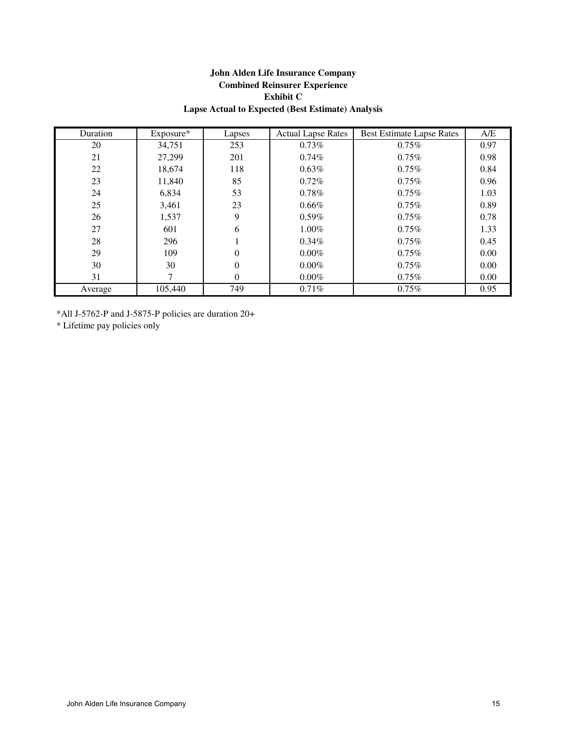# **John Alden Life Insurance Company Combined Reinsurer Experience Exhibit C Lapse Actual to Expected (Best Estimate) Analysis**

| Duration | $Exposure*$ | Lapses   | <b>Actual Lapse Rates</b> | <b>Best Estimate Lapse Rates</b> | A/E  |
|----------|-------------|----------|---------------------------|----------------------------------|------|
| 20       | 34,751      | 253      | $0.73\%$                  | $0.75\%$                         | 0.97 |
| 21       | 27,299      | 201      | $0.74\%$                  | $0.75\%$                         | 0.98 |
| 22       | 18,674      | 118      | $0.63\%$                  | $0.75\%$                         | 0.84 |
| 23       | 11,840      | 85       | 0.72%                     | 0.75%                            | 0.96 |
| 24       | 6,834       | 53       | 0.78%                     | 0.75%                            | 1.03 |
| 25       | 3,461       | 23       | $0.66\%$                  | 0.75%                            | 0.89 |
| 26       | 1,537       | 9        | $0.59\%$                  | $0.75\%$                         | 0.78 |
| 27       | 601         | 6        | $1.00\%$                  | $0.75\%$                         | 1.33 |
| 28       | 296         |          | $0.34\%$                  | 0.75%                            | 0.45 |
| 29       | 109         | 0        | $0.00\%$                  | $0.75\%$                         | 0.00 |
| 30       | 30          | $\theta$ | $0.00\%$                  | 0.75%                            | 0.00 |
| 31       |             | $\Omega$ | $0.00\%$                  | $0.75\%$                         | 0.00 |
| Average  | 105,440     | 749      | $0.71\%$                  | 0.75%                            | 0.95 |

\*All J-5762-P and J-5875-P policies are duration 20+

\* Lifetime pay policies only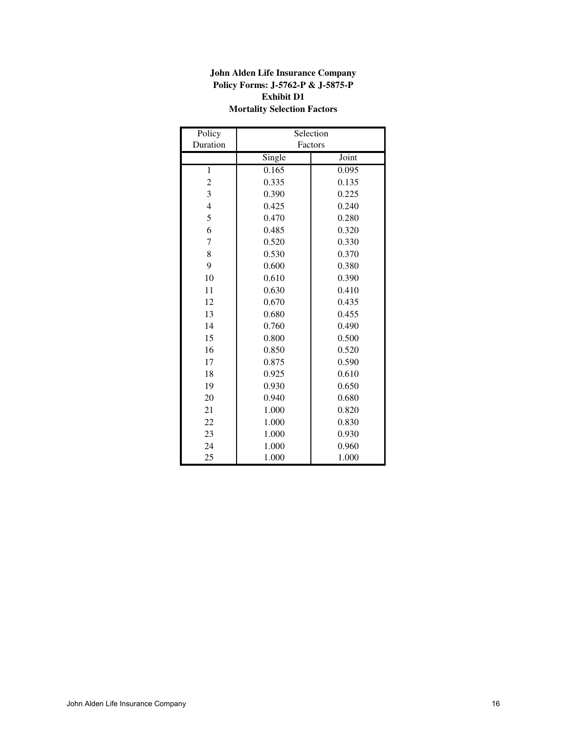# **John Alden Life Insurance Company Policy Forms: J-5762-P & J-5875-P Exhibit D1 Mortality Selection Factors**

| Policy   |        | Selection |
|----------|--------|-----------|
| Duration |        | Factors   |
|          | Single | Joint     |
| 1        | 0.165  | 0.095     |
| 2        | 0.335  | 0.135     |
| 3        | 0.390  | 0.225     |
| 4        | 0.425  | 0.240     |
| 5        | 0.470  | 0.280     |
| 6        | 0.485  | 0.320     |
| 7        | 0.520  | 0.330     |
| 8        | 0.530  | 0.370     |
| 9        | 0.600  | 0.380     |
| 10       | 0.610  | 0.390     |
| 11       | 0.630  | 0.410     |
| 12       | 0.670  | 0.435     |
| 13       | 0.680  | 0.455     |
| 14       | 0.760  | 0.490     |
| 15       | 0.800  | 0.500     |
| 16       | 0.850  | 0.520     |
| 17       | 0.875  | 0.590     |
| 18       | 0.925  | 0.610     |
| 19       | 0.930  | 0.650     |
| 20       | 0.940  | 0.680     |
| 21       | 1.000  | 0.820     |
| 22       | 1.000  | 0.830     |
| 23       | 1.000  | 0.930     |
| 24       | 1.000  | 0.960     |
| 25       | 1.000  | 1.000     |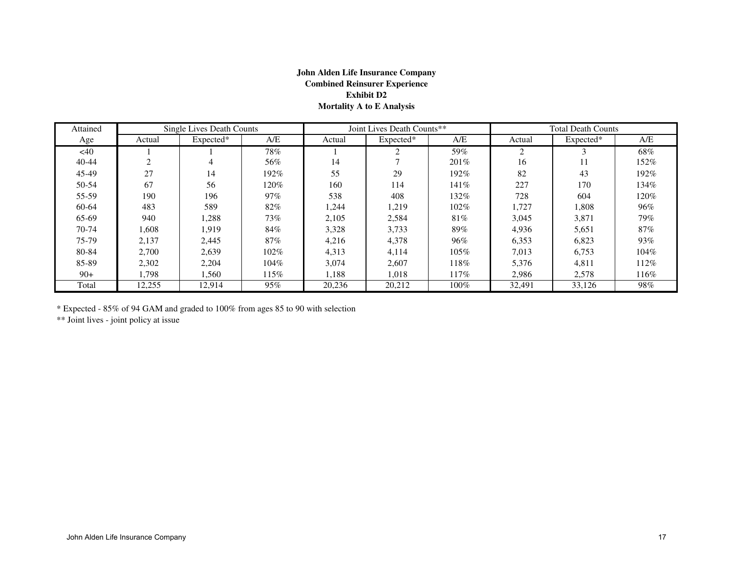# **John Alden Life Insurance CompanyCombined Reinsurer ExperienceExhibit D2Mortality A to E Analysis**

| Attained  |        | Single Lives Death Counts |        |        | Joint Lives Death Counts** |         |        | <b>Total Death Counts</b> |      |
|-----------|--------|---------------------------|--------|--------|----------------------------|---------|--------|---------------------------|------|
| Age       | Actual | Expected*                 | A/E    | Actual | Expected*                  | A/E     | Actual | Expected*                 | A/E  |
| <40       |        |                           | 78%    |        | $\sim$                     | 59%     | 2      |                           | 68%  |
| $40 - 44$ |        |                           | 56%    | 14     |                            | $201\%$ | 16     | 11                        | 152% |
| 45-49     | 27     | 14                        | 192%   | 55     | 29                         | 192%    | 82     | 43                        | 192% |
| 50-54     | 67     | 56                        | 120%   | 160    | 114                        | 141%    | 227    | 170                       | 134% |
| 55-59     | 190    | 196                       | $97\%$ | 538    | 408                        | 132%    | 728    | 604                       | 120% |
| 60-64     | 483    | 589                       | 82%    | 1,244  | 1,219                      | $102\%$ | 1,727  | 1,808                     | 96%  |
| 65-69     | 940    | 1,288                     | 73%    | 2,105  | 2,584                      | 81%     | 3,045  | 3,871                     | 79%  |
| $70-74$   | .608   | 1.919                     | 84%    | 3,328  | 3,733                      | 89%     | 4,936  | 5,651                     | 87%  |
| 75-79     | 2,137  | 2,445                     | 87%    | 4,216  | 4,378                      | 96%     | 6,353  | 6,823                     | 93%  |
| 80-84     | 2.700  | 2.639                     | 102%   | 4,313  | 4.114                      | 105%    | 7.013  | 6,753                     | 104% |
| 85-89     | 2,302  | 2,204                     | 104%   | 3.074  | 2,607                      | 118%    | 5,376  | 4,811                     | 112% |
| $90+$     | 1.798  | 1,560                     | 115%   | 1,188  | 1,018                      | 117%    | 2,986  | 2,578                     | 116% |
| Total     | 12,255 | 12,914                    | 95%    | 20,236 | 20,212                     | $100\%$ | 32,491 | 33,126                    | 98%  |

\* Expected - 85% of 94 GAM and graded to 100% from ages 85 to 90 with selection

\*\* Joint lives - joint policy at issue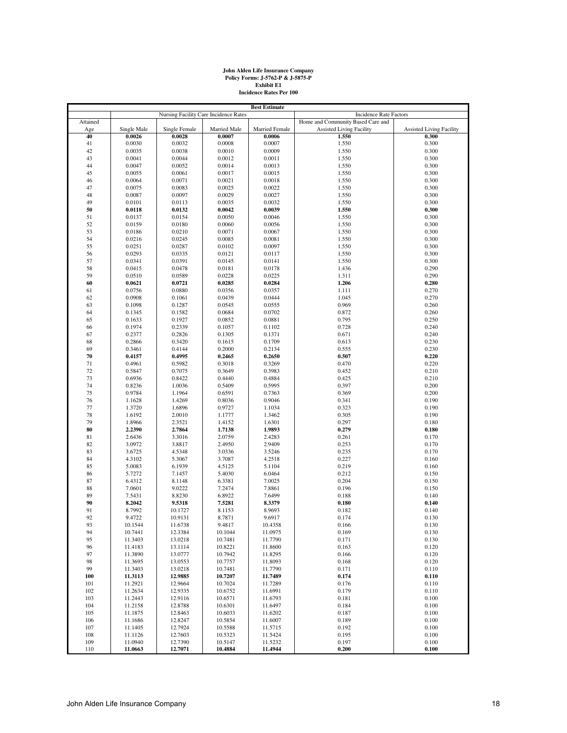# **John Alden Life Insurance Company Policy Forms: J-5762-P & J-5875-P Exhibit E1 Incidence Rates Per 100**

|          | <b>Best Estimate</b> |                                       |              |                       |                                   |                                 |  |  |  |
|----------|----------------------|---------------------------------------|--------------|-----------------------|-----------------------------------|---------------------------------|--|--|--|
|          |                      | Nursing Facility Care Incidence Rates |              |                       | Incidence Rate Factors            |                                 |  |  |  |
| Attained |                      |                                       |              |                       | Home and Community Based Care and |                                 |  |  |  |
| Age      | Single Male          | Single Female                         | Married Male | <b>Married Female</b> | <b>Assisted Living Facility</b>   | <b>Assisted Living Facility</b> |  |  |  |
| 40       | 0.0026               | 0.0028                                | 0.0007       | 0.0006                | 1.550                             | 0.300                           |  |  |  |
| 41       | 0.0030               | 0.0032                                | 0.0008       | 0.0007                | 1.550                             | 0.300                           |  |  |  |
| 42       | 0.0035               | 0.0038                                | 0.0010       | 0.0009                | 1.550                             | 0.300                           |  |  |  |
| 43       | 0.0041               | 0.0044                                | 0.0012       | 0.0011                | 1.550                             | 0.300                           |  |  |  |
| 44       | 0.0047               | 0.0052                                | 0.0014       | 0.0013                | 1.550                             | 0.300                           |  |  |  |
|          |                      |                                       |              |                       |                                   |                                 |  |  |  |
| 45       | 0.0055               | 0.0061                                | 0.0017       | 0.0015                | 1.550                             | 0.300                           |  |  |  |
| 46       | 0.0064               | 0.0071                                | 0.0021       | 0.0018                | 1.550                             | 0.300                           |  |  |  |
| 47       | 0.0075               | 0.0083                                | 0.0025       | 0.0022                | 1.550                             | 0.300                           |  |  |  |
| 48       | 0.0087               | 0.0097                                | 0.0029       | 0.0027                | 1.550                             | 0.300                           |  |  |  |
| 49       | 0.0101               | 0.0113                                | 0.0035       | 0.0032                | 1.550                             | 0.300                           |  |  |  |
| 50       | 0.0118               | 0.0132                                | 0.0042       | 0.0039                | 1.550                             | 0.300                           |  |  |  |
| 51       | 0.0137               | 0.0154                                | 0.0050       | 0.0046                | 1.550                             | 0.300                           |  |  |  |
| 52       | 0.0159               | 0.0180                                | 0.0060       | 0.0056                | 1.550                             | 0.300                           |  |  |  |
| 53       | 0.0186               | 0.0210                                | 0.0071       | 0.0067                | 1.550                             | 0.300                           |  |  |  |
| 54       | 0.0216               | 0.0245                                | 0.0085       | 0.0081                | 1.550                             | 0.300                           |  |  |  |
|          |                      |                                       |              |                       |                                   |                                 |  |  |  |
| 55       | 0.0251               | 0.0287                                | 0.0102       | 0.0097                | 1.550                             | 0.300                           |  |  |  |
| 56       | 0.0293               | 0.0335                                | 0.0121       | 0.0117                | 1.550                             | 0.300                           |  |  |  |
| 57       | 0.0341               | 0.0391                                | 0.0145       | 0.0141                | 1.550                             | 0.300                           |  |  |  |
| 58       | 0.0415               | 0.0478                                | 0.0181       | 0.0178                | 1.436                             | 0.290                           |  |  |  |
| 59       | 0.0510               | 0.0589                                | 0.0228       | 0.0225                | 1.311                             | 0.290                           |  |  |  |
| 60       | 0.0621               | 0.0721                                | 0.0285       | 0.0284                | 1.206                             | 0.280                           |  |  |  |
| 61       | 0.0756               | 0.0880                                | 0.0356       | 0.0357                | 1.111                             | 0.270                           |  |  |  |
| 62       | 0.0908               | 0.1061                                | 0.0439       | 0.0444                | 1.045                             | 0.270                           |  |  |  |
| 63       | 0.1098               | 0.1287                                | 0.0545       | 0.0555                | 0.969                             | 0.260                           |  |  |  |
| 64       | 0.1345               | 0.1582                                | 0.0684       | 0.0702                | 0.872                             | 0.260                           |  |  |  |
|          |                      |                                       |              |                       |                                   |                                 |  |  |  |
| 65       | 0.1633               | 0.1927                                | 0.0852       | 0.0881                | 0.795                             | 0.250                           |  |  |  |
| 66       | 0.1974               | 0.2339                                | 0.1057       | 0.1102                | 0.728                             | 0.240                           |  |  |  |
| 67       | 0.2377               | 0.2826                                | 0.1305       | 0.1371                | 0.671                             | 0.240                           |  |  |  |
| 68       | 0.2866               | 0.3420                                | 0.1615       | 0.1709                | 0.613                             | 0.230                           |  |  |  |
| 69       | 0.3461               | 0.4144                                | 0.2000       | 0.2134                | 0.555                             | 0.230                           |  |  |  |
| 70       | 0.4157               | 0.4995                                | 0.2465       | 0.2650                | 0.507                             | 0.220                           |  |  |  |
| 71       | 0.4961               | 0.5982                                | 0.3018       | 0.3269                | 0.470                             | 0.220                           |  |  |  |
| 72       | 0.5847               | 0.7075                                | 0.3649       | 0.3983                | 0.452                             | 0.210                           |  |  |  |
| 73       | 0.6936               | 0.8422                                | 0.4440       | 0.4884                | 0.425                             | 0.210                           |  |  |  |
| 74       | 0.8236               | 1.0036                                | 0.5409       | 0.5995                | 0.397                             | 0.200                           |  |  |  |
|          |                      |                                       |              |                       |                                   |                                 |  |  |  |
| 75       | 0.9784               | 1.1964                                | 0.6591       | 0.7363                | 0.369                             | 0.200                           |  |  |  |
| 76       | 1.1628               | 1.4269                                | 0.8036       | 0.9046                | 0.341                             | 0.190                           |  |  |  |
| 77       | 1.3720               | 1.6896                                | 0.9727       | 1.1034                | 0.323                             | 0.190                           |  |  |  |
| 78       | 1.6192               | 2.0010                                | 1.1777       | 1.3462                | 0.305                             | 0.190                           |  |  |  |
| 79       | 1.8966               | 2.3521                                | 1.4152       | 1.6301                | 0.297                             | 0.180                           |  |  |  |
| 80       | 2.2390               | 2.7864                                | 1.7138       | 1.9893                | 0.279                             | 0.180                           |  |  |  |
| 81       | 2.6436               | 3.3016                                | 2.0759       | 2.4283                | 0.261                             | 0.170                           |  |  |  |
| 82       | 3.0972               | 3.8817                                | 2.4950       | 2.9409                | 0.253                             | 0.170                           |  |  |  |
| 83       | 3.6725               | 4.5348                                | 3.0336       | 3.5246                | 0.235                             | 0.170                           |  |  |  |
| 84       | 4.3102               | 5.3067                                | 3.7087       | 4.2518                | 0.227                             | 0.160                           |  |  |  |
| 85       | 5.0083               | 6.1939                                | 4.5125       | 5.1104                | 0.219                             | 0.160                           |  |  |  |
|          |                      |                                       |              |                       |                                   |                                 |  |  |  |
| 86       | 5.7272               | 7.1457                                | 5.4030       | 6.0464                | 0.212                             | 0.150                           |  |  |  |
| 87       | 6.4312               | 8.1148                                | 6.3381       | 7.0025                | 0.204                             | 0.150                           |  |  |  |
| 88       | 7.0601               | 9.0222                                | 7.2474       | 7.8861                | 0.196                             | 0.150                           |  |  |  |
| 89       | 7.5431               | 8.8230                                | 6.8922       | 7.6499                | 0.188                             | 0.140                           |  |  |  |
| 90       | 8.2042               | 9.5318                                | 7.5281       | 8.3379                | 0.180                             | 0.140                           |  |  |  |
| 91       | 8.7992               | 10.1727                               | 8.1153       | 8.9693                | 0.182                             | 0.140                           |  |  |  |
| 92       | 9.4722               | 10.9131                               | 8.7871       | 9.6917                | 0.174                             | 0.130                           |  |  |  |
| 93       | 10.1544              | 11.6738                               | 9.4817       | 10.4358               | 0.166                             | 0.130                           |  |  |  |
| 94       | 10.7441              | 12.3384                               | 10.1044      | 11.0975               | 0.169                             | 0.130                           |  |  |  |
| 95       | 11.3403              | 13.0218                               | 10.7481      | 11.7790               | 0.171                             | 0.130                           |  |  |  |
| 96       | 11.4183              | 13.1114                               | 10.8221      | 11.8600               | 0.163                             | 0.120                           |  |  |  |
| 97       | 11.3890              | 13.0777                               | 10.7942      | 11.8295               | 0.166                             | 0.120                           |  |  |  |
|          |                      |                                       |              |                       |                                   |                                 |  |  |  |
| 98       | 11.3695              | 13.0553                               | 10.7757      | 11.8093               | 0.168                             | 0.120                           |  |  |  |
| 99       | 11.3403              | 13.0218                               | 10.7481      | 11.7790               | 0.171                             | 0.110                           |  |  |  |
| 100      | 11.3113              | 12.9885                               | 10.7207      | 11.7489               | 0.174                             | 0.110                           |  |  |  |
| 101      | 11.2921              | 12.9664                               | 10.7024      | 11.7289               | 0.176                             | 0.110                           |  |  |  |
| 102      | 11.2634              | 12.9335                               | 10.6752      | 11.6991               | 0.179                             | 0.110                           |  |  |  |
| 103      | 11.2443              | 12.9116                               | 10.6571      | 11.6793               | 0.181                             | 0.100                           |  |  |  |
| 104      | 11.2158              | 12.8788                               | 10.6301      | 11.6497               | 0.184                             | 0.100                           |  |  |  |
| 105      | 11.1875              | 12.8463                               | 10.6033      | 11.6202               | 0.187                             | 0.100                           |  |  |  |
| 106      | 11.1686              | 12.8247                               | 10.5854      | 11.6007               | 0.189                             | 0.100                           |  |  |  |
| 107      | 11.1405              | 12.7924                               | 10.5588      | 11.5715               | 0.192                             | 0.100                           |  |  |  |
| 108      | 11.1126              | 12.7603                               | 10.5323      | 11.5424               | 0.195                             | 0.100                           |  |  |  |
| 109      | 11.0940              | 12.7390                               | 10.5147      | 11.5232               | 0.197                             | 0.100                           |  |  |  |
|          |                      |                                       |              |                       |                                   |                                 |  |  |  |
| 110      | 11.0663              | 12.7071                               | 10.4884      | 11.4944               | 0.200                             | 0.100                           |  |  |  |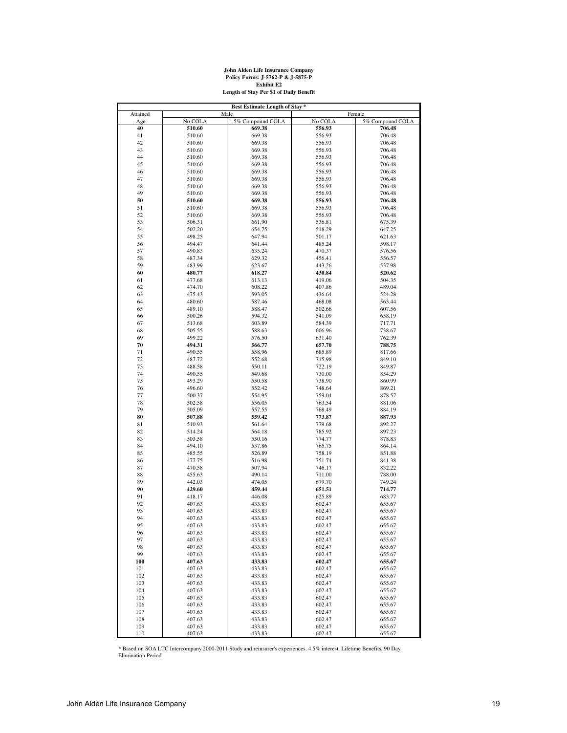

| Best Estimate Length of Stay * |                  |                  |                  |                  |  |  |  |  |  |  |
|--------------------------------|------------------|------------------|------------------|------------------|--|--|--|--|--|--|
| Attained                       | Male             |                  | Female           |                  |  |  |  |  |  |  |
| Age                            | No COLA          | 5% Compound COLA | No COLA          | 5% Compound COLA |  |  |  |  |  |  |
| 40                             | 510.60           | 669.38           | 556.93           | 706.48           |  |  |  |  |  |  |
| 41                             | 510.60           | 669.38           | 556.93           | 706.48           |  |  |  |  |  |  |
| 42                             | 510.60           | 669.38           | 556.93           | 706.48           |  |  |  |  |  |  |
| 43                             | 510.60           | 669.38           | 556.93           | 706.48           |  |  |  |  |  |  |
| 44                             | 510.60           | 669.38           | 556.93           | 706.48           |  |  |  |  |  |  |
| 45                             | 510.60           | 669.38           | 556.93           | 706.48           |  |  |  |  |  |  |
| 46                             | 510.60           | 669.38           | 556.93           | 706.48           |  |  |  |  |  |  |
| 47                             | 510.60           | 669.38           | 556.93           | 706.48           |  |  |  |  |  |  |
| 48                             | 510.60           | 669.38           | 556.93           | 706.48           |  |  |  |  |  |  |
| 49                             | 510.60           | 669.38           | 556.93           | 706.48           |  |  |  |  |  |  |
| 50                             | 510.60           | 669.38           | 556.93           | 706.48           |  |  |  |  |  |  |
| 51                             | 510.60           | 669.38           | 556.93           | 706.48           |  |  |  |  |  |  |
| 52                             | 510.60           | 669.38           | 556.93           | 706.48           |  |  |  |  |  |  |
| 53                             | 506.31           | 661.90           | 536.81           | 675.39           |  |  |  |  |  |  |
| 54                             | 502.20           | 654.75           | 518.29           | 647.25           |  |  |  |  |  |  |
| 55                             | 498.25           | 647.94           | 501.17           | 621.63           |  |  |  |  |  |  |
| 56                             | 494.47           | 641.44           | 485.24           | 598.17           |  |  |  |  |  |  |
| 57                             | 490.83           | 635.24           | 470.37           | 576.56           |  |  |  |  |  |  |
| 58                             | 487.34           | 629.32           | 456.41           | 556.57           |  |  |  |  |  |  |
| 59                             | 483.99           | 623.67           | 443.26           | 537.98           |  |  |  |  |  |  |
| 60                             | 480.77           | 618.27           | 430.84           | 520.62           |  |  |  |  |  |  |
| 61                             | 477.68           | 613.13           | 419.06           | 504.35           |  |  |  |  |  |  |
| 62                             | 474.70           | 608.22           | 407.86           | 489.04           |  |  |  |  |  |  |
| 63                             | 475.43           | 593.05           | 436.64           | 524.28           |  |  |  |  |  |  |
| 64                             | 480.60           | 587.46           | 468.08           | 563.44           |  |  |  |  |  |  |
| 65                             | 489.10           | 588.47           | 502.66           | 607.56           |  |  |  |  |  |  |
| 66                             | 500.26           | 594.32           | 541.09           | 658.19           |  |  |  |  |  |  |
| 67                             | 513.68           | 603.89           | 584.39           | 717.71           |  |  |  |  |  |  |
| 68                             | 505.55           | 588.63           | 606.96           | 738.67           |  |  |  |  |  |  |
| 69                             | 499.22           | 576.50           | 631.40           | 762.39           |  |  |  |  |  |  |
| 70                             | 494.31           | 566.77           | 657.70           | 788.75           |  |  |  |  |  |  |
| 71                             | 490.55           | 558.96           | 685.89           | 817.66           |  |  |  |  |  |  |
| 72                             | 487.72           | 552.68           | 715.98           | 849.10           |  |  |  |  |  |  |
| 73                             | 488.58           | 550.11           | 722.19           | 849.87           |  |  |  |  |  |  |
| 74                             | 490.55           | 549.68           | 730.00           | 854.29           |  |  |  |  |  |  |
| 75                             | 493.29           | 550.58           | 738.90           | 860.99           |  |  |  |  |  |  |
| 76                             | 496.60           | 552.42           | 748.64           | 869.21           |  |  |  |  |  |  |
| 77                             | 500.37           | 554.95           | 759.04           | 878.57           |  |  |  |  |  |  |
| 78                             | 502.58           | 556.05           | 763.54           | 881.06           |  |  |  |  |  |  |
| 79                             | 505.09           | 557.55           | 768.49           | 884.19           |  |  |  |  |  |  |
| 80                             | 507.88           | 559.42           | 773.87           | 887.93           |  |  |  |  |  |  |
| 81                             | 510.93           | 561.64           | 779.68           | 892.27           |  |  |  |  |  |  |
| 82                             | 514.24           | 564.18           | 785.92           | 897.23           |  |  |  |  |  |  |
| 83                             | 503.58           | 550.16           | 774.77           | 878.83           |  |  |  |  |  |  |
| 84                             | 494.10           | 537.86           | 765.75           | 864.14           |  |  |  |  |  |  |
| 85                             | 485.55           | 526.89           | 758.19           | 851.88           |  |  |  |  |  |  |
| 86                             | 477.75           | 516.98           | 751.74           | 841.38           |  |  |  |  |  |  |
| 87                             | 470.58           | 507.94           | 746.17           | 832.22           |  |  |  |  |  |  |
| 88                             | 455.63           | 490.14           | 711.00           | 788.00           |  |  |  |  |  |  |
| 89                             | 442.03           | 474.05           | 679.70           | 749.24           |  |  |  |  |  |  |
| 90                             | 429.60           | 459.44           | 651.51           | 714.77           |  |  |  |  |  |  |
| 91                             | 418.17           | 446.08           | 625.89           | 683.77           |  |  |  |  |  |  |
| 92                             | 407.63           | 433.83           | 602.47           | 655.67           |  |  |  |  |  |  |
| 93                             | 407.63           | 433.83           | 602.47           | 655.67           |  |  |  |  |  |  |
| 94                             | 407.63           | 433.83           | 602.47           | 655.67           |  |  |  |  |  |  |
| 95                             | 407.63           | 433.83           | 602.47           | 655.67           |  |  |  |  |  |  |
| 96                             | 407.63           | 433.83           | 602.47           | 655.67           |  |  |  |  |  |  |
| 97                             | 407.63           | 433.83           | 602.47           | 655.67           |  |  |  |  |  |  |
| 98                             | 407.63           | 433.83           | 602.47           | 655.67           |  |  |  |  |  |  |
| 99                             | 407.63           | 433.83           | 602.47           | 655.67           |  |  |  |  |  |  |
| 100                            | 407.63           | 433.83           | 602.47           | 655.67           |  |  |  |  |  |  |
| 101                            | 407.63           | 433.83           | 602.47           | 655.67           |  |  |  |  |  |  |
| 102                            | 407.63           | 433.83           | 602.47           | 655.67           |  |  |  |  |  |  |
|                                | 407.63           |                  | 602.47           | 655.67           |  |  |  |  |  |  |
| 103<br>104                     | 407.63           | 433.83<br>433.83 | 602.47           | 655.67           |  |  |  |  |  |  |
|                                | 407.63           | 433.83           | 602.47           | 655.67           |  |  |  |  |  |  |
| 105                            | 407.63           | 433.83           |                  |                  |  |  |  |  |  |  |
| 106                            |                  |                  | 602.47           | 655.67           |  |  |  |  |  |  |
| 107                            | 407.63           | 433.83           | 602.47           | 655.67<br>655.67 |  |  |  |  |  |  |
| 108<br>109                     | 407.63<br>407.63 | 433.83<br>433.83 | 602.47<br>602.47 | 655.67           |  |  |  |  |  |  |
| 110                            | 407.63           | 433.83           | 602.47           | 655.67           |  |  |  |  |  |  |
|                                |                  |                  |                  |                  |  |  |  |  |  |  |

\* Based on SOA LTC Intercompany 2000-2011 Study and reinsurer's experiences. 4.5% interest. Lifetime Benefits, 90 Day Elimination Period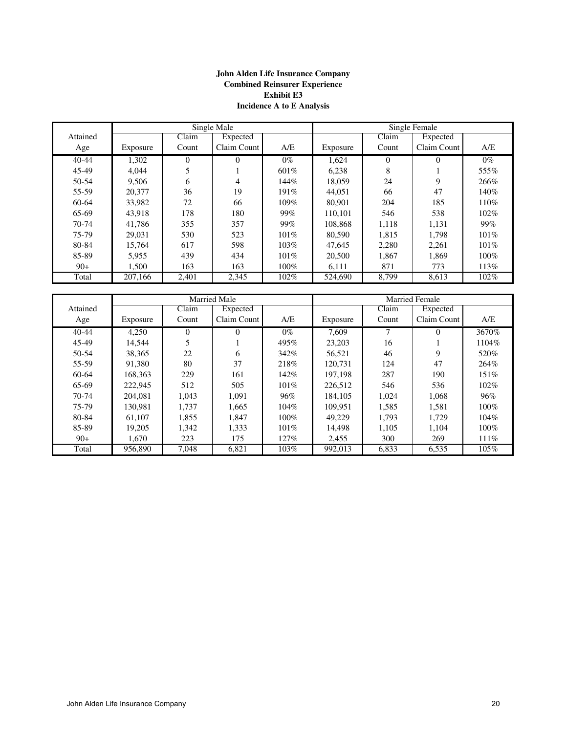# **John Alden Life Insurance Company Combined Reinsurer Experience Exhibit E3 Incidence A to E Analysis**

|          |          |       | Single Male |       | Single Female |          |             |         |  |
|----------|----------|-------|-------------|-------|---------------|----------|-------------|---------|--|
| Attained |          | Claim | Expected    |       |               | Claim    | Expected    |         |  |
| Age      | Exposure | Count | Claim Count | A/E   | Exposure      | Count    | Claim Count | A/E     |  |
| 40-44    | 1,302    | 0     | 0           | $0\%$ | 1.624         | $\Omega$ | $\Omega$    | $0\%$   |  |
| 45-49    | 4.044    | 5     |             | 601\% | 6,238         | 8        |             | 555%    |  |
| 50-54    | 9,506    | 6     | 4           | 144%  | 18,059        | 24       | 9           | 266%    |  |
| 55-59    | 20,377   | 36    | 19          | 191%  | 44.051        | 66       | 47          | 140%    |  |
| 60-64    | 33,982   | 72    | 66          | 109%  | 80,901        | 204      | 185         | 110%    |  |
| 65-69    | 43.918   | 178   | 180         | 99%   | 110.101       | 546      | 538         | 102%    |  |
| 70-74    | 41,786   | 355   | 357         | 99%   | 108,868       | 1,118    | 1,131       | 99%     |  |
| 75-79    | 29.031   | 530   | 523         | 101%  | 80,590        | 1.815    | 1.798       | 101%    |  |
| 80-84    | 15.764   | 617   | 598         | 103%  | 47.645        | 2,280    | 2.261       | 101%    |  |
| 85-89    | 5,955    | 439   | 434         | 101%  | 20,500        | 1.867    | 1.869       | 100%    |  |
| $90+$    | 1,500    | 163   | 163         | 100%  | 6,111         | 871      | 773         | 113\%   |  |
| Total    | 207,166  | 2,401 | 2,345       | 102%  | 524,690       | 8.799    | 8,613       | $102\%$ |  |

|           |          |          | <b>Married Male</b> |       |          |       | <b>Married Female</b> |         |
|-----------|----------|----------|---------------------|-------|----------|-------|-----------------------|---------|
| Attained  |          | Claim    | Expected            |       |          | Claim | Expected              |         |
| Age       | Exposure | Count    | Claim Count         | A/E   | Exposure | Count | Claim Count           | A/E     |
| $40 - 44$ | 4.250    | $\Omega$ | $\Omega$            | $0\%$ | 7.609    | 7     | $\Omega$              | 3670%   |
| 45-49     | 14.544   | 5        |                     | 495%  | 23,203   | 16    |                       | 1104%   |
| 50-54     | 38.365   | 22       | 6                   | 342%  | 56.521   | 46    | 9                     | 520%    |
| 55-59     | 91.380   | 80       | 37                  | 218%  | 120.731  | 124   | 47                    | 264%    |
| 60-64     | 168.363  | 229      | 161                 | 142%  | 197.198  | 287   | 190                   | 151%    |
| 65-69     | 222.945  | 512      | 505                 | 101%  | 226,512  | 546   | 536                   | $102\%$ |
| 70-74     | 204.081  | 1,043    | 1,091               | 96%   | 184.105  | 1,024 | 1,068                 | 96%     |
| 75-79     | 130.981  | 1,737    | 1,665               | 104%  | 109.951  | 1,585 | 1,581                 | 100%    |
| 80-84     | 61.107   | 1,855    | 1.847               | 100%  | 49.229   | 1.793 | 1.729                 | 104%    |
| 85-89     | 19.205   | 1.342    | 1,333               | 101%  | 14.498   | 1.105 | 1,104                 | $100\%$ |
| $90+$     | 1,670    | 223      | 175                 | 127%  | 2,455    | 300   | 269                   | 111%    |
| Total     | 956,890  | 7,048    | 6,821               | 103%  | 992,013  | 6,833 | 6,535                 | 105%    |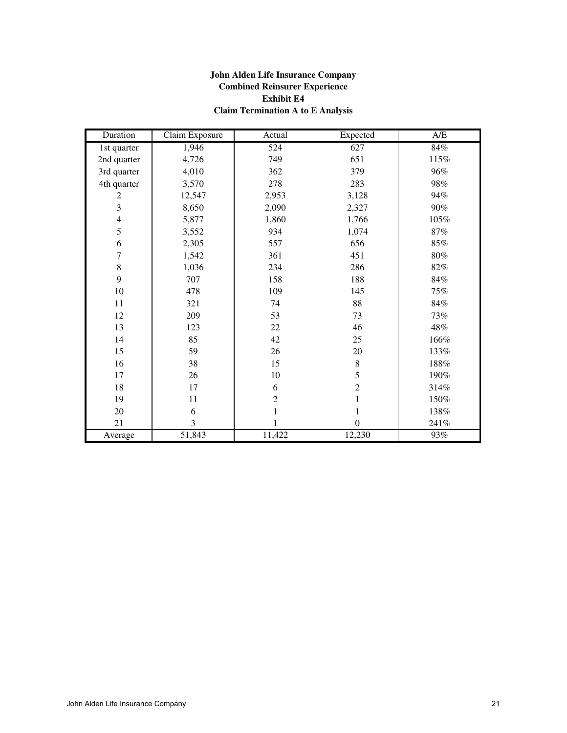# **John Alden Life Insurance Company Combined Reinsurer Experience Exhibit E4 Claim Termination A to E Analysis**

| Duration                 | <b>Claim Exposure</b> | Actual           | Expected         | A/E    |
|--------------------------|-----------------------|------------------|------------------|--------|
| 1st quarter              | 1,946                 | $\overline{524}$ | 627              | $84\%$ |
| 2nd quarter              | 4,726                 | 749              | 651              | 115%   |
| 3rd quarter              | 4,010                 | 362              | 379              | 96%    |
| 4th quarter              | 3,570                 | 278              | 283              | 98%    |
| $\overline{c}$           | 12,547                | 2,953            | 3,128            | 94%    |
| 3                        | 8,650                 | 2,090            | 2,327            | 90%    |
| $\overline{\mathcal{L}}$ | 5,877                 | 1,860            | 1,766            | 105%   |
| 5                        | 3,552                 | 934              | 1,074            | $87\%$ |
| 6                        | 2,305                 | 557              | 656              | $85\%$ |
| 7                        | 1,542                 | 361              | 451              | $80\%$ |
| $\,8\,$                  | 1,036                 | 234              | 286              | 82%    |
| 9                        | 707                   | 158              | 188              | $84\%$ |
| $10\,$                   | 478                   | 109              | 145              | 75%    |
| $11\,$                   | 321                   | 74               | 88               | $84\%$ |
| 12                       | 209                   | 53               | 73               | 73%    |
| 13                       | 123                   | 22               | 46               | 48%    |
| 14                       | 85                    | 42               | 25               | 166%   |
| 15                       | 59                    | 26               | $20\,$           | 133%   |
| 16                       | 38                    | 15               | $\,8\,$          | 188%   |
| 17                       | 26                    | $10\,$           | 5                | 190%   |
| $18\,$                   | 17                    | 6                | $\boldsymbol{2}$ | 314%   |
| 19                       | 11                    | $\overline{c}$   | $\mathbf{1}$     | 150%   |
| 20                       | 6                     | $\mathbf{1}$     | 1                | 138%   |
| 21                       | 3                     |                  | $\boldsymbol{0}$ | 241%   |
| Average                  | 51,843                | 11,422           | 12,230           | 93%    |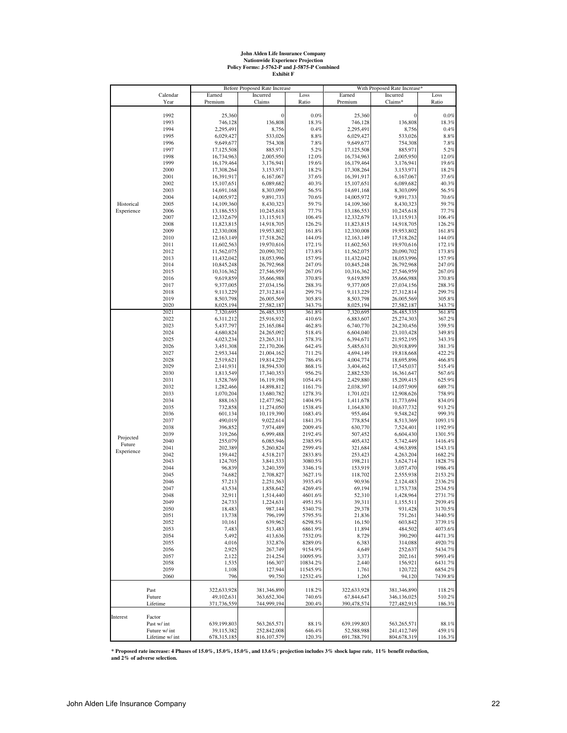# **John Alden Life Insurance Company Nationwide Experience Projection Policy Forms: J-5762-P and J-5875-P Combined Exhibit F**

|            |                       |                          | <b>Before Proposed Rate Increase</b> |                    | With Proposed Rate Increase*<br>Earned<br>Incurred |                            |                    |  |
|------------|-----------------------|--------------------------|--------------------------------------|--------------------|----------------------------------------------------|----------------------------|--------------------|--|
|            | Calendar<br>Year      | Earned<br>Premium        | Incurred<br>Claims                   | Loss<br>Ratio      | Premium                                            | Claims*                    | Loss<br>Ratio      |  |
|            |                       |                          |                                      |                    |                                                    |                            |                    |  |
|            | 1992                  | 25,360                   | $\bf{0}$                             | 0.0%               | 25,360                                             | $\mathbf{0}$               | $0.0\%$            |  |
|            | 1993                  | 746,128                  | 136,808                              | 18.3%              | 746,128                                            | 136,808                    | 18.3%              |  |
|            | 1994                  | 2,295,491                | 8,756                                | 0.4%               | 2,295,491                                          | 8,756                      | 0.4%               |  |
|            | 1995                  | 6,029,427                | 533,026                              | $8.8\%$            | 6,029,427                                          | 533,026                    | $8.8\%$            |  |
|            | 1996                  | 9,649,677                | 754,308                              | 7.8%               | 9,649,677                                          | 754,308                    | 7.8%               |  |
|            | 1997                  | 17,125,508               | 885,971                              | 5.2%               | 17,125,508                                         | 885,971                    | 5.2%               |  |
|            | 1998                  | 16,734,963               | 2,005,950                            | 12.0%              | 16,734,963                                         | 2,005,950                  | 12.0%              |  |
|            | 1999                  | 16,179,464               | 3,176,941                            | 19.6%              | 16,179,464                                         | 3,176,941                  | 19.6%              |  |
|            | 2000                  | 17,308,264               | 3,153,971                            | 18.2%              | 17,308,264                                         | 3,153,971                  | 18.2%              |  |
|            | 2001                  | 16,391,917               | 6,167,067                            | 37.6%              | 16,391,917                                         | 6,167,067                  | 37.6%              |  |
|            | 2002                  | 15,107,651               | 6,089,682                            | 40.3%              | 15,107,651                                         | 6,089,682                  | 40.3%              |  |
|            | 2003                  | 14,691,168               | 8,303,099                            | 56.5%              | 14,691,168                                         | 8,303,099                  | 56.5%              |  |
|            | 2004                  | 14,005,972               | 9,891,733                            | 70.6%              | 14,005,972                                         | 9,891,733                  | 70.6%              |  |
| Historical | 2005                  | 14,109,360               | 8,430,323                            | 59.7%              | 14,109,360                                         | 8,430,323                  | 59.7%              |  |
| Experience | 2006<br>2007          | 13,186,553               | 10,245,618                           | 77.7%<br>106.4%    | 13,186,553                                         | 10,245,618                 | 77.7%<br>106.4%    |  |
|            | 2008                  | 12,332,679<br>11,823,815 | 13,115,913<br>14,918,705             | 126.2%             | 12,332,679<br>11,823,815                           | 13,115,913<br>14,918,705   | 126.2%             |  |
|            | 2009                  | 12,330,008               | 19,953,802                           | 161.8%             | 12,330,008                                         | 19,953,802                 | 161.8%             |  |
|            | 2010                  | 12,163,149               | 17,518,262                           | 144.0%             | 12,163,149                                         | 17,518,262                 | 144.0%             |  |
|            | 2011                  | 11,602,563               | 19,970,616                           | 172.1%             | 11,602,563                                         | 19,970,616                 | 172.1%             |  |
|            | 2012                  | 11,562,075               | 20,090,702                           | 173.8%             | 11,562,075                                         | 20,090,702                 | 173.8%             |  |
|            | 2013                  | 11,432,042               | 18,053,996                           | 157.9%             | 11,432,042                                         | 18,053,996                 | 157.9%             |  |
|            | 2014                  | 10,845,248               | 26,792,968                           | 247.0%             | 10,845,248                                         | 26,792,968                 | 247.0%             |  |
|            | 2015                  | 10,316,362               | 27,546,959                           | 267.0%             | 10,316,362                                         | 27,546,959                 | 267.0%             |  |
|            | 2016                  | 9,619,859                | 35,666,988                           | 370.8%             | 9,619,859                                          | 35,666,988                 | 370.8%             |  |
|            | 2017                  | 9,377,005                | 27,034,156                           | 288.3%             | 9,377,005                                          | 27,034,156                 | 288.3%             |  |
|            | 2018                  | 9,113,229                | 27,312,814                           | 299.7%             | 9,113,229                                          | 27,312,814                 | 299.7%             |  |
|            | 2019                  | 8,503,798                | 26,005,569                           | 305.8%             | 8,503,798                                          | 26,005,569                 | 305.8%             |  |
|            | 2020                  | 8,025,194                | 27,582,187                           | 343.7%             | 8,025,194                                          | 27,582,187                 | 343.7%             |  |
|            | 2021                  | 7,320,695                | 26,485,335                           | 361.8%             | 7,320,695                                          | 26,485,335                 | 361.8%             |  |
|            | 2022                  | 6,311,212                | 25,916,932                           | 410.6%             | 6,883,607                                          | 25,274,303                 | 367.2%             |  |
|            | 2023                  | 5,437,797                | 25,165,084                           | 462.8%             | 6,740,770                                          | 24,230,456                 | 359.5%             |  |
|            | 2024                  | 4,680,824                | 24,265,092                           | 518.4%             | 6,604,040                                          | 23,103,428<br>21,952,195   | 349.8%             |  |
|            | 2025<br>2026          | 4,023,234                | 23,265,311                           | 578.3%<br>642.4%   | 6,394,671                                          | 20,918,899                 | 343.3%<br>381.3%   |  |
|            | 2027                  | 3,451,308<br>2,953,344   | 22,170,206<br>21,004,162             | 711.2%             | 5,485,631<br>4,694,149                             | 19,818,668                 | 422.2%             |  |
|            | 2028                  | 2,519,621                | 19,814,229                           | 786.4%             | 4,004,774                                          | 18,695,896                 | 466.8%             |  |
|            | 2029                  | 2,141,931                | 18,594,530                           | 868.1%             | 3,404,462                                          | 17,545,037                 | 515.4%             |  |
|            | 2030                  | 1,813,549                | 17,340,353                           | 956.2%             | 2,882,520                                          | 16,361,647                 | 567.6%             |  |
|            | 2031                  | 1,528,769                | 16,119,198                           | 1054.4%            | 2,429,880                                          | 15,209,415                 | 625.9%             |  |
|            | 2032                  | 1,282,466                | 14,898,812                           | 1161.7%            | 2,038,397                                          | 14,057,909                 | 689.7%             |  |
|            | 2033                  | 1,070,204                | 13,680,782                           | 1278.3%            | 1,701,021                                          | 12,908,626                 | 758.9%             |  |
|            | 2034                  | 888,163                  | 12,477,962                           | 1404.9%            | 1,411,678                                          | 11,773,694                 | 834.0%             |  |
|            | 2035                  | 732,858                  | 11,274,050                           | 1538.4%            | 1,164,830                                          | 10,637,732                 | 913.2%             |  |
|            | 2036                  | 601,134                  | 10,119,390                           | 1683.4%            | 955,464                                            | 9,548,242                  | 999.3%             |  |
|            | 2037                  | 490,019                  | 9,022,614                            | 1841.3%            | 778,854                                            | 8,513,369                  | 1093.1%            |  |
|            | 2038                  | 396,852                  | 7,974,489                            | 2009.4%            | 630,770                                            | 7,524,401                  | 1192.9%            |  |
| Projected  | 2039                  | 319,266                  | 6,999,488                            | 2192.4%            | 507,452                                            | 6,604,430                  | 1301.5%            |  |
| Future     | 2040                  | 255,079                  | 6,085,946                            | 2385.9%            | 405,432                                            | 5,742,449                  | 1416.4%            |  |
| Experience | 2041                  | 202.389                  | 5,260,824                            | 2599.4%            | 321,684                                            | 4,963,898                  | 1543.1%            |  |
|            | 2042                  | 159,442                  | 4,518,217                            | 2833.8%            | 253,423                                            | 4,263,204                  | 1682.2%            |  |
|            | 2043                  | 124,705                  | 3,841,533                            | 3080.5%            | 198,211                                            | 3,624,714                  | 1828.7%            |  |
|            | 2044                  | 96,839                   | 3,240,359                            | 3346.1%            | 153,919                                            | 3,057,470                  | 1986.4%            |  |
|            | 2045                  | 74,682                   | 2,708,827                            | 3627.1%            | 118,702                                            | 2,555,938                  | 2153.2%            |  |
|            | 2046<br>2047          | 57,213<br>43,534         | 2,251,563<br>1,858,642               | 3935.4%<br>4269.4% | 90,936<br>69,194                                   | 2,124,483<br>1,753,738     | 2336.2%<br>2534.5% |  |
|            | 2048                  |                          |                                      |                    |                                                    |                            |                    |  |
|            | 2049                  | 32,911<br>24,733         | 1,514,440<br>1,224,631               | 4601.6%<br>4951.5% | 52,310<br>39,311                                   | 1,428,964<br>1,155,511     | 2731.7%<br>2939.4% |  |
|            | 2050                  | 18,483                   | 987,144                              | 5340.7%            | 29,378                                             | 931,428                    | 3170.5%            |  |
|            | 2051                  | 13,738                   | 796,199                              | 5795.5%            | 21,836                                             | 751,261                    | 3440.5%            |  |
|            | 2052                  | 10,161                   | 639,962                              | 6298.5%            | 16,150                                             | 603,842                    | 3739.1%            |  |
|            | 2053                  | 7,483                    | 513,483                              | 6861.9%            | 11,894                                             | 484,502                    | 4073.6%            |  |
|            | 2054                  | 5,492                    | 413,636                              | 7532.0%            | 8,729                                              | 390,290                    | 4471.3%            |  |
|            | 2055                  | 4,016                    | 332,876                              | 8289.0%            | 6,383                                              | 314,088                    | 4920.7%            |  |
|            | 2056                  | 2,925                    | 267,749                              | 9154.9%            | 4,649                                              | 252,637                    | 5434.7%            |  |
|            | 2057                  | 2,122                    | 214,254                              | 10095.9%           | 3,373                                              | 202,161                    | 5993.4%            |  |
|            | 2058                  | 1,535                    | 166,307                              | 10834.2%           | 2,440                                              | 156,921                    | 6431.7%            |  |
|            | 2059                  | 1,108                    | 127,944                              | 11545.9%           | 1,761                                              | 120,722                    | 6854.2%            |  |
|            | 2060                  | 796                      | 99,750                               | 12532.4%           | 1,265                                              | 94,120                     | 7439.8%            |  |
|            |                       |                          |                                      |                    |                                                    |                            |                    |  |
|            | Past                  | 322,633,928              | 381,346,890                          | 118.2%             | 322,633,928                                        | 381,346,890                | 118.2%             |  |
|            | Future                | 49,102,631               | 363,652,304                          | 740.6%             | 67,844,647                                         | 346,136,025                | 510.2%             |  |
|            | Lifetime              | 371,736,559              | 744,999,194                          | 200.4%             | 390,478,574                                        | 727,482,915                | 186.3%             |  |
|            |                       |                          |                                      |                    |                                                    |                            |                    |  |
| Interest   | Factor<br>Past w/ int | 639,199,803              |                                      | 88.1%              | 639,199,803                                        |                            | 88.1%              |  |
|            | Future w/ int         | 39,115,382               | 563,265,571<br>252,842,008           | 646.4%             | 52,588,988                                         | 563,265,571<br>241,412,749 | 459.1%             |  |
|            | Lifetime w/ int       | 678,315,185              | 816, 107, 579                        | 120.3%             | 691,788,791                                        | 804,678,319                | 116.3%             |  |
|            |                       |                          |                                      |                    |                                                    |                            |                    |  |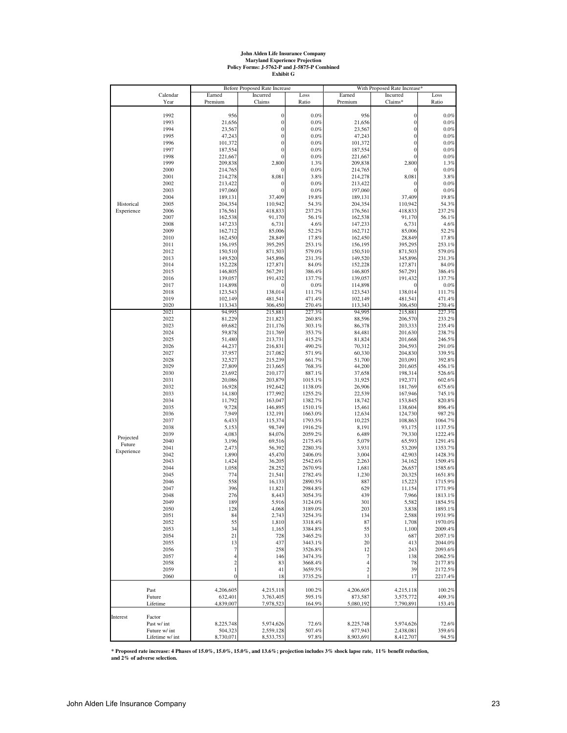# **John Alden Life Insurance Company Maryland Experience Projection Policy Forms: J-5762-P and J-5875-P Combined Exhibit G**

|            |                  |                         | Before Proposed Rate Increase  |                    |                      | With Proposed Rate Increase* |                    |
|------------|------------------|-------------------------|--------------------------------|--------------------|----------------------|------------------------------|--------------------|
|            | Calendar<br>Year | Earned<br>Premium       | Incurred<br>Claims             | Loss<br>Ratio      | Earned<br>Premium    | Incurred<br>Claims*          | Loss<br>Ratio      |
|            |                  |                         |                                |                    |                      |                              |                    |
|            | 1992             | 956                     | $\boldsymbol{0}$               | 0.0%               | 956                  | $\mathbf{0}$                 | $0.0\%$            |
|            | 1993             | 21,656                  | $\boldsymbol{0}$               | 0.0%               | 21,656               | $\mathbf{0}$                 | $0.0\%$            |
|            | 1994             | 23,567                  | $\mathbf{0}$                   | 0.0%               | 23,567               | $\boldsymbol{0}$             | $0.0\%$            |
|            | 1995             | 47,243                  | $\mathbf{0}$                   | 0.0%               | 47,243               | $\boldsymbol{0}$             | $0.0\%$            |
|            | 1996             | 101,372                 | $\mathbf{0}$                   | 0.0%               | 101,372              | $\mathbf{0}$                 | 0.0%               |
|            | 1997             | 187,554                 | $\mathbf{0}$                   | 0.0%               | 187,554              | $\boldsymbol{0}$             | $0.0\%$            |
|            | 1998             | 221,667                 | $\mathbf{0}$                   | 0.0%               | 221,667              | $\mathbf{0}$                 | 0.0%               |
|            | 1999             | 209,838                 | 2,800                          | 1.3%               | 209,838              | 2,800                        | 1.3%               |
|            | 2000             | 214,765                 |                                | 0.0%               | 214,765              |                              | 0.0%               |
|            | 2001             | 214,278                 | 8,081                          | 3.8%               | 214,278              | 8,081                        | 3.8%               |
|            | 2002             | 213,422                 | $\mathbf{0}$<br>$\overline{0}$ | 0.0%               | 213,422<br>197,060   | $\mathbf{0}$                 | $0.0\%$            |
|            | 2003<br>2004     | 197,060<br>189,131      | 37,409                         | 0.0%<br>19.8%      | 189,131              | $\boldsymbol{0}$<br>37,409   | $0.0\%$<br>19.8%   |
| Historical | 2005             | 204,354                 | 110,942                        | 54.3%              | 204,354              | 110,942                      | 54.3%              |
| Experience | 2006             | 176,561                 | 418,833                        | 237.2%             | 176,561              | 418,833                      | 237.2%             |
|            | 2007             | 162,538                 | 91,170                         | 56.1%              | 162,538              | 91,170                       | 56.1%              |
|            | 2008             | 147,233                 | 6,731                          | 4.6%               | 147,233              | 6,731                        | 4.6%               |
|            | 2009             | 162,712                 | 85,006                         | 52.2%              | 162,712              | 85,006                       | 52.2%              |
|            | 2010             | 162,450                 | 28,849                         | 17.8%              | 162,450              | 28,849                       | 17.8%              |
|            | 2011             | 156,195                 | 395,295                        | 253.1%             | 156,195              | 395,295                      | 253.1%             |
|            | 2012             | 150,510                 | 871,503                        | 579.0%             | 150,510              | 871,503                      | 579.0%             |
|            | 2013             | 149,520                 | 345,896                        | 231.3%             | 149,520              | 345,896                      | 231.3%             |
|            | 2014             | 152,228                 | 127,871                        | 84.0%              | 152,228              | 127,871                      | 84.0%              |
|            | 2015             | 146,805                 | 567,291                        | 386.4%             | 146,805              | 567,291                      | 386.4%             |
|            | 2016             | 139,057                 | 191,432                        | 137.7%             | 139,057              | 191,432                      | 137.7%             |
|            | 2017             | 114,898                 | 0                              | 0.0%               | 114,898              | 0                            | $0.0\%$            |
|            | 2018             | 123,543                 | 138,014                        | 111.7%             | 123,543              | 138,014                      | 111.7%             |
|            | 2019             | 102,149                 | 481,541                        | 471.4%             | 102,149              | 481,541                      | 471.4%             |
|            | 2020             | 113,343                 | 306,450                        | 270.4%             | 113,343              | 306,450                      | 270.4%             |
|            | 2021             | 94,995                  | 215,881                        | 227.3%             | 94,995               | 215,881                      | 227.3%             |
|            | 2022             | 81,229                  | 211,823                        | 260.8%             | 88,596               | 206,570                      | 233.2%             |
|            | 2023             | 69,682                  | 211,176                        | 303.1%             | 86,378               | 203,333                      | 235.4%             |
|            | 2024             | 59,878                  | 211,769                        | 353.7%             | 84,481               | 201,630                      | 238.7%             |
|            | 2025             | 51,480                  | 213,731                        | 415.2%             | 81,824               | 201,668                      | 246.5%             |
|            | 2026             | 44,237                  | 216,831                        | 490.2%             | 70,312               | 204,593                      | 291.0%             |
|            | 2027             | 37,957                  | 217,082                        | 571.9%             | 60,330               | 204,830                      | 339.5%             |
|            | 2028             | 32,527                  | 215,239                        | 661.7%             | 51,700               | 203,091                      | 392.8%             |
|            | 2029             | 27,809                  | 213,665                        | 768.3%             | 44,200               | 201,605                      | 456.1%             |
|            | 2030             | 23,692                  | 210,177                        | 887.1%             | 37,658               | 198,314                      | 526.6%             |
|            | 2031             | 20,086                  | 203,879                        | 1015.1%            | 31,925               | 192,371                      | 602.6%             |
|            | 2032             | 16,928                  | 192,642                        | 1138.0%            | 26,906               | 181,769                      | 675.6%             |
|            | 2033             | 14,180                  | 177,992                        | 1255.2%            | 22,539               | 167,946                      | 745.1%             |
|            | 2034             | 11,792                  | 163,047                        | 1382.7%            | 18,742               | 153,845                      | 820.8%             |
|            | 2035             | 9,728                   | 146,895                        | 1510.1%            | 15,461               | 138,604                      | 896.4%             |
|            | 2036             | 7,949                   | 132,191                        | 1663.0%            | 12,634               | 124,730                      | 987.2%             |
|            | 2037<br>2038     | 6,433<br>5,153          | 115,374<br>98,749              | 1793.5%            | 10,225<br>8,191      | 108,863<br>93,175            | 1064.7%<br>1137.5% |
|            | 2039             | 4,083                   | 84,076                         | 1916.2%<br>2059.2% | 6,489                | 79,330                       | 1222.4%            |
| Projected  | 2040             | 3,196                   | 69,516                         | 2175.4%            | 5,079                | 65,593                       | 1291.4%            |
| Future     | 2041             | 2,473                   | 56,392                         | 2280.3%            | 3,931                | 53,209                       | 1353.7%            |
| Experience | 2042             | 1,890                   | 45,470                         | 2406.0%            | 3,004                | 42,903                       | 1428.3%            |
|            | 2043             | 1,424                   | 36,205                         | 2542.6%            | 2,263                | 34,162                       | 1509.4%            |
|            | 2044             | 1,058                   | 28,252                         | 2670.9%            | 1,681                | 26,657                       | 1585.6%            |
|            | 2045             | 774                     | 21,541                         | 2782.4%            | 1,230                | 20,325                       | 1651.8%            |
|            | 2046             | 558                     | 16,133                         | 2890.5%            | 887                  | 15,223                       | 1715.9%            |
|            | 2047             | 396                     | 11,821                         | 2984.8%            | 629                  | 11,154                       | 1771.9%            |
|            | 2048             | 276                     | 8,443                          | 3054.3%            | 439                  | 7,966                        | 1813.1%            |
|            | 2049             | 189                     | 5,916                          | 3124.0%            | 301                  | 5,582                        | 1854.5%            |
|            | 2050             | 128                     | 4,068                          | 3189.0%            | 203                  | 3,838                        | 1893.1%            |
|            | 2051             | 84                      | 2,743                          | 3254.3%            | 134                  | 2,588                        | 1931.9%            |
|            | 2052             | 55                      | 1,810                          | 3318.4%            | 87                   | 1,708                        | 1970.0%            |
|            | 2053             | 34                      | 1,165                          | 3384.8%            | 55                   | 1,100                        | 2009.4%            |
|            | 2054             | 21                      | 728                            | 3465.2%            | 33                   | 687                          | 2057.1%            |
|            | 2055             | 13                      | 437                            | 3443.1%            | 20                   | 413                          | 2044.0%            |
|            | 2056             | $\tau$                  | 258                            | 3526.8%            | 12                   | 243                          | 2093.6%            |
|            | 2057             | 4                       | 146                            | 3474.3%            | $\overline{7}$       | 138                          | 2062.5%            |
|            | 2058             | $\overline{\mathbf{c}}$ | 83                             | 3668.4%            | $\overline{4}$       | 78                           | 2177.8%            |
|            | 2059             | $\,$ 1 $\,$             | 41                             | 3659.5%            | $\overline{2}$       | 39                           | 2172.5%            |
|            | 2060             | $\bf{0}$                | 18                             | 3735.2%            | 1                    | 17                           | 2217.4%            |
|            |                  |                         |                                |                    |                      |                              |                    |
|            | Past             | 4,206,605               | 4,215,118                      | 100.2%             | 4,206,605            | 4,215,118                    | 100.2%             |
|            | Future           | 632,401                 | 3,763,405                      | 595.1%<br>164.9%   | 873,587<br>5,080,192 | 3,575,772<br>7,790,891       | 409.3%             |
|            | Lifetime         | 4,839,007               | 7,978,523                      |                    |                      |                              | 153.4%             |
| Interest   | Factor           |                         |                                |                    |                      |                              |                    |
|            | Past w/ int      | 8,225,748               | 5,974,626                      | 72.6%              | 8,225,748            | 5,974,626                    | 72.6%              |
|            | Future w/ int    | 504,323                 | 2,559,128                      | 507.4%             | 677,943              | 2,438,081                    | 359.6%             |
|            | Lifetime w/ int  | 8,730,071               | 8,533,753                      | 97.8%              | 8,903,691            | 8,412,707                    | 94.5%              |
|            |                  |                         |                                |                    |                      |                              |                    |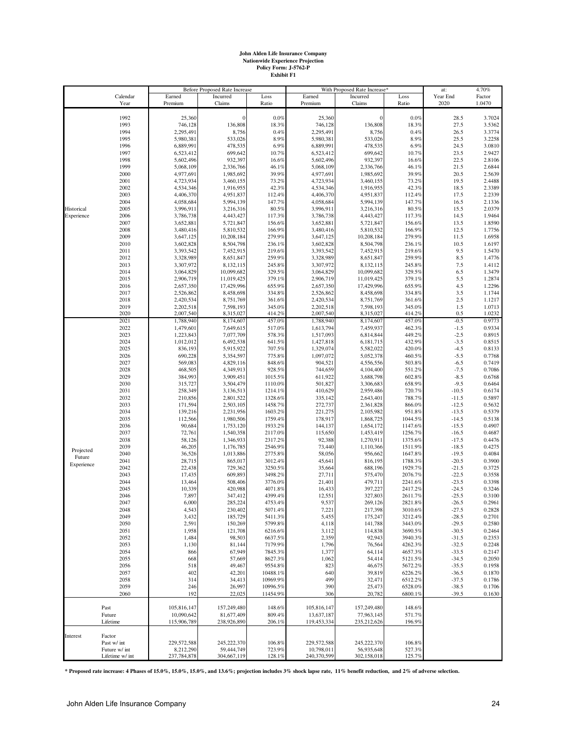# **John Alden Life Insurance Company Nationwide Experience Projection Policy Form: J-5762-P Exhibit F1**

|            |                 |                        | Before Proposed Rate Increase |                |             | With Proposed Rate Increase* |         | at:          | 4.70%            |
|------------|-----------------|------------------------|-------------------------------|----------------|-------------|------------------------------|---------|--------------|------------------|
|            | Calendar        | Earned                 | Incurred                      | Loss           | Earned      | Incurred                     | Loss    | Year End     | Factor           |
|            | Year            | Premium                | Claims                        | Ratio          | Premium     | Claims                       | Ratio   | 2020         | 1.0470           |
|            | 1992            |                        | $\mathbf{0}$                  | 0.0%           | 25,360      |                              | 0.0%    |              |                  |
|            | 1993            | 25,360<br>746,128      | 136,808                       | 18.3%          | 746,128     | 136,808                      | 18.3%   | 28.5<br>27.5 | 3.7024<br>3.5362 |
|            | 1994            | 2,295,491              | 8,756                         | 0.4%           | 2,295,491   | 8,756                        | 0.4%    | 26.5         | 3.3774           |
|            | 1995            | 5,980,381              | 533,026                       | 8.9%           | 5,980,381   | 533,026                      | 8.9%    | 25.5         | 3.2258           |
|            | 1996            | 6,889,991              | 478,535                       | 6.9%           | 6,889,991   | 478,535                      | 6.9%    | 24.5         | 3.0810           |
|            | 1997            | 6,523,412              | 699,642                       | 10.7%          | 6,523,412   | 699,642                      | 10.7%   | 23.5         | 2.9427           |
|            | 1998            | 5,602,496              | 932,397                       |                | 5,602,496   | 932,397                      | 16.6%   | 22.5         | 2.8106           |
|            | 1999            |                        | 2,336,766                     | 16.6%          | 5,068,109   | 2,336,766                    | 46.1%   | 21.5         | 2.6844           |
|            | 2000            | 5,068,109              | 1,985,692                     | 46.1%<br>39.9% | 4,977,691   | 1,985,692                    | 39.9%   | 20.5         | 2.5639           |
|            |                 | 4,977,691<br>4,723,934 | 3,460,155                     | 73.2%          | 4,723,934   |                              | 73.2%   | 19.5         | 2.4488           |
|            | 2001            | 4,534,346              |                               |                | 4,534,346   | 3,460,155<br>1,916,955       | 42.3%   | 18.5         | 2.3389           |
|            | 2002            |                        | 1,916,955                     | 42.3%          | 4,406,370   | 4,951,837                    |         | 17.5         | 2.2339           |
|            | 2003            | 4,406,370              | 4,951,837                     | 112.4%         |             |                              | 112.4%  |              |                  |
| Historical | 2004            | 4,058,684              | 5,994,139                     | 147.7%         | 4,058,684   | 5,994,139<br>3,216,316       | 147.7%  | 16.5         | 2.1336           |
|            | 2005            | 3,996,911              | 3,216,316                     | 80.5%          | 3,996,911   |                              | 80.5%   | 15.5<br>14.5 | 2.0379           |
| Experience | 2006            | 3,786,738              | 4,443,427                     | 117.3%         | 3,786,738   | 4,443,427                    | 117.3%  |              | 1.9464           |
|            | 2007            | 3,652,881              | 5,721,847                     | 156.6%         | 3,652,881   | 5,721,847                    | 156.6%  | 13.5         | 1.8590           |
|            | 2008            | 3,480,416              | 5,810,532                     | 166.9%         | 3,480,416   | 5,810,532                    | 166.9%  | 12.5         | 1.7756           |
|            | 2009            | 3,647,125              | 10,208,184                    | 279.9%         | 3,647,125   | 10,208,184                   | 279.9%  | 11.5         | 1.6958           |
|            | 2010            | 3,602,828              | 8,504,798                     | 236.1%         | 3,602,828   | 8,504,798                    | 236.1%  | 10.5         | 1.6197           |
|            | 2011            | 3,393,542              | 7,452,915                     | 219.6%         | 3,393,542   | 7,452,915                    | 219.6%  | 9.5          | 1.5470           |
|            | 2012            | 3,328,989              | 8,651,847                     | 259.9%         | 3,328,989   | 8,651,847                    | 259.9%  | 8.5          | 1.4776           |
|            | 2013            | 3,307,972              | 8,132,115                     | 245.8%         | 3,307,972   | 8,132,115                    | 245.8%  | 7.5          | 1.4112           |
|            | 2014            | 3,064,829              | 10,099,682                    | 329.5%         | 3,064,829   | 10,099,682                   | 329.5%  | 6.5          | 1.3479           |
|            | 2015            | 2,906,719              | 11,019,425                    | 379.1%         | 2,906,719   | 11,019,425                   | 379.1%  | 5.5          | 1.2874           |
|            | 2016            | 2,657,350              | 17,429,996                    | 655.9%         | 2,657,350   | 17,429,996                   | 655.9%  | 4.5          | 1.2296           |
|            | 2017            | 2,526,862              | 8,458,698                     | 334.8%         | 2,526,862   | 8,458,698                    | 334.8%  | 3.5          | 1.1744           |
|            | 2018            | 2,420,534              | 8,751,769                     | 361.6%         | 2,420,534   | 8,751,769                    | 361.6%  | 2.5          | 1.1217           |
|            | 2019            | 2,202,518              | 7,598,193                     | 345.0%         | 2,202,518   | 7,598,193                    | 345.0%  | 1.5          | 1.0713           |
|            | 2020            | 2,007,540              | 8,315,027                     | 414.2%         | 2,007,540   | 8,315,027                    | 414.2%  | 0.5          | 1.0232           |
|            | 2021            | 1,788,940              | 8,174,607                     | 457.0%         | 1,788,940   | 8,174,607                    | 457.0%  | $-0.5$       | 0.9773           |
|            | 2022            | 1,479,601              | 7,649,615                     | 517.0%         | 1,613,794   | 7,459,937                    | 462.3%  | $-1.5$       | 0.9334           |
|            | 2023            | 1,223,843              | 7,077,709                     | 578.3%         | 1,517,093   | 6,814,844                    | 449.2%  | $-2.5$       | 0.8915           |
|            | 2024            | 1,012,012              | 6,492,538                     | 641.5%         | 1,427,818   | 6,181,715                    | 432.9%  | $-3.5$       | 0.8515           |
|            | 2025            | 836,193                | 5,915,922                     | 707.5%         | 1,329,074   | 5,582,022                    | 420.0%  | $-4.5$       | 0.8133           |
|            | 2026            | 690,228                | 5,354,597                     | 775.8%         | 1,097,072   | 5,052,378                    | 460.5%  | $-5.5$       | 0.7768           |
|            | 2027            | 569,083                | 4,829,116                     | 848.6%         | 904,521     | 4,556,556                    | 503.8%  | $-6.5$       | 0.7419           |
|            | 2028            | 468,505                | 4,349,913                     | 928.5%         | 744,659     | 4,104,400                    | 551.2%  | $-7.5$       | 0.7086           |
|            | 2029            | 384,993                | 3,909,451                     | 1015.5%        | 611,922     | 3,688,798                    | 602.8%  | $-8.5$       | 0.6768           |
|            | 2030            | 315,727                | 3,504,479                     | 1110.0%        | 501,827     | 3,306,683                    | 658.9%  | $-9.5$       | 0.6464           |
|            | 2031            | 258,349                | 3,136,513                     | 1214.1%        | 410,629     | 2,959,486                    | 720.7%  | $-10.5$      | 0.6174           |
|            | 2032            | 210,856                | 2,801,522                     | 1328.6%        | 335,142     | 2,643,401                    | 788.7%  | $-11.5$      | 0.5897           |
|            | 2033            | 171,594                | 2,503,105                     | 1458.7%        | 272,737     | 2,361,828                    | 866.0%  | $-12.5$      | 0.5632           |
|            | 2034            | 139,216                | 2,231,956                     | 1603.2%        | 221,275     | 2,105,982                    | 951.8%  | $-13.5$      | 0.5379           |
|            | 2035            | 112,566                | 1,980,506                     | 1759.4%        | 178,917     | 1,868,725                    | 1044.5% | $-14.5$      | 0.5138           |
|            | 2036            | 90,684                 | 1,753,120                     | 1933.2%        | 144,137     | 1,654,172                    | 1147.6% | $-15.5$      | 0.4907           |
|            | 2037            | 72,761                 | 1,540,358                     | 2117.0%        | 115,650     | 1,453,419                    | 1256.7% | $-16.5$      | 0.4687           |
|            | 2038            | 58,126                 | 1,346,933                     | 2317.2%        | 92,388      | 1,270,911                    | 1375.6% | $-17.5$      | 0.4476           |
|            | 2039            | 46,205                 | 1,176,785                     | 2546.9%        | 73,440      | 1,110,366                    | 1511.9% | $-18.5$      | 0.4275           |
| Projected  | 2040            | 36,526                 | 1,013,886                     | 2775.8%        | 58,056      | 956,662                      | 1647.8% | $-19.5$      | 0.4084           |
| Future     | 2041            | 28,715                 | 865,017                       | 3012.4%        | 45,641      | 816,195                      | 1788.3% | $-20.5$      | 0.3900           |
| Experience | 2042            | 22,438                 | 729,362                       | 3250.5%        | 35,664      | 688,196                      | 1929.7% | $-21.5$      | 0.3725           |
|            | 2043            | 17,435                 | 609,893                       | 3498.2%        | 27,711      | 575,470                      | 2076.7% | $-22.5$      | 0.3558           |
|            | 2044            | 13,464                 | 508,406                       | 3776.0%        | 21,401      | 479,711                      | 2241.6% | $-23.5$      | 0.3398           |
|            | 2045            | 10,339                 | 420,988                       | 4071.8%        | 16,433      | 397,227                      | 2417.2% | $-24.5$      | 0.3246           |
|            | 2046            | 7,897                  | 347,412                       | 4399.4%        | 12,551      | 327,803                      | 2611.7% | $-25.5$      | 0.3100           |
|            | 2047            | 6,000                  | 285,224                       | 4753.4%        | 9,537       | 269,126                      | 2821.8% | $-26.5$      | 0.2961           |
|            | 2048            | 4,543                  | 230,402                       | 5071.4%        | 7,221       | 217,398                      | 3010.6% | $-27.5$      | 0.2828           |
|            | 2049            | 3,432                  | 185,729                       | 5411.3%        | 5,455       | 175,247                      | 3212.4% | $-28.5$      | 0.2701           |
|            | 2050            | 2,591                  | 150,269                       | 5799.8%        | 4,118       | 141,788                      | 3443.0% | $-29.5$      | 0.2580           |
|            | 2051            | 1,958                  | 121,708                       | 6216.6%        | 3,112       | 114,838                      | 3690.5% | $-30.5$      | 0.2464           |
|            | 2052            | 1,484                  | 98,503                        | 6637.5%        | 2,359       | 92,943                       | 3940.3% | $-31.5$      | 0.2353           |
|            | 2053            | 1,130                  | 81,144                        | 7179.9%        | 1,796       | 76,564                       | 4262.3% | $-32.5$      | 0.2248           |
|            | 2054            | 866                    | 67,949                        | 7845.3%        | 1,377       | 64,114                       | 4657.3% | $-33.5$      | 0.2147           |
|            | 2055            | 668                    | 57,669                        | 8627.3%        | 1,062       | 54,414                       | 5121.5% | $-34.5$      | 0.2050           |
|            | 2056            | 518                    | 49,467                        | 9554.8%        | 823         | 46,675                       | 5672.2% | $-35.5$      | 0.1958           |
|            | 2057            | 402                    | 42,201                        | 10488.1%       | 640         | 39,819                       | 6226.2% | $-36.5$      | 0.1870           |
|            | 2058            | 314                    | 34,413                        | 10969.9%       | 499         | 32,471                       | 6512.2% | $-37.5$      | 0.1786           |
|            | 2059            | 246                    | 26,997                        | 10996.5%       | 390         | 25,473                       | 6528.0% | $-38.5$      | 0.1706           |
|            | 2060            | 192                    | 22,025                        | 11454.9%       | 306         | 20,782                       | 6800.1% | $-39.5$      | 0.1630           |
|            |                 |                        |                               |                |             |                              |         |              |                  |
|            | Past            | 105,816,147            | 157,249,480                   | 148.6%         | 105,816,147 | 157,249,480                  | 148.6%  |              |                  |
|            | Future          | 10,090,642             | 81,677,409                    | 809.4%         | 13,637,187  | 77,963,145                   | 571.7%  |              |                  |
|            | Lifetime        | 115,906,789            | 238,926,890                   | 206.1%         | 119,453,334 | 235,212,626                  | 196.9%  |              |                  |
|            |                 |                        |                               |                |             |                              |         |              |                  |
| Interest   | Factor          |                        |                               |                |             |                              |         |              |                  |
|            | Past w/ int     | 229,572,588            | 245,222,370                   | 106.8%         | 229,572,588 | 245,222,370                  | 106.8%  |              |                  |
|            | Future w/ int   | 8,212,290              | 59,444,749                    | 723.9%         | 10,798,011  | 56,935,648                   | 527.3%  |              |                  |
|            | Lifetime w/ int | 237,784,878            | 304,667,119                   | 128.1%         | 240,370,599 | 302,158,018                  | 125.7%  |              |                  |
|            |                 |                        |                               |                |             |                              |         |              |                  |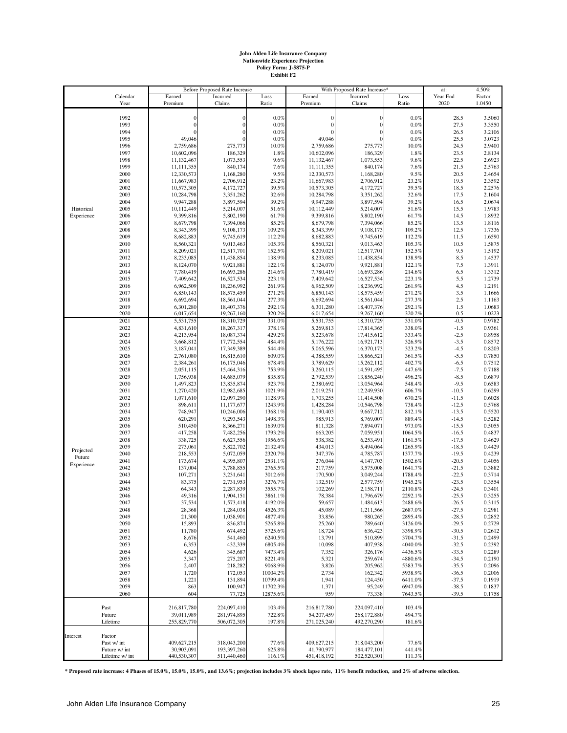# **John Alden Life Insurance Company Nationwide Experience Projection Policy Form: J-5875-P Exhibit F2**

|            |                 |                | Before Proposed Rate Increase |              |             | With Proposed Rate Increase* |         | at:      | 4.50%            |
|------------|-----------------|----------------|-------------------------------|--------------|-------------|------------------------------|---------|----------|------------------|
|            | Calendar        | Earned         | Incurred                      | Loss         | Earned      | Incurred                     | Loss    | Year End | Factor           |
|            | Year            | Premium        | Claims                        | Ratio        | Premium     | Claims                       | Ratio   | 2020     | 1.0450           |
|            | 1992            | $\overline{0}$ | $\theta$                      | 0.0%         | ſ           | $\mathbf 0$                  | 0.0%    | 28.5     |                  |
|            | 1993            | $\mathbf{0}$   | $\boldsymbol{0}$              | 0.0%         | $\Omega$    | $\mathbf{0}$                 | 0.0%    | 27.5     | 3.5060<br>3.3550 |
|            | 1994            | $\Omega$       | $\theta$                      | 0.0%         |             | $\Omega$                     | 0.0%    | 26.5     | 3.2106           |
|            | 1995            | 49,046         | $\Omega$                      | 0.0%         | 49,046      |                              | 0.0%    | 25.5     | 3.0723           |
|            | 1996            | 2,759,686      | 275,773                       | 10.0%        | 2,759,686   | 275,773                      | 10.0%   | 24.5     | 2.9400           |
|            | 1997            | 10,602,096     | 186,329                       | 1.8%         | 10,602,096  | 186,329                      | 1.8%    | 23.5     | 2.8134           |
|            | 1998            | 11,132,467     | 1,073,553                     | 9.6%         | 11,132,467  | 1,073,553                    | 9.6%    | 22.5     | 2.6923           |
|            |                 | 11,111,355     | 840,174                       |              | 11,111,355  | 840,174                      | 7.6%    | 21.5     |                  |
|            | 1999            | 12,330,573     | 1,168,280                     | 7.6%<br>9.5% | 12,330,573  |                              | 9.5%    | 20.5     | 2.5763<br>2.4654 |
|            | 2000            |                | 2,706,912                     | 23.2%        |             | 1,168,280                    | 23.2%   | 19.5     | 2.3592           |
|            | 2001            | 11,667,983     |                               | 39.5%        | 11,667,983  | 2,706,912<br>4,172,727       | 39.5%   | 18.5     |                  |
|            | 2002            | 10,573,305     | 4,172,727                     |              | 10,573,305  |                              |         |          | 2.2576           |
|            | 2003            | 10,284,798     | 3,351,262                     | 32.6%        | 10,284,798  | 3,351,262                    | 32.6%   | 17.5     | 2.1604           |
|            | 2004            | 9,947,288      | 3,897,594                     | 39.2%        | 9,947,288   | 3,897,594                    | 39.2%   | 16.5     | 2.0674           |
| Historical | 2005            | 10,112,449     | 5,214,007                     | 51.6%        | 10,112,449  | 5,214,007                    | 51.6%   | 15.5     | 1.9783           |
| Experience | 2006            | 9,399,816      | 5,802,190                     | 61.7%        | 9,399,816   | 5,802,190                    | 61.7%   | 14.5     | 1.8932           |
|            | 2007            | 8,679,798      | 7,394,066                     | 85.2%        | 8,679,798   | 7,394,066                    | 85.2%   | 13.5     | 1.8116           |
|            | 2008            | 8,343,399      | 9,108,173                     | 109.2%       | 8,343,399   | 9,108,173                    | 109.2%  | 12.5     | 1.7336           |
|            | 2009            | 8,682,883      | 9,745,619                     | 112.2%       | 8,682,883   | 9,745,619                    | 112.2%  | 11.5     | 1.6590           |
|            | 2010            | 8,560,321      | 9,013,463                     | 105.3%       | 8,560,321   | 9,013,463                    | 105.3%  | 10.5     | 1.5875           |
|            | 2011            | 8,209,021      | 12,517,701                    | 152.5%       | 8,209,021   | 12,517,701                   | 152.5%  | 9.5      | 1.5192           |
|            | 2012            | 8,233,085      | 11,438,854                    | 138.9%       | 8,233,085   | 11,438,854                   | 138.9%  | 8.5      | 1.4537           |
|            | 2013            | 8,124,070      | 9,921,881                     | 122.1%       | 8,124,070   | 9,921,881                    | 122.1%  | 7.5      | 1.3911           |
|            | 2014            | 7,780,419      | 16,693,286                    | 214.6%       | 7,780,419   | 16,693,286                   | 214.6%  | 6.5      | 1.3312           |
|            | 2015            | 7,409,642      | 16,527,534                    | 223.1%       | 7,409,642   | 16,527,534                   | 223.1%  | 5.5      | 1.2739           |
|            | 2016            | 6,962,509      | 18,236,992                    | 261.9%       | 6,962,509   | 18,236,992                   | 261.9%  | 4.5      | 1.2191           |
|            | 2017            | 6,850,143      | 18,575,459                    | 271.2%       | 6,850,143   | 18,575,459                   | 271.2%  | 3.5      | 1.1666           |
|            | 2018            | 6,692,694      | 18,561,044                    | 277.3%       | 6,692,694   | 18,561,044                   | 277.3%  | 2.5      | 1.1163           |
|            | 2019            | 6,301,280      | 18,407,376                    | 292.1%       | 6,301,280   | 18,407,376                   | 292.1%  | 1.5      | 1.0683           |
|            | 2020            | 6,017,654      | 19,267,160                    | 320.2%       | 6,017,654   | 19,267,160                   | 320.2%  | 0.5      | 1.0223           |
|            | 2021            | 5,531,755      | 18,310,729                    | 331.0%       | 5,531,755   | 18,310,729                   | 331.0%  | $-0.5$   | 0.9782           |
|            | 2022            | 4,831,610      | 18,267,317                    | 378.1%       | 5,269,813   | 17,814,365                   | 338.0%  | $-1.5$   | 0.9361           |
|            | 2023            | 4,213,954      | 18,087,374                    | 429.2%       | 5,223,678   | 17,415,612                   | 333.4%  | $-2.5$   | 0.8958           |
|            | 2024            | 3,668,812      | 17,772,554                    | 484.4%       | 5,176,222   | 16,921,713                   | 326.9%  | $-3.5$   | 0.8572           |
|            | 2025            | 3,187,041      | 17,349,389                    | 544.4%       | 5,065,596   | 16,370,173                   | 323.2%  | $-4.5$   | 0.8203           |
|            | 2026            | 2,761,080      | 16,815,610                    | 609.0%       | 4,388,559   | 15,866,521                   | 361.5%  | $-5.5$   | 0.7850           |
|            | 2027            | 2,384,261      | 16,175,046                    | 678.4%       | 3,789,629   | 15,262,112                   | 402.7%  | $-6.5$   | 0.7512           |
|            | 2028            | 2,051,115      | 15,464,316                    | 753.9%       | 3,260,115   | 14,591,495                   | 447.6%  | $-7.5$   | 0.7188           |
|            | 2029            | 1,756,938      | 14,685,079                    | 835.8%       | 2,792,539   | 13,856,240                   | 496.2%  | $-8.5$   | 0.6879           |
|            | 2030            | 1,497,823      | 13,835,874                    | 923.7%       | 2,380,692   | 13,054,964                   | 548.4%  | $-9.5$   | 0.6583           |
|            | 2031            | 1,270,420      | 12,982,685                    | 1021.9%      | 2,019,251   | 12,249,930                   | 606.7%  | $-10.5$  | 0.6299           |
|            | 2032            | 1,071,610      | 12,097,290                    | 1128.9%      | 1,703,255   | 11,414,508                   | 670.2%  | $-11.5$  | 0.6028           |
|            | 2033            | 898,611        | 11,177,677                    | 1243.9%      | 1,428,284   | 10,546,798                   | 738.4%  | $-12.5$  | 0.5768           |
|            | 2034            | 748,947        | 10,246,006                    | 1368.1%      | 1,190,403   | 9,667,712                    | 812.1%  | $-13.5$  | 0.5520           |
|            | 2035            | 620,291        | 9,293,543                     | 1498.3%      | 985,913     | 8,769,007                    | 889.4%  | $-14.5$  | 0.5282           |
|            |                 |                |                               |              |             |                              |         |          |                  |
|            | 2036            | 510,450        | 8,366,271                     | 1639.0%      | 811,328     | 7,894,071                    | 973.0%  | $-15.5$  | 0.5055           |
|            | 2037            | 417,258        | 7,482,256                     | 1793.2%      | 663,205     | 7,059,951                    | 1064.5% | $-16.5$  | 0.4837           |
|            | 2038            | 338,725        | 6,627,556                     | 1956.6%      | 538,382     | 6,253,491                    | 1161.5% | $-17.5$  | 0.4629           |
| Projected  | 2039            | 273,061        | 5,822,702                     | 2132.4%      | 434,013     | 5,494,064                    | 1265.9% | $-18.5$  | 0.4429           |
| Future     | 2040            | 218,553        | 5,072,059                     | 2320.7%      | 347,376     | 4,785,787                    | 1377.7% | $-19.5$  | 0.4239           |
| Experience | 2041            | 173,674        | 4,395,807                     | 2531.1%      | 276,044     | 4,147,703                    | 1502.6% | $-20.5$  | 0.4056           |
|            | 2042            | 137,004        | 3,788,855                     | 2765.5%      | 217,759     | 3,575,008                    | 1641.7% | $-21.5$  | 0.3882           |
|            | 2043            | 107,271        | 3,231,641                     | 3012.6%      | 170,500     | 3,049,244                    | 1788.4% | $-22.5$  | 0.3714           |
|            | 2044            | 83,375         | 2,731,953                     | 3276.7%      | 132,519     | 2,577,759                    | 1945.2% | $-23.5$  | 0.3554           |
|            | 2045            | 64,343         | 2,287,839                     | 3555.7%      | 102,269     | 2,158,711                    | 2110.8% | $-24.5$  | 0.3401           |
|            | 2046            | 49,316         | 1,904,151                     | 3861.1%      | 78,384      | 1,796,679                    | 2292.1% | $-25.5$  | 0.3255           |
|            | 2047            | 37,534         | 1,573,418                     | 4192.0%      | 59,657      | 1,484,613                    | 2488.6% | $-26.5$  | 0.3115           |
|            | 2048            | 28,368         | 1,284,038                     | 4526.3%      | 45,089      | 1,211,566                    | 2687.0% | $-27.5$  | 0.2981           |
|            | 2049            | 21,300         | 1,038,901                     | 4877.4%      | 33,856      | 980,265                      | 2895.4% | $-28.5$  | 0.2852           |
|            | 2050            | 15,893         | 836,874                       | 5265.8%      | 25,260      | 789,640                      | 3126.0% | $-29.5$  | 0.2729           |
|            | 2051            | 11,780         | 674,492                       | 5725.6%      | 18,724      | 636,423                      | 3398.9% | $-30.5$  | 0.2612           |
|            | 2052            | 8,676          | 541,460                       | 6240.5%      | 13,791      | 510,899                      | 3704.7% | $-31.5$  | 0.2499           |
|            | 2053            | 6,353          | 432,339                       | 6805.4%      | 10,098      | 407,938                      | 4040.0% | $-32.5$  | 0.2392           |
|            | 2054            | 4,626          | 345,687                       | 7473.4%      | 7,352       | 326,176                      | 4436.5% | $-33.5$  | 0.2289           |
|            | 2055            | 3,347          | 275,207                       | 8221.4%      | 5,321       | 259,674                      | 4880.6% | $-34.5$  | 0.2190           |
|            | 2056            | 2,407          | 218,282                       | 9068.9%      | 3,826       | 205,962                      | 5383.7% | $-35.5$  | 0.2096           |
|            | 2057            | 1,720          | 172,053                       | 10004.2%     | 2,734       | 162,342                      | 5938.9% | $-36.5$  | 0.2006           |
|            | 2058            | 1,221          | 131,894                       | 10799.4%     | 1,941       | 124,450                      | 6411.0% | $-37.5$  | 0.1919           |
|            | 2059            | 863            | 100,947                       | 11702.3%     | 1,371       | 95,249                       | 6947.0% | $-38.5$  | 0.1837           |
|            | 2060            | 604            | 77,725                        | 12875.6%     | 959         | 73,338                       | 7643.5% | $-39.5$  | 0.1758           |
|            |                 |                |                               |              |             |                              |         |          |                  |
|            | Past            | 216,817,780    | 224,097,410                   | 103.4%       | 216,817,780 | 224,097,410                  | 103.4%  |          |                  |
|            | Future          | 39,011,989     | 281,974,895                   | 722.8%       | 54,207,459  | 268,172,880                  | 494.7%  |          |                  |
|            | Lifetime        | 255,829,770    | 506,072,305                   | 197.8%       | 271,025,240 | 492,270,290                  | 181.6%  |          |                  |
|            |                 |                |                               |              |             |                              |         |          |                  |
| Interest   | Factor          |                |                               |              |             |                              |         |          |                  |
|            | Past w/ int     | 409,627,215    | 318,043,200                   | 77.6%        | 409,627,215 | 318,043,200                  | 77.6%   |          |                  |
|            | Future w/ int   | 30,903,091     | 193,397,260                   | 625.8%       | 41,790,977  | 184,477,101                  | 441.4%  |          |                  |
|            | Lifetime w/ int | 440,530,307    | 511,440,460                   | 116.1%       | 451,418,192 | 502,520,301                  | 111.3%  |          |                  |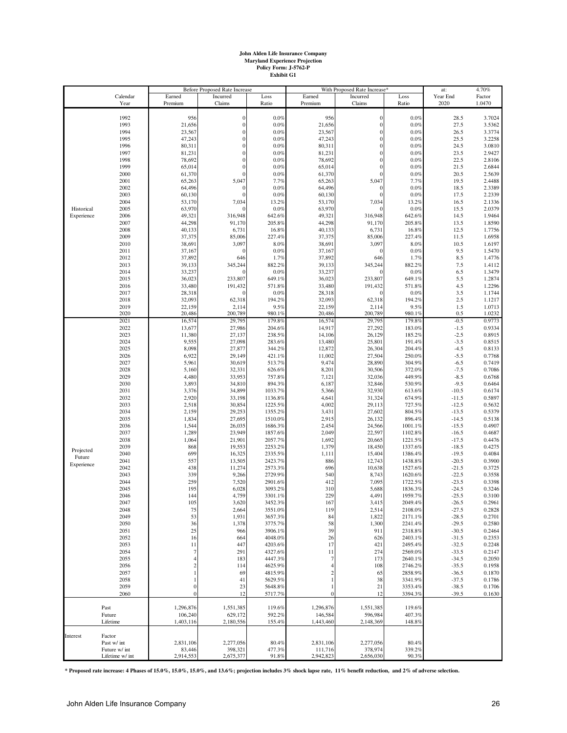# **John Alden Life Insurance Company Maryland Experience Projection Policy Form: J-5762-P Exhibit G1**

|            |                 | <b>Before Proposed Rate Increase</b> |                       | With Proposed Rate Increase* |                  |                  | at:     | 4.70%    |        |
|------------|-----------------|--------------------------------------|-----------------------|------------------------------|------------------|------------------|---------|----------|--------|
|            | Calendar        | Earned                               | Incurred              | Loss                         | Earned           | Incurred         | Loss    | Year End | Factor |
|            | Year            | Premium                              | Claims                | Ratio                        | Premium          | Claims           | Ratio   | 2020     | 1.0470 |
|            |                 |                                      |                       |                              |                  |                  |         |          |        |
|            | 1992            | 956                                  | $\boldsymbol{0}$      | 0.0%                         | 956              | $\boldsymbol{0}$ | 0.0%    | 28.5     | 3.7024 |
|            | 1993            | 21,656                               | $\mathbf{0}$          | $0.0\%$                      | 21,656           | $\mathbf{0}$     | 0.0%    | 27.5     | 3.5362 |
|            | 1994            | 23,567                               | $\boldsymbol{0}$      | 0.0%                         | 23,567           | $\overline{0}$   | 0.0%    | 26.5     | 3.3774 |
|            | 1995            | 47,243                               | $\boldsymbol{0}$      | $0.0\%$                      | 47,243           | $\mathbf{0}$     | 0.0%    | 25.5     | 3.2258 |
|            | 1996            | 80,311                               | $\boldsymbol{0}$      | 0.0%                         | 80,311           | $\mathbf{0}$     | 0.0%    | 24.5     | 3.0810 |
|            | 1997            | 81,231                               | $\boldsymbol{0}$      | 0.0%                         | 81,231           | $\overline{0}$   | 0.0%    | 23.5     | 2.9427 |
|            | 1998            | 78,692                               | $\overline{0}$        | $0.0\%$                      | 78,692           | $\Omega$         | 0.0%    | 22.5     | 2.8106 |
|            | 1999            | 65,014                               | $\overline{0}$        | $0.0\%$                      | 65,014           | $\overline{0}$   | 0.0%    | 21.5     | 2.6844 |
|            | 2000            | 61,370                               | $\overline{0}$        | $0.0\%$                      | 61,370           | $\Omega$         | 0.0%    | 20.5     | 2.5639 |
|            | 2001            | 65,263                               | 5,047                 | 7.7%                         | 65,263           | 5,047            | 7.7%    | 19.5     | 2.4488 |
|            | 2002            | 64,496                               | $\theta$              | $0.0\%$                      | 64,496           | $\Omega$         | 0.0%    | 18.5     | 2.3389 |
|            | 2003            | 60,130                               | $\overline{0}$        | $0.0\%$                      | 60,130           | $\Omega$         | 0.0%    | 17.5     | 2.2339 |
|            | 2004            | 53,170                               | 7,034                 | 13.2%                        | 53,170           | 7,034            | 13.2%   | 16.5     | 2.1336 |
| Historical | 2005            | 63,970                               |                       | 0.0%                         | 63,970           |                  | 0.0%    | 15.5     | 2.0379 |
| Experience | 2006            | 49,321                               | 316,948               | 642.6%                       | 49,321           | 316,948          | 642.6%  | 14.5     | 1.9464 |
|            | 2007            | 44,298                               | 91,170                | 205.8%                       | 44,298           | 91,170           | 205.8%  | 13.5     | 1.8590 |
|            | 2008            | 40,133                               | 6,731                 | 16.8%                        | 40,133           | 6,731            | 16.8%   | 12.5     | 1.7756 |
|            | 2009            | 37,375                               | 85,006                | 227.4%                       | 37,375           | 85,006           | 227.4%  | 11.5     | 1.6958 |
|            | 2010            | 38,691                               | 3,097                 | 8.0%                         | 38,691           | 3,097            | 8.0%    | 10.5     | 1.6197 |
|            | 2011            | 37,167                               | $\sqrt{ }$            | 0.0%                         | 37,167           | $\Omega$         | 0.0%    | 9.5      | 1.5470 |
|            | 2012            | 37,892                               | 646                   | 1.7%                         | 37,892           | 646              | 1.7%    | 8.5      | 1.4776 |
|            | 2013            | 39,133                               | 345,244               | 882.2%                       | 39,133           | 345,244          | 882.2%  | 7.5      | 1.4112 |
|            |                 |                                      |                       |                              |                  |                  |         |          |        |
|            | 2014            | 33,237                               | $\sqrt{ }$<br>233,807 | $0.0\%$                      | 33,237           | $\Omega$         | 0.0%    | 6.5      | 1.3479 |
|            | 2015            | 36,023                               |                       | 649.1%                       | 36,023           | 233,807          | 649.1%  | 5.5      | 1.2874 |
|            | 2016            | 33,480                               | 191,432               | 571.8%                       | 33,480           | 191,432          | 571.8%  | 4.5      | 1.2296 |
|            | 2017            | 28,318                               |                       | 0.0%                         | 28,318           |                  | 0.0%    | 3.5      | 1.1744 |
|            | 2018            | 32,093                               | 62,318                | 194.2%                       | 32,093           | 62,318           | 194.2%  | 2.5      | 1.1217 |
|            | 2019            | 22,159                               | 2,114                 | 9.5%                         | 22,159           | 2,114            | 9.5%    | 1.5      | 1.0713 |
|            | 2020            | 20,486                               | 200,789               | 980.1%                       | 20,486           | 200,789          | 980.1%  | 0.5      | 1.0232 |
|            | 2021            | 16,574                               | 29,795                | 179.8%                       | 16,574           | 29,795           | 179.8%  | $-0.5$   | 0.9773 |
|            | 2022            | 13,677                               | 27,986                | 204.6%                       | 14,917           | 27,292           | 183.0%  | $-1.5$   | 0.9334 |
|            | 2023            | 11,380                               | 27,137                | 238.5%                       | 14,106           | 26,129           | 185.2%  | $-2.5$   | 0.8915 |
|            | 2024            | 9,555                                | 27,098                | 283.6%                       | 13,480           | 25,801           | 191.4%  | $-3.5$   | 0.8515 |
|            | 2025            | 8,098                                | 27,877                | 344.2%                       | 12,872           | 26,304           | 204.4%  | $-4.5$   | 0.8133 |
|            | 2026            | 6,922                                | 29,149                | 421.1%                       | 11,002           | 27,504           | 250.0%  | $-5.5$   | 0.7768 |
|            | 2027            | 5,961                                | 30,619                | 513.7%                       | 9,474            | 28,890           | 304.9%  | $-6.5$   | 0.7419 |
|            | 2028            | 5,160                                | 32,331                | 626.6%                       | 8,201            | 30,506           | 372.0%  | $-7.5$   | 0.7086 |
|            | 2029            | 4,480                                | 33,953                | 757.8%                       | 7,121            | 32,036           | 449.9%  | $-8.5$   | 0.6768 |
|            | 2030            | 3,893                                | 34,810                | 894.3%                       | 6,187            | 32,846           | 530.9%  | $-9.5$   | 0.6464 |
|            | 2031            | 3,376                                | 34,899                | 1033.7%                      | 5,366            | 32,930           | 613.6%  | $-10.5$  | 0.6174 |
|            | 2032            | 2,920                                | 33,198                | 1136.8%                      | 4,641            | 31,324           | 674.9%  | $-11.5$  | 0.5897 |
|            | 2033            | 2,518                                | 30,854                | 1225.5%                      | 4,002            | 29,113           | 727.5%  | $-12.5$  | 0.5632 |
|            | 2034            | 2,159                                | 29,253                | 1355.2%                      | 3,431            | 27,602           | 804.5%  | $-13.5$  | 0.5379 |
|            | 2035            | 1,834                                | 27,695                | 1510.0%                      | 2,915            | 26,132           | 896.4%  | $-14.5$  | 0.5138 |
|            | 2036            | 1,544                                | 26,035                | 1686.3%                      | 2,454            | 24,566           | 1001.1% | $-15.5$  | 0.4907 |
|            | 2037            | 1,289                                | 23,949                | 1857.6%                      | 2,049            | 22,597           | 1102.8% | $-16.5$  | 0.4687 |
|            | 2038            | 1,064                                | 21,901                | 2057.7%                      | 1,692            | 20,665           | 1221.5% | $-17.5$  | 0.4476 |
|            | 2039            | 868                                  | 19,553                | 2253.2%                      | 1,379            | 18,450           | 1337.6% | $-18.5$  | 0.4275 |
| Projected  | 2040            | 699                                  | 16,325                | 2335.5%                      | 1,111            | 15,404           | 1386.4% | $-19.5$  | 0.4084 |
| Future     |                 |                                      |                       |                              |                  |                  |         |          |        |
| Experience | 2041            | 557                                  | 13,505                | 2423.7%                      | 886              | 12,743           | 1438.8% | $-20.5$  | 0.3900 |
|            | 2042            | 438                                  | 11,274                | 2573.3%                      | 696              | 10,638           | 1527.6% | $-21.5$  | 0.3725 |
|            | 2043            | 339                                  | 9,266                 | 2729.9%                      | 540              | 8,743            | 1620.6% | $-22.5$  | 0.3558 |
|            | 2044            | 259                                  | 7,520                 | 2901.6%                      | 412              | 7,095            | 1722.5% | $-23.5$  | 0.3398 |
|            | 2045            | 195                                  | 6,028                 | 3093.2%                      | 310              | 5,688            | 1836.3% | $-24.5$  | 0.3246 |
|            | 2046            | 144                                  | 4,759                 | 3301.1%                      | 229              | 4,491            | 1959.7% | $-25.5$  | 0.3100 |
|            | 2047            | 105                                  | 3,620                 | 3452.3%                      | 167              | 3,415            | 2049.4% | $-26.5$  | 0.2961 |
|            | 2048            | 75                                   | 2,664                 | 3551.0%                      | 119              | 2,514            | 2108.0% | $-27.5$  | 0.2828 |
|            | 2049            | 53                                   | 1,931                 | 3657.3%                      | 84               | 1,822            | 2171.1% | $-28.5$  | 0.2701 |
|            | 2050            | 36                                   | 1,378                 | 3775.7%                      | 58               | 1,300            | 2241.4% | $-29.5$  | 0.2580 |
|            | 2051            | 25                                   | 966                   | 3906.1%                      | 39               | 911              | 2318.8% | $-30.5$  | 0.2464 |
|            | 2052            | 16                                   | 664                   | 4048.0%                      | 26               | 626              | 2403.1% | $-31.5$  | 0.2353 |
|            | 2053            | 11                                   | 447                   | 4203.6%                      | 17               | 421              | 2495.4% | $-32.5$  | 0.2248 |
|            | 2054            | 7                                    | 291                   | 4327.6%                      | 11               | 274              | 2569.0% | $-33.5$  | 0.2147 |
|            | 2055            |                                      | 183                   | 4447.3%                      | $\overline{7}$   | 173              | 2640.1% | $-34.5$  | 0.2050 |
|            | 2056            |                                      | 114                   | 4625.9%                      | $\overline{4}$   | 108              | 2746.2% | $-35.5$  | 0.1958 |
|            | 2057            |                                      | 69                    | 4815.9%                      | $\overline{c}$   | 65               | 2858.9% | $-36.5$  | 0.1870 |
|            | 2058            |                                      | 41                    | 5629.5%                      |                  | 38               | 3341.9% | $-37.5$  | 0.1786 |
|            | 2059            |                                      | 23                    | 5648.8%                      |                  | 21               | 3353.4% | $-38.5$  | 0.1706 |
|            | 2060            |                                      | 12                    | 5717.7%                      | $\boldsymbol{0}$ | 12               | 3394.3% | $-39.5$  | 0.1630 |
|            |                 |                                      |                       |                              |                  |                  |         |          |        |
|            | Past            | 1,296,876                            | 1,551,385             | 119.6%                       | 1,296,876        | 1,551,385        | 119.6%  |          |        |
|            | Future          | 106,240                              | 629,172               | 592.2%                       | 146,584          | 596,984          | 407.3%  |          |        |
|            | Lifetime        | 1,403,116                            | 2,180,556             | 155.4%                       | 1,443,460        | 2,148,369        | 148.8%  |          |        |
|            |                 |                                      |                       |                              |                  |                  |         |          |        |
| Interest   | Factor          |                                      |                       |                              |                  |                  |         |          |        |
|            | Past w/ int     | 2,831,106                            | 2,277,056             | 80.4%                        | 2,831,106        | 2,277,056        | 80.4%   |          |        |
|            | Future w/ int   | 83,446                               | 398,321               | 477.3%                       | 111,716          | 378,974          | 339.2%  |          |        |
|            | Lifetime w/ int | 2,914,553                            | 2,675,377             | 91.8%                        | 2,942,823        | 2,656,030        | 90.3%   |          |        |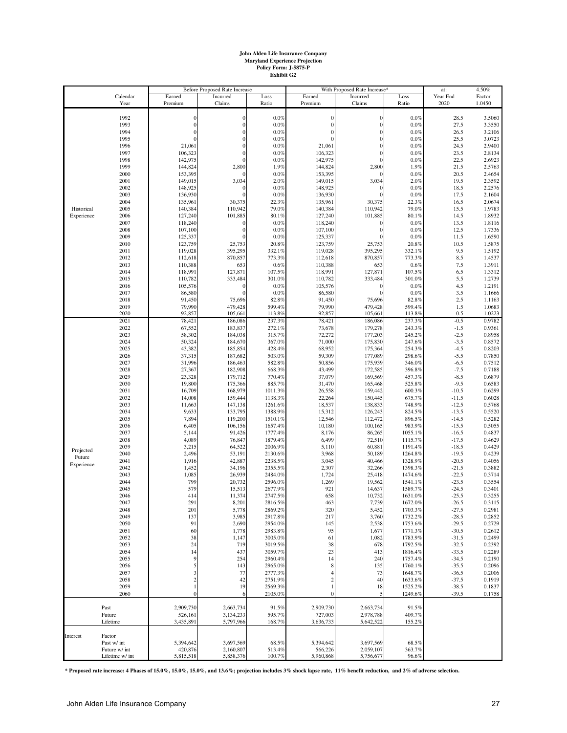# **John Alden Life Insurance Company Maryland Experience Projection Policy Form: J-5875-P Exhibit G2**

| 2020<br>1.0450<br>Year<br>Premium<br>Claims<br>Ratio<br>Premium<br>Claims<br>Ratio<br>1992<br>0.0%<br>0.0%<br>28.5<br>$\overline{0}$<br>$\mathbf{0}$<br>$\overline{0}$<br>3.5060<br>$\overline{0}$<br>1993<br>$\boldsymbol{0}$<br>0.0%<br>0.0%<br>3.3550<br>$\mathbf{0}$<br>$\mathbf{0}$<br>27.5<br>$\overline{0}$<br>$\overline{0}$<br>26.5<br>1994<br>0.0%<br>$\Omega$<br>0.0%<br>3.2106<br>0.0%<br>1995<br>$\overline{0}$<br>$\Omega$<br>0.0%<br>25.5<br>3.0723<br>$\Omega$<br>$\Omega$<br>24.5<br>2.9400<br>1996<br>21,061<br>$\overline{0}$<br>0.0%<br>21,061<br>0.0%<br>106,323<br>$\Omega$<br>1997<br>106,323<br>$\overline{0}$<br>0.0%<br>0.0%<br>23.5<br>2.8134<br>142,975<br>0.0%<br>142,975<br>22.5<br>2.6923<br>1998<br>$\epsilon$<br>$\Omega$<br>0.0%<br>144,824<br>2,800<br>1.9%<br>144,824<br>2,800<br>1.9%<br>21.5<br>1999<br>2.5763<br>153,395<br>153,395<br>20.5<br>2.4654<br>2000<br>0.0%<br>0.0%<br>3,034<br>3,034<br>2.0%<br>19.5<br>2.3592<br>2001<br>149,015<br>2.0%<br>149,015<br>148,925<br>148,925<br>18.5<br>2002<br>$\epsilon$<br>0.0%<br>0.0%<br>2.2576<br>136,930<br>$0.0\%$<br>136,930<br>0.0%<br>2.1604<br>2003<br>$\sqrt{ }$<br>17.5<br>135,961<br>30,375<br>22.3%<br>135,961<br>30,375<br>22.3%<br>16.5<br>2.0674<br>2004<br>Historical<br>2005<br>140,384<br>110,942<br>79.0%<br>140,384<br>110,942<br>79.0%<br>15.5<br>1.9783<br>127,240<br>101,885<br>80.1%<br>127,240<br>101,885<br>80.1%<br>14.5<br>1.8932<br>Experience<br>2006<br>2007<br>118,240<br>0.0%<br>118,240<br>0.0%<br>13.5<br>1.8116<br>$\epsilon$<br>107,100<br>$\overline{0}$<br>$\Omega$<br>0.0%<br>12.5<br>2008<br>0.0%<br>107,100<br>1.7336<br>125,337<br>0.0%<br>125,337<br>0.0%<br>11.5<br>1.6590<br>2009<br>$\sqrt{ }$<br>123,759<br>25,753<br>123,759<br>25,753<br>20.8%<br>10.5<br>2010<br>20.8%<br>1.5875<br>395,295<br>9.5<br>119,028<br>395,295<br>119,028<br>1.5192<br>2011<br>332.1%<br>332.1%<br>870,857<br>8.5<br>2012<br>112,618<br>773.3%<br>112,618<br>870,857<br>773.3%<br>1.4537<br>7.5<br>2013<br>110,388<br>653<br>0.6%<br>110,388<br>653<br>0.6%<br>1.3911<br>118,991<br>127,871<br>118,991<br>127,871<br>2014<br>107.5%<br>107.5%<br>6.5<br>1.3312<br>110,782<br>333,484<br>301.0%<br>5.5<br>1.2739<br>2015<br>301.0%<br>110,782<br>333,484<br>4.5<br>2016<br>105,576<br>0.0%<br>105,576<br>0.0%<br>1.2191<br>$\epsilon$<br>$\Omega$<br>86,580<br>86,580<br>0.0%<br>3.5<br>2017<br>$\epsilon$<br>0.0%<br>1.1666<br>91,450<br>75,696<br>91,450<br>75,696<br>82.8%<br>2018<br>82.8%<br>2.5<br>1.1163<br>1.5<br>2019<br>79,990<br>479,428<br>599.4%<br>79,990<br>479,428<br>599.4%<br>1.0683<br>105,661<br>1.0223<br>2020<br>92,857<br>113.8%<br>92,857<br>105,661<br>113.8%<br>0.5<br>2021<br>78,421<br>237.3%<br>186,086<br>237.3%<br>78,421<br>186,086<br>$-0.5$<br>0.9782<br>2022<br>183,837<br>243.3%<br>$-1.5$<br>67,552<br>272.1%<br>73,678<br>179,278<br>0.9361<br>58,302<br>2023<br>184,038<br>315.7%<br>72,272<br>177,203<br>245.2%<br>$-2.5$<br>0.8958<br>2024<br>50,324<br>184,670<br>71,000<br>175,830<br>247.6%<br>$-3.5$<br>367.0%<br>0.8572<br>2025<br>43,382<br>185,854<br>68,952<br>175,364<br>254.3%<br>$-4.5$<br>0.8203<br>428.4%<br>2026<br>37,315<br>187,682<br>503.0%<br>59,309<br>177,089<br>298.6%<br>$-5.5$<br>0.7850<br>2027<br>31,996<br>175,939<br>186,463<br>582.8%<br>50,856<br>346.0%<br>$-6.5$<br>0.7512<br>27,367<br>182,908<br>2028<br>668.3%<br>43,499<br>172,585<br>396.8%<br>$-7.5$<br>0.7188<br>23,328<br>179,712<br>37,079<br>169,569<br>$-8.5$<br>2029<br>770.4%<br>457.3%<br>0.6879<br>2030<br>19,800<br>175,366<br>31,470<br>165,468<br>525.8%<br>$-9.5$<br>0.6583<br>885.7%<br>16,709<br>168,979<br>$-10.5$<br>2031<br>1011.3%<br>26,558<br>159,442<br>600.3%<br>0.6299<br>14,008<br>159,444<br>22,264<br>675.7%<br>$-11.5$<br>0.6028<br>2032<br>1138.3%<br>150,445<br>11,663<br>147,138<br>138,833<br>748.9%<br>$-12.5$<br>2033<br>1261.6%<br>18,537<br>0.5768<br>2034<br>9,633<br>133,795<br>824.5%<br>$-13.5$<br>1388.9%<br>15,312<br>126,243<br>0.5520<br>7,894<br>119,200<br>12,546<br>896.5%<br>$-14.5$<br>2035<br>1510.1%<br>112,472<br>0.5282<br>6,405<br>106,156<br>10,180<br>100,165<br>983.9%<br>$-15.5$<br>0.5055<br>2036<br>1657.4%<br>5,144<br>91,426<br>8,176<br>86,265<br>$-16.5$<br>2037<br>1777.4%<br>1055.1%<br>0.4837<br>4,089<br>2038<br>76,847<br>1879.4%<br>6,499<br>72,510<br>1115.7%<br>$-17.5$<br>0.4629<br>60,881<br>$-18.5$<br>2039<br>3,215<br>64,522<br>2006.9%<br>5,110<br>1191.4%<br>0.4429<br>Projected<br>2,496<br>53,191<br>3,968<br>$-19.5$<br>0.4239<br>2040<br>2130.6%<br>50,189<br>1264.8%<br>Future<br>1,916<br>42,887<br>3,045<br>40,466<br>1328.9%<br>$-20.5$<br>2041<br>2238.5%<br>0.4056<br>Experience<br>2042<br>1,452<br>34,196<br>2355.5%<br>2,307<br>1398.3%<br>$-21.5$<br>32,266<br>0.3882<br>2043<br>1,085<br>26,939<br>2484.0%<br>1,724<br>25,418<br>1474.6%<br>$-22.5$<br>0.3714<br>2044<br>799<br>1,269<br>19,562<br>$-23.5$<br>20,732<br>2596.0%<br>1541.1%<br>0.3554<br>579<br>921<br>14,637<br>$-24.5$<br>2045<br>15,513<br>2677.9%<br>1589.7%<br>0.3401<br>2046<br>$-25.5$<br>0.3255<br>414<br>11,374<br>2747.5%<br>658<br>10,732<br>1631.0%<br>2047<br>291<br>8,201<br>2816.5%<br>463<br>7,739<br>1672.0%<br>$-26.5$<br>0.3115<br>2048<br>201<br>5,778<br>2869.2%<br>320<br>5,452<br>1703.3%<br>$-27.5$<br>0.2981<br>137<br>3,760<br>2049<br>3,985<br>2917.8%<br>217<br>1732.2%<br>$-28.5$<br>0.2852<br>2050<br>91<br>2,690<br>2954.0%<br>145<br>2,538<br>1753.6%<br>$-29.5$<br>0.2729<br>2051<br>60<br>2983.8%<br>95<br>1,677<br>$-30.5$<br>0.2612<br>1,778<br>1771.3%<br>2052<br>38<br>1,147<br>3005.0%<br>1,082<br>1783.9%<br>$-31.5$<br>0.2499<br>61<br>2053<br>24<br>719<br>3019.5%<br>678<br>1792.5%<br>$-32.5$<br>0.2392<br>38<br>2054<br>14<br>437<br>3059.7%<br>23<br>413<br>$-33.5$<br>0.2289<br>1816.4%<br>2055<br>9<br>254<br>2960.4%<br>14<br>240<br>1757.4%<br>$-34.5$<br>0.2190<br>2056<br>143<br>2965.0%<br>135<br>1760.1%<br>$-35.5$<br>8<br>0.2096<br>2057<br>77<br>2777.3%<br>73<br>1648.7%<br>$-36.5$<br>0.2006<br>2058<br>2751.9%<br>40<br>$-37.5$<br>0.1919<br>42<br>$\overline{c}$<br>1633.6%<br>2059<br>19<br>2569.3%<br>18<br>1525.2%<br>$-38.5$<br>0.1837<br>2060<br>2105.0%<br>1249.6%<br>$-39.5$<br>0.1758<br>$\Omega$<br>$\boldsymbol{0}$<br>5<br>6<br>2,909,730<br>2,909,730<br>Past<br>2,663,734<br>91.5%<br>2,663,734<br>91.5%<br>727,003<br>2,978,788<br>409.7%<br>Future<br>526,161<br>3,134,233<br>595.7%<br>5,797,966<br>3,636,733<br>155.2%<br>Lifetime<br>3,435,891<br>168.7%<br>5,642,522<br>Factor<br>Past w/ int<br>5,394,642<br>3,697,569<br>68.5%<br>5,394,642<br>3,697,569<br>68.5%<br>420,876<br>2,059,107<br>363.7%<br>Future w/ int<br>2,160,807<br>513.4%<br>566,226<br>5,815,518<br>5,858,376<br>100.7%<br>5,960,868<br>5,756,677<br>96.6%<br>Lifetime w/ int |          |          | <b>Before Proposed Rate Increase</b> |          | With Proposed Rate Increase* |        |          | at:  | 4.50%    |        |
|------------------------------------------------------------------------------------------------------------------------------------------------------------------------------------------------------------------------------------------------------------------------------------------------------------------------------------------------------------------------------------------------------------------------------------------------------------------------------------------------------------------------------------------------------------------------------------------------------------------------------------------------------------------------------------------------------------------------------------------------------------------------------------------------------------------------------------------------------------------------------------------------------------------------------------------------------------------------------------------------------------------------------------------------------------------------------------------------------------------------------------------------------------------------------------------------------------------------------------------------------------------------------------------------------------------------------------------------------------------------------------------------------------------------------------------------------------------------------------------------------------------------------------------------------------------------------------------------------------------------------------------------------------------------------------------------------------------------------------------------------------------------------------------------------------------------------------------------------------------------------------------------------------------------------------------------------------------------------------------------------------------------------------------------------------------------------------------------------------------------------------------------------------------------------------------------------------------------------------------------------------------------------------------------------------------------------------------------------------------------------------------------------------------------------------------------------------------------------------------------------------------------------------------------------------------------------------------------------------------------------------------------------------------------------------------------------------------------------------------------------------------------------------------------------------------------------------------------------------------------------------------------------------------------------------------------------------------------------------------------------------------------------------------------------------------------------------------------------------------------------------------------------------------------------------------------------------------------------------------------------------------------------------------------------------------------------------------------------------------------------------------------------------------------------------------------------------------------------------------------------------------------------------------------------------------------------------------------------------------------------------------------------------------------------------------------------------------------------------------------------------------------------------------------------------------------------------------------------------------------------------------------------------------------------------------------------------------------------------------------------------------------------------------------------------------------------------------------------------------------------------------------------------------------------------------------------------------------------------------------------------------------------------------------------------------------------------------------------------------------------------------------------------------------------------------------------------------------------------------------------------------------------------------------------------------------------------------------------------------------------------------------------------------------------------------------------------------------------------------------------------------------------------------------------------------------------------------------------------------------------------------------------------------------------------------------------------------------------------------------------------------------------------------------------------------------------------------------------------------------------------------------------------------------------------------------------------------------------------------------------------------------------------------------------------------------------------------------------------------------------------------------------------------------------------------------------------------------------------------------------------------------------------------------------------------------------------------------------------------------------------------------------------------------------------------------------------------------------------------------------------------------------------------------------------------------------------------------------------------------------------------------------------------------------------------------------------------------------------------------------------------------------------------------------------------------------------------------------------------------------------------------------------------------------------------------------------------------------------------------------------------------------------------------------------------------------------------------------------------------------------------------------------------------------------------------------------------------------------------------------------------------------------------------------------------------------------------------------------------------------------------------------------------------------------------------------------------------------------------------------------------------------------------------------------------------------------------------|----------|----------|--------------------------------------|----------|------------------------------|--------|----------|------|----------|--------|
|                                                                                                                                                                                                                                                                                                                                                                                                                                                                                                                                                                                                                                                                                                                                                                                                                                                                                                                                                                                                                                                                                                                                                                                                                                                                                                                                                                                                                                                                                                                                                                                                                                                                                                                                                                                                                                                                                                                                                                                                                                                                                                                                                                                                                                                                                                                                                                                                                                                                                                                                                                                                                                                                                                                                                                                                                                                                                                                                                                                                                                                                                                                                                                                                                                                                                                                                                                                                                                                                                                                                                                                                                                                                                                                                                                                                                                                                                                                                                                                                                                                                                                                                                                                                                                                                                                                                                                                                                                                                                                                                                                                                                                                                                                                                                                                                                                                                                                                                                                                                                                                                                                                                                                                                                                                                                                                                                                                                                                                                                                                                                                                                                                                                                                                                                                                                                                                                                                                                                                                                                                                                                                                                                                                                                                                                                                                                                                                                                                                                                                                                                                                                                                                                                                                                                                                                                                                |          | Calendar | Earned                               | Incurred | Loss                         | Earned | Incurred | Loss | Year End | Factor |
|                                                                                                                                                                                                                                                                                                                                                                                                                                                                                                                                                                                                                                                                                                                                                                                                                                                                                                                                                                                                                                                                                                                                                                                                                                                                                                                                                                                                                                                                                                                                                                                                                                                                                                                                                                                                                                                                                                                                                                                                                                                                                                                                                                                                                                                                                                                                                                                                                                                                                                                                                                                                                                                                                                                                                                                                                                                                                                                                                                                                                                                                                                                                                                                                                                                                                                                                                                                                                                                                                                                                                                                                                                                                                                                                                                                                                                                                                                                                                                                                                                                                                                                                                                                                                                                                                                                                                                                                                                                                                                                                                                                                                                                                                                                                                                                                                                                                                                                                                                                                                                                                                                                                                                                                                                                                                                                                                                                                                                                                                                                                                                                                                                                                                                                                                                                                                                                                                                                                                                                                                                                                                                                                                                                                                                                                                                                                                                                                                                                                                                                                                                                                                                                                                                                                                                                                                                                |          |          |                                      |          |                              |        |          |      |          |        |
|                                                                                                                                                                                                                                                                                                                                                                                                                                                                                                                                                                                                                                                                                                                                                                                                                                                                                                                                                                                                                                                                                                                                                                                                                                                                                                                                                                                                                                                                                                                                                                                                                                                                                                                                                                                                                                                                                                                                                                                                                                                                                                                                                                                                                                                                                                                                                                                                                                                                                                                                                                                                                                                                                                                                                                                                                                                                                                                                                                                                                                                                                                                                                                                                                                                                                                                                                                                                                                                                                                                                                                                                                                                                                                                                                                                                                                                                                                                                                                                                                                                                                                                                                                                                                                                                                                                                                                                                                                                                                                                                                                                                                                                                                                                                                                                                                                                                                                                                                                                                                                                                                                                                                                                                                                                                                                                                                                                                                                                                                                                                                                                                                                                                                                                                                                                                                                                                                                                                                                                                                                                                                                                                                                                                                                                                                                                                                                                                                                                                                                                                                                                                                                                                                                                                                                                                                                                |          |          |                                      |          |                              |        |          |      |          |        |
|                                                                                                                                                                                                                                                                                                                                                                                                                                                                                                                                                                                                                                                                                                                                                                                                                                                                                                                                                                                                                                                                                                                                                                                                                                                                                                                                                                                                                                                                                                                                                                                                                                                                                                                                                                                                                                                                                                                                                                                                                                                                                                                                                                                                                                                                                                                                                                                                                                                                                                                                                                                                                                                                                                                                                                                                                                                                                                                                                                                                                                                                                                                                                                                                                                                                                                                                                                                                                                                                                                                                                                                                                                                                                                                                                                                                                                                                                                                                                                                                                                                                                                                                                                                                                                                                                                                                                                                                                                                                                                                                                                                                                                                                                                                                                                                                                                                                                                                                                                                                                                                                                                                                                                                                                                                                                                                                                                                                                                                                                                                                                                                                                                                                                                                                                                                                                                                                                                                                                                                                                                                                                                                                                                                                                                                                                                                                                                                                                                                                                                                                                                                                                                                                                                                                                                                                                                                |          |          |                                      |          |                              |        |          |      |          |        |
|                                                                                                                                                                                                                                                                                                                                                                                                                                                                                                                                                                                                                                                                                                                                                                                                                                                                                                                                                                                                                                                                                                                                                                                                                                                                                                                                                                                                                                                                                                                                                                                                                                                                                                                                                                                                                                                                                                                                                                                                                                                                                                                                                                                                                                                                                                                                                                                                                                                                                                                                                                                                                                                                                                                                                                                                                                                                                                                                                                                                                                                                                                                                                                                                                                                                                                                                                                                                                                                                                                                                                                                                                                                                                                                                                                                                                                                                                                                                                                                                                                                                                                                                                                                                                                                                                                                                                                                                                                                                                                                                                                                                                                                                                                                                                                                                                                                                                                                                                                                                                                                                                                                                                                                                                                                                                                                                                                                                                                                                                                                                                                                                                                                                                                                                                                                                                                                                                                                                                                                                                                                                                                                                                                                                                                                                                                                                                                                                                                                                                                                                                                                                                                                                                                                                                                                                                                                |          |          |                                      |          |                              |        |          |      |          |        |
|                                                                                                                                                                                                                                                                                                                                                                                                                                                                                                                                                                                                                                                                                                                                                                                                                                                                                                                                                                                                                                                                                                                                                                                                                                                                                                                                                                                                                                                                                                                                                                                                                                                                                                                                                                                                                                                                                                                                                                                                                                                                                                                                                                                                                                                                                                                                                                                                                                                                                                                                                                                                                                                                                                                                                                                                                                                                                                                                                                                                                                                                                                                                                                                                                                                                                                                                                                                                                                                                                                                                                                                                                                                                                                                                                                                                                                                                                                                                                                                                                                                                                                                                                                                                                                                                                                                                                                                                                                                                                                                                                                                                                                                                                                                                                                                                                                                                                                                                                                                                                                                                                                                                                                                                                                                                                                                                                                                                                                                                                                                                                                                                                                                                                                                                                                                                                                                                                                                                                                                                                                                                                                                                                                                                                                                                                                                                                                                                                                                                                                                                                                                                                                                                                                                                                                                                                                                |          |          |                                      |          |                              |        |          |      |          |        |
|                                                                                                                                                                                                                                                                                                                                                                                                                                                                                                                                                                                                                                                                                                                                                                                                                                                                                                                                                                                                                                                                                                                                                                                                                                                                                                                                                                                                                                                                                                                                                                                                                                                                                                                                                                                                                                                                                                                                                                                                                                                                                                                                                                                                                                                                                                                                                                                                                                                                                                                                                                                                                                                                                                                                                                                                                                                                                                                                                                                                                                                                                                                                                                                                                                                                                                                                                                                                                                                                                                                                                                                                                                                                                                                                                                                                                                                                                                                                                                                                                                                                                                                                                                                                                                                                                                                                                                                                                                                                                                                                                                                                                                                                                                                                                                                                                                                                                                                                                                                                                                                                                                                                                                                                                                                                                                                                                                                                                                                                                                                                                                                                                                                                                                                                                                                                                                                                                                                                                                                                                                                                                                                                                                                                                                                                                                                                                                                                                                                                                                                                                                                                                                                                                                                                                                                                                                                |          |          |                                      |          |                              |        |          |      |          |        |
|                                                                                                                                                                                                                                                                                                                                                                                                                                                                                                                                                                                                                                                                                                                                                                                                                                                                                                                                                                                                                                                                                                                                                                                                                                                                                                                                                                                                                                                                                                                                                                                                                                                                                                                                                                                                                                                                                                                                                                                                                                                                                                                                                                                                                                                                                                                                                                                                                                                                                                                                                                                                                                                                                                                                                                                                                                                                                                                                                                                                                                                                                                                                                                                                                                                                                                                                                                                                                                                                                                                                                                                                                                                                                                                                                                                                                                                                                                                                                                                                                                                                                                                                                                                                                                                                                                                                                                                                                                                                                                                                                                                                                                                                                                                                                                                                                                                                                                                                                                                                                                                                                                                                                                                                                                                                                                                                                                                                                                                                                                                                                                                                                                                                                                                                                                                                                                                                                                                                                                                                                                                                                                                                                                                                                                                                                                                                                                                                                                                                                                                                                                                                                                                                                                                                                                                                                                                |          |          |                                      |          |                              |        |          |      |          |        |
|                                                                                                                                                                                                                                                                                                                                                                                                                                                                                                                                                                                                                                                                                                                                                                                                                                                                                                                                                                                                                                                                                                                                                                                                                                                                                                                                                                                                                                                                                                                                                                                                                                                                                                                                                                                                                                                                                                                                                                                                                                                                                                                                                                                                                                                                                                                                                                                                                                                                                                                                                                                                                                                                                                                                                                                                                                                                                                                                                                                                                                                                                                                                                                                                                                                                                                                                                                                                                                                                                                                                                                                                                                                                                                                                                                                                                                                                                                                                                                                                                                                                                                                                                                                                                                                                                                                                                                                                                                                                                                                                                                                                                                                                                                                                                                                                                                                                                                                                                                                                                                                                                                                                                                                                                                                                                                                                                                                                                                                                                                                                                                                                                                                                                                                                                                                                                                                                                                                                                                                                                                                                                                                                                                                                                                                                                                                                                                                                                                                                                                                                                                                                                                                                                                                                                                                                                                                |          |          |                                      |          |                              |        |          |      |          |        |
|                                                                                                                                                                                                                                                                                                                                                                                                                                                                                                                                                                                                                                                                                                                                                                                                                                                                                                                                                                                                                                                                                                                                                                                                                                                                                                                                                                                                                                                                                                                                                                                                                                                                                                                                                                                                                                                                                                                                                                                                                                                                                                                                                                                                                                                                                                                                                                                                                                                                                                                                                                                                                                                                                                                                                                                                                                                                                                                                                                                                                                                                                                                                                                                                                                                                                                                                                                                                                                                                                                                                                                                                                                                                                                                                                                                                                                                                                                                                                                                                                                                                                                                                                                                                                                                                                                                                                                                                                                                                                                                                                                                                                                                                                                                                                                                                                                                                                                                                                                                                                                                                                                                                                                                                                                                                                                                                                                                                                                                                                                                                                                                                                                                                                                                                                                                                                                                                                                                                                                                                                                                                                                                                                                                                                                                                                                                                                                                                                                                                                                                                                                                                                                                                                                                                                                                                                                                |          |          |                                      |          |                              |        |          |      |          |        |
|                                                                                                                                                                                                                                                                                                                                                                                                                                                                                                                                                                                                                                                                                                                                                                                                                                                                                                                                                                                                                                                                                                                                                                                                                                                                                                                                                                                                                                                                                                                                                                                                                                                                                                                                                                                                                                                                                                                                                                                                                                                                                                                                                                                                                                                                                                                                                                                                                                                                                                                                                                                                                                                                                                                                                                                                                                                                                                                                                                                                                                                                                                                                                                                                                                                                                                                                                                                                                                                                                                                                                                                                                                                                                                                                                                                                                                                                                                                                                                                                                                                                                                                                                                                                                                                                                                                                                                                                                                                                                                                                                                                                                                                                                                                                                                                                                                                                                                                                                                                                                                                                                                                                                                                                                                                                                                                                                                                                                                                                                                                                                                                                                                                                                                                                                                                                                                                                                                                                                                                                                                                                                                                                                                                                                                                                                                                                                                                                                                                                                                                                                                                                                                                                                                                                                                                                                                                |          |          |                                      |          |                              |        |          |      |          |        |
|                                                                                                                                                                                                                                                                                                                                                                                                                                                                                                                                                                                                                                                                                                                                                                                                                                                                                                                                                                                                                                                                                                                                                                                                                                                                                                                                                                                                                                                                                                                                                                                                                                                                                                                                                                                                                                                                                                                                                                                                                                                                                                                                                                                                                                                                                                                                                                                                                                                                                                                                                                                                                                                                                                                                                                                                                                                                                                                                                                                                                                                                                                                                                                                                                                                                                                                                                                                                                                                                                                                                                                                                                                                                                                                                                                                                                                                                                                                                                                                                                                                                                                                                                                                                                                                                                                                                                                                                                                                                                                                                                                                                                                                                                                                                                                                                                                                                                                                                                                                                                                                                                                                                                                                                                                                                                                                                                                                                                                                                                                                                                                                                                                                                                                                                                                                                                                                                                                                                                                                                                                                                                                                                                                                                                                                                                                                                                                                                                                                                                                                                                                                                                                                                                                                                                                                                                                                |          |          |                                      |          |                              |        |          |      |          |        |
|                                                                                                                                                                                                                                                                                                                                                                                                                                                                                                                                                                                                                                                                                                                                                                                                                                                                                                                                                                                                                                                                                                                                                                                                                                                                                                                                                                                                                                                                                                                                                                                                                                                                                                                                                                                                                                                                                                                                                                                                                                                                                                                                                                                                                                                                                                                                                                                                                                                                                                                                                                                                                                                                                                                                                                                                                                                                                                                                                                                                                                                                                                                                                                                                                                                                                                                                                                                                                                                                                                                                                                                                                                                                                                                                                                                                                                                                                                                                                                                                                                                                                                                                                                                                                                                                                                                                                                                                                                                                                                                                                                                                                                                                                                                                                                                                                                                                                                                                                                                                                                                                                                                                                                                                                                                                                                                                                                                                                                                                                                                                                                                                                                                                                                                                                                                                                                                                                                                                                                                                                                                                                                                                                                                                                                                                                                                                                                                                                                                                                                                                                                                                                                                                                                                                                                                                                                                |          |          |                                      |          |                              |        |          |      |          |        |
|                                                                                                                                                                                                                                                                                                                                                                                                                                                                                                                                                                                                                                                                                                                                                                                                                                                                                                                                                                                                                                                                                                                                                                                                                                                                                                                                                                                                                                                                                                                                                                                                                                                                                                                                                                                                                                                                                                                                                                                                                                                                                                                                                                                                                                                                                                                                                                                                                                                                                                                                                                                                                                                                                                                                                                                                                                                                                                                                                                                                                                                                                                                                                                                                                                                                                                                                                                                                                                                                                                                                                                                                                                                                                                                                                                                                                                                                                                                                                                                                                                                                                                                                                                                                                                                                                                                                                                                                                                                                                                                                                                                                                                                                                                                                                                                                                                                                                                                                                                                                                                                                                                                                                                                                                                                                                                                                                                                                                                                                                                                                                                                                                                                                                                                                                                                                                                                                                                                                                                                                                                                                                                                                                                                                                                                                                                                                                                                                                                                                                                                                                                                                                                                                                                                                                                                                                                                |          |          |                                      |          |                              |        |          |      |          |        |
|                                                                                                                                                                                                                                                                                                                                                                                                                                                                                                                                                                                                                                                                                                                                                                                                                                                                                                                                                                                                                                                                                                                                                                                                                                                                                                                                                                                                                                                                                                                                                                                                                                                                                                                                                                                                                                                                                                                                                                                                                                                                                                                                                                                                                                                                                                                                                                                                                                                                                                                                                                                                                                                                                                                                                                                                                                                                                                                                                                                                                                                                                                                                                                                                                                                                                                                                                                                                                                                                                                                                                                                                                                                                                                                                                                                                                                                                                                                                                                                                                                                                                                                                                                                                                                                                                                                                                                                                                                                                                                                                                                                                                                                                                                                                                                                                                                                                                                                                                                                                                                                                                                                                                                                                                                                                                                                                                                                                                                                                                                                                                                                                                                                                                                                                                                                                                                                                                                                                                                                                                                                                                                                                                                                                                                                                                                                                                                                                                                                                                                                                                                                                                                                                                                                                                                                                                                                |          |          |                                      |          |                              |        |          |      |          |        |
|                                                                                                                                                                                                                                                                                                                                                                                                                                                                                                                                                                                                                                                                                                                                                                                                                                                                                                                                                                                                                                                                                                                                                                                                                                                                                                                                                                                                                                                                                                                                                                                                                                                                                                                                                                                                                                                                                                                                                                                                                                                                                                                                                                                                                                                                                                                                                                                                                                                                                                                                                                                                                                                                                                                                                                                                                                                                                                                                                                                                                                                                                                                                                                                                                                                                                                                                                                                                                                                                                                                                                                                                                                                                                                                                                                                                                                                                                                                                                                                                                                                                                                                                                                                                                                                                                                                                                                                                                                                                                                                                                                                                                                                                                                                                                                                                                                                                                                                                                                                                                                                                                                                                                                                                                                                                                                                                                                                                                                                                                                                                                                                                                                                                                                                                                                                                                                                                                                                                                                                                                                                                                                                                                                                                                                                                                                                                                                                                                                                                                                                                                                                                                                                                                                                                                                                                                                                |          |          |                                      |          |                              |        |          |      |          |        |
|                                                                                                                                                                                                                                                                                                                                                                                                                                                                                                                                                                                                                                                                                                                                                                                                                                                                                                                                                                                                                                                                                                                                                                                                                                                                                                                                                                                                                                                                                                                                                                                                                                                                                                                                                                                                                                                                                                                                                                                                                                                                                                                                                                                                                                                                                                                                                                                                                                                                                                                                                                                                                                                                                                                                                                                                                                                                                                                                                                                                                                                                                                                                                                                                                                                                                                                                                                                                                                                                                                                                                                                                                                                                                                                                                                                                                                                                                                                                                                                                                                                                                                                                                                                                                                                                                                                                                                                                                                                                                                                                                                                                                                                                                                                                                                                                                                                                                                                                                                                                                                                                                                                                                                                                                                                                                                                                                                                                                                                                                                                                                                                                                                                                                                                                                                                                                                                                                                                                                                                                                                                                                                                                                                                                                                                                                                                                                                                                                                                                                                                                                                                                                                                                                                                                                                                                                                                |          |          |                                      |          |                              |        |          |      |          |        |
|                                                                                                                                                                                                                                                                                                                                                                                                                                                                                                                                                                                                                                                                                                                                                                                                                                                                                                                                                                                                                                                                                                                                                                                                                                                                                                                                                                                                                                                                                                                                                                                                                                                                                                                                                                                                                                                                                                                                                                                                                                                                                                                                                                                                                                                                                                                                                                                                                                                                                                                                                                                                                                                                                                                                                                                                                                                                                                                                                                                                                                                                                                                                                                                                                                                                                                                                                                                                                                                                                                                                                                                                                                                                                                                                                                                                                                                                                                                                                                                                                                                                                                                                                                                                                                                                                                                                                                                                                                                                                                                                                                                                                                                                                                                                                                                                                                                                                                                                                                                                                                                                                                                                                                                                                                                                                                                                                                                                                                                                                                                                                                                                                                                                                                                                                                                                                                                                                                                                                                                                                                                                                                                                                                                                                                                                                                                                                                                                                                                                                                                                                                                                                                                                                                                                                                                                                                                |          |          |                                      |          |                              |        |          |      |          |        |
|                                                                                                                                                                                                                                                                                                                                                                                                                                                                                                                                                                                                                                                                                                                                                                                                                                                                                                                                                                                                                                                                                                                                                                                                                                                                                                                                                                                                                                                                                                                                                                                                                                                                                                                                                                                                                                                                                                                                                                                                                                                                                                                                                                                                                                                                                                                                                                                                                                                                                                                                                                                                                                                                                                                                                                                                                                                                                                                                                                                                                                                                                                                                                                                                                                                                                                                                                                                                                                                                                                                                                                                                                                                                                                                                                                                                                                                                                                                                                                                                                                                                                                                                                                                                                                                                                                                                                                                                                                                                                                                                                                                                                                                                                                                                                                                                                                                                                                                                                                                                                                                                                                                                                                                                                                                                                                                                                                                                                                                                                                                                                                                                                                                                                                                                                                                                                                                                                                                                                                                                                                                                                                                                                                                                                                                                                                                                                                                                                                                                                                                                                                                                                                                                                                                                                                                                                                                |          |          |                                      |          |                              |        |          |      |          |        |
|                                                                                                                                                                                                                                                                                                                                                                                                                                                                                                                                                                                                                                                                                                                                                                                                                                                                                                                                                                                                                                                                                                                                                                                                                                                                                                                                                                                                                                                                                                                                                                                                                                                                                                                                                                                                                                                                                                                                                                                                                                                                                                                                                                                                                                                                                                                                                                                                                                                                                                                                                                                                                                                                                                                                                                                                                                                                                                                                                                                                                                                                                                                                                                                                                                                                                                                                                                                                                                                                                                                                                                                                                                                                                                                                                                                                                                                                                                                                                                                                                                                                                                                                                                                                                                                                                                                                                                                                                                                                                                                                                                                                                                                                                                                                                                                                                                                                                                                                                                                                                                                                                                                                                                                                                                                                                                                                                                                                                                                                                                                                                                                                                                                                                                                                                                                                                                                                                                                                                                                                                                                                                                                                                                                                                                                                                                                                                                                                                                                                                                                                                                                                                                                                                                                                                                                                                                                |          |          |                                      |          |                              |        |          |      |          |        |
|                                                                                                                                                                                                                                                                                                                                                                                                                                                                                                                                                                                                                                                                                                                                                                                                                                                                                                                                                                                                                                                                                                                                                                                                                                                                                                                                                                                                                                                                                                                                                                                                                                                                                                                                                                                                                                                                                                                                                                                                                                                                                                                                                                                                                                                                                                                                                                                                                                                                                                                                                                                                                                                                                                                                                                                                                                                                                                                                                                                                                                                                                                                                                                                                                                                                                                                                                                                                                                                                                                                                                                                                                                                                                                                                                                                                                                                                                                                                                                                                                                                                                                                                                                                                                                                                                                                                                                                                                                                                                                                                                                                                                                                                                                                                                                                                                                                                                                                                                                                                                                                                                                                                                                                                                                                                                                                                                                                                                                                                                                                                                                                                                                                                                                                                                                                                                                                                                                                                                                                                                                                                                                                                                                                                                                                                                                                                                                                                                                                                                                                                                                                                                                                                                                                                                                                                                                                |          |          |                                      |          |                              |        |          |      |          |        |
|                                                                                                                                                                                                                                                                                                                                                                                                                                                                                                                                                                                                                                                                                                                                                                                                                                                                                                                                                                                                                                                                                                                                                                                                                                                                                                                                                                                                                                                                                                                                                                                                                                                                                                                                                                                                                                                                                                                                                                                                                                                                                                                                                                                                                                                                                                                                                                                                                                                                                                                                                                                                                                                                                                                                                                                                                                                                                                                                                                                                                                                                                                                                                                                                                                                                                                                                                                                                                                                                                                                                                                                                                                                                                                                                                                                                                                                                                                                                                                                                                                                                                                                                                                                                                                                                                                                                                                                                                                                                                                                                                                                                                                                                                                                                                                                                                                                                                                                                                                                                                                                                                                                                                                                                                                                                                                                                                                                                                                                                                                                                                                                                                                                                                                                                                                                                                                                                                                                                                                                                                                                                                                                                                                                                                                                                                                                                                                                                                                                                                                                                                                                                                                                                                                                                                                                                                                                |          |          |                                      |          |                              |        |          |      |          |        |
|                                                                                                                                                                                                                                                                                                                                                                                                                                                                                                                                                                                                                                                                                                                                                                                                                                                                                                                                                                                                                                                                                                                                                                                                                                                                                                                                                                                                                                                                                                                                                                                                                                                                                                                                                                                                                                                                                                                                                                                                                                                                                                                                                                                                                                                                                                                                                                                                                                                                                                                                                                                                                                                                                                                                                                                                                                                                                                                                                                                                                                                                                                                                                                                                                                                                                                                                                                                                                                                                                                                                                                                                                                                                                                                                                                                                                                                                                                                                                                                                                                                                                                                                                                                                                                                                                                                                                                                                                                                                                                                                                                                                                                                                                                                                                                                                                                                                                                                                                                                                                                                                                                                                                                                                                                                                                                                                                                                                                                                                                                                                                                                                                                                                                                                                                                                                                                                                                                                                                                                                                                                                                                                                                                                                                                                                                                                                                                                                                                                                                                                                                                                                                                                                                                                                                                                                                                                |          |          |                                      |          |                              |        |          |      |          |        |
|                                                                                                                                                                                                                                                                                                                                                                                                                                                                                                                                                                                                                                                                                                                                                                                                                                                                                                                                                                                                                                                                                                                                                                                                                                                                                                                                                                                                                                                                                                                                                                                                                                                                                                                                                                                                                                                                                                                                                                                                                                                                                                                                                                                                                                                                                                                                                                                                                                                                                                                                                                                                                                                                                                                                                                                                                                                                                                                                                                                                                                                                                                                                                                                                                                                                                                                                                                                                                                                                                                                                                                                                                                                                                                                                                                                                                                                                                                                                                                                                                                                                                                                                                                                                                                                                                                                                                                                                                                                                                                                                                                                                                                                                                                                                                                                                                                                                                                                                                                                                                                                                                                                                                                                                                                                                                                                                                                                                                                                                                                                                                                                                                                                                                                                                                                                                                                                                                                                                                                                                                                                                                                                                                                                                                                                                                                                                                                                                                                                                                                                                                                                                                                                                                                                                                                                                                                                |          |          |                                      |          |                              |        |          |      |          |        |
|                                                                                                                                                                                                                                                                                                                                                                                                                                                                                                                                                                                                                                                                                                                                                                                                                                                                                                                                                                                                                                                                                                                                                                                                                                                                                                                                                                                                                                                                                                                                                                                                                                                                                                                                                                                                                                                                                                                                                                                                                                                                                                                                                                                                                                                                                                                                                                                                                                                                                                                                                                                                                                                                                                                                                                                                                                                                                                                                                                                                                                                                                                                                                                                                                                                                                                                                                                                                                                                                                                                                                                                                                                                                                                                                                                                                                                                                                                                                                                                                                                                                                                                                                                                                                                                                                                                                                                                                                                                                                                                                                                                                                                                                                                                                                                                                                                                                                                                                                                                                                                                                                                                                                                                                                                                                                                                                                                                                                                                                                                                                                                                                                                                                                                                                                                                                                                                                                                                                                                                                                                                                                                                                                                                                                                                                                                                                                                                                                                                                                                                                                                                                                                                                                                                                                                                                                                                |          |          |                                      |          |                              |        |          |      |          |        |
|                                                                                                                                                                                                                                                                                                                                                                                                                                                                                                                                                                                                                                                                                                                                                                                                                                                                                                                                                                                                                                                                                                                                                                                                                                                                                                                                                                                                                                                                                                                                                                                                                                                                                                                                                                                                                                                                                                                                                                                                                                                                                                                                                                                                                                                                                                                                                                                                                                                                                                                                                                                                                                                                                                                                                                                                                                                                                                                                                                                                                                                                                                                                                                                                                                                                                                                                                                                                                                                                                                                                                                                                                                                                                                                                                                                                                                                                                                                                                                                                                                                                                                                                                                                                                                                                                                                                                                                                                                                                                                                                                                                                                                                                                                                                                                                                                                                                                                                                                                                                                                                                                                                                                                                                                                                                                                                                                                                                                                                                                                                                                                                                                                                                                                                                                                                                                                                                                                                                                                                                                                                                                                                                                                                                                                                                                                                                                                                                                                                                                                                                                                                                                                                                                                                                                                                                                                                |          |          |                                      |          |                              |        |          |      |          |        |
|                                                                                                                                                                                                                                                                                                                                                                                                                                                                                                                                                                                                                                                                                                                                                                                                                                                                                                                                                                                                                                                                                                                                                                                                                                                                                                                                                                                                                                                                                                                                                                                                                                                                                                                                                                                                                                                                                                                                                                                                                                                                                                                                                                                                                                                                                                                                                                                                                                                                                                                                                                                                                                                                                                                                                                                                                                                                                                                                                                                                                                                                                                                                                                                                                                                                                                                                                                                                                                                                                                                                                                                                                                                                                                                                                                                                                                                                                                                                                                                                                                                                                                                                                                                                                                                                                                                                                                                                                                                                                                                                                                                                                                                                                                                                                                                                                                                                                                                                                                                                                                                                                                                                                                                                                                                                                                                                                                                                                                                                                                                                                                                                                                                                                                                                                                                                                                                                                                                                                                                                                                                                                                                                                                                                                                                                                                                                                                                                                                                                                                                                                                                                                                                                                                                                                                                                                                                |          |          |                                      |          |                              |        |          |      |          |        |
|                                                                                                                                                                                                                                                                                                                                                                                                                                                                                                                                                                                                                                                                                                                                                                                                                                                                                                                                                                                                                                                                                                                                                                                                                                                                                                                                                                                                                                                                                                                                                                                                                                                                                                                                                                                                                                                                                                                                                                                                                                                                                                                                                                                                                                                                                                                                                                                                                                                                                                                                                                                                                                                                                                                                                                                                                                                                                                                                                                                                                                                                                                                                                                                                                                                                                                                                                                                                                                                                                                                                                                                                                                                                                                                                                                                                                                                                                                                                                                                                                                                                                                                                                                                                                                                                                                                                                                                                                                                                                                                                                                                                                                                                                                                                                                                                                                                                                                                                                                                                                                                                                                                                                                                                                                                                                                                                                                                                                                                                                                                                                                                                                                                                                                                                                                                                                                                                                                                                                                                                                                                                                                                                                                                                                                                                                                                                                                                                                                                                                                                                                                                                                                                                                                                                                                                                                                                |          |          |                                      |          |                              |        |          |      |          |        |
|                                                                                                                                                                                                                                                                                                                                                                                                                                                                                                                                                                                                                                                                                                                                                                                                                                                                                                                                                                                                                                                                                                                                                                                                                                                                                                                                                                                                                                                                                                                                                                                                                                                                                                                                                                                                                                                                                                                                                                                                                                                                                                                                                                                                                                                                                                                                                                                                                                                                                                                                                                                                                                                                                                                                                                                                                                                                                                                                                                                                                                                                                                                                                                                                                                                                                                                                                                                                                                                                                                                                                                                                                                                                                                                                                                                                                                                                                                                                                                                                                                                                                                                                                                                                                                                                                                                                                                                                                                                                                                                                                                                                                                                                                                                                                                                                                                                                                                                                                                                                                                                                                                                                                                                                                                                                                                                                                                                                                                                                                                                                                                                                                                                                                                                                                                                                                                                                                                                                                                                                                                                                                                                                                                                                                                                                                                                                                                                                                                                                                                                                                                                                                                                                                                                                                                                                                                                |          |          |                                      |          |                              |        |          |      |          |        |
|                                                                                                                                                                                                                                                                                                                                                                                                                                                                                                                                                                                                                                                                                                                                                                                                                                                                                                                                                                                                                                                                                                                                                                                                                                                                                                                                                                                                                                                                                                                                                                                                                                                                                                                                                                                                                                                                                                                                                                                                                                                                                                                                                                                                                                                                                                                                                                                                                                                                                                                                                                                                                                                                                                                                                                                                                                                                                                                                                                                                                                                                                                                                                                                                                                                                                                                                                                                                                                                                                                                                                                                                                                                                                                                                                                                                                                                                                                                                                                                                                                                                                                                                                                                                                                                                                                                                                                                                                                                                                                                                                                                                                                                                                                                                                                                                                                                                                                                                                                                                                                                                                                                                                                                                                                                                                                                                                                                                                                                                                                                                                                                                                                                                                                                                                                                                                                                                                                                                                                                                                                                                                                                                                                                                                                                                                                                                                                                                                                                                                                                                                                                                                                                                                                                                                                                                                                                |          |          |                                      |          |                              |        |          |      |          |        |
|                                                                                                                                                                                                                                                                                                                                                                                                                                                                                                                                                                                                                                                                                                                                                                                                                                                                                                                                                                                                                                                                                                                                                                                                                                                                                                                                                                                                                                                                                                                                                                                                                                                                                                                                                                                                                                                                                                                                                                                                                                                                                                                                                                                                                                                                                                                                                                                                                                                                                                                                                                                                                                                                                                                                                                                                                                                                                                                                                                                                                                                                                                                                                                                                                                                                                                                                                                                                                                                                                                                                                                                                                                                                                                                                                                                                                                                                                                                                                                                                                                                                                                                                                                                                                                                                                                                                                                                                                                                                                                                                                                                                                                                                                                                                                                                                                                                                                                                                                                                                                                                                                                                                                                                                                                                                                                                                                                                                                                                                                                                                                                                                                                                                                                                                                                                                                                                                                                                                                                                                                                                                                                                                                                                                                                                                                                                                                                                                                                                                                                                                                                                                                                                                                                                                                                                                                                                |          |          |                                      |          |                              |        |          |      |          |        |
|                                                                                                                                                                                                                                                                                                                                                                                                                                                                                                                                                                                                                                                                                                                                                                                                                                                                                                                                                                                                                                                                                                                                                                                                                                                                                                                                                                                                                                                                                                                                                                                                                                                                                                                                                                                                                                                                                                                                                                                                                                                                                                                                                                                                                                                                                                                                                                                                                                                                                                                                                                                                                                                                                                                                                                                                                                                                                                                                                                                                                                                                                                                                                                                                                                                                                                                                                                                                                                                                                                                                                                                                                                                                                                                                                                                                                                                                                                                                                                                                                                                                                                                                                                                                                                                                                                                                                                                                                                                                                                                                                                                                                                                                                                                                                                                                                                                                                                                                                                                                                                                                                                                                                                                                                                                                                                                                                                                                                                                                                                                                                                                                                                                                                                                                                                                                                                                                                                                                                                                                                                                                                                                                                                                                                                                                                                                                                                                                                                                                                                                                                                                                                                                                                                                                                                                                                                                |          |          |                                      |          |                              |        |          |      |          |        |
|                                                                                                                                                                                                                                                                                                                                                                                                                                                                                                                                                                                                                                                                                                                                                                                                                                                                                                                                                                                                                                                                                                                                                                                                                                                                                                                                                                                                                                                                                                                                                                                                                                                                                                                                                                                                                                                                                                                                                                                                                                                                                                                                                                                                                                                                                                                                                                                                                                                                                                                                                                                                                                                                                                                                                                                                                                                                                                                                                                                                                                                                                                                                                                                                                                                                                                                                                                                                                                                                                                                                                                                                                                                                                                                                                                                                                                                                                                                                                                                                                                                                                                                                                                                                                                                                                                                                                                                                                                                                                                                                                                                                                                                                                                                                                                                                                                                                                                                                                                                                                                                                                                                                                                                                                                                                                                                                                                                                                                                                                                                                                                                                                                                                                                                                                                                                                                                                                                                                                                                                                                                                                                                                                                                                                                                                                                                                                                                                                                                                                                                                                                                                                                                                                                                                                                                                                                                |          |          |                                      |          |                              |        |          |      |          |        |
|                                                                                                                                                                                                                                                                                                                                                                                                                                                                                                                                                                                                                                                                                                                                                                                                                                                                                                                                                                                                                                                                                                                                                                                                                                                                                                                                                                                                                                                                                                                                                                                                                                                                                                                                                                                                                                                                                                                                                                                                                                                                                                                                                                                                                                                                                                                                                                                                                                                                                                                                                                                                                                                                                                                                                                                                                                                                                                                                                                                                                                                                                                                                                                                                                                                                                                                                                                                                                                                                                                                                                                                                                                                                                                                                                                                                                                                                                                                                                                                                                                                                                                                                                                                                                                                                                                                                                                                                                                                                                                                                                                                                                                                                                                                                                                                                                                                                                                                                                                                                                                                                                                                                                                                                                                                                                                                                                                                                                                                                                                                                                                                                                                                                                                                                                                                                                                                                                                                                                                                                                                                                                                                                                                                                                                                                                                                                                                                                                                                                                                                                                                                                                                                                                                                                                                                                                                                |          |          |                                      |          |                              |        |          |      |          |        |
|                                                                                                                                                                                                                                                                                                                                                                                                                                                                                                                                                                                                                                                                                                                                                                                                                                                                                                                                                                                                                                                                                                                                                                                                                                                                                                                                                                                                                                                                                                                                                                                                                                                                                                                                                                                                                                                                                                                                                                                                                                                                                                                                                                                                                                                                                                                                                                                                                                                                                                                                                                                                                                                                                                                                                                                                                                                                                                                                                                                                                                                                                                                                                                                                                                                                                                                                                                                                                                                                                                                                                                                                                                                                                                                                                                                                                                                                                                                                                                                                                                                                                                                                                                                                                                                                                                                                                                                                                                                                                                                                                                                                                                                                                                                                                                                                                                                                                                                                                                                                                                                                                                                                                                                                                                                                                                                                                                                                                                                                                                                                                                                                                                                                                                                                                                                                                                                                                                                                                                                                                                                                                                                                                                                                                                                                                                                                                                                                                                                                                                                                                                                                                                                                                                                                                                                                                                                |          |          |                                      |          |                              |        |          |      |          |        |
|                                                                                                                                                                                                                                                                                                                                                                                                                                                                                                                                                                                                                                                                                                                                                                                                                                                                                                                                                                                                                                                                                                                                                                                                                                                                                                                                                                                                                                                                                                                                                                                                                                                                                                                                                                                                                                                                                                                                                                                                                                                                                                                                                                                                                                                                                                                                                                                                                                                                                                                                                                                                                                                                                                                                                                                                                                                                                                                                                                                                                                                                                                                                                                                                                                                                                                                                                                                                                                                                                                                                                                                                                                                                                                                                                                                                                                                                                                                                                                                                                                                                                                                                                                                                                                                                                                                                                                                                                                                                                                                                                                                                                                                                                                                                                                                                                                                                                                                                                                                                                                                                                                                                                                                                                                                                                                                                                                                                                                                                                                                                                                                                                                                                                                                                                                                                                                                                                                                                                                                                                                                                                                                                                                                                                                                                                                                                                                                                                                                                                                                                                                                                                                                                                                                                                                                                                                                |          |          |                                      |          |                              |        |          |      |          |        |
|                                                                                                                                                                                                                                                                                                                                                                                                                                                                                                                                                                                                                                                                                                                                                                                                                                                                                                                                                                                                                                                                                                                                                                                                                                                                                                                                                                                                                                                                                                                                                                                                                                                                                                                                                                                                                                                                                                                                                                                                                                                                                                                                                                                                                                                                                                                                                                                                                                                                                                                                                                                                                                                                                                                                                                                                                                                                                                                                                                                                                                                                                                                                                                                                                                                                                                                                                                                                                                                                                                                                                                                                                                                                                                                                                                                                                                                                                                                                                                                                                                                                                                                                                                                                                                                                                                                                                                                                                                                                                                                                                                                                                                                                                                                                                                                                                                                                                                                                                                                                                                                                                                                                                                                                                                                                                                                                                                                                                                                                                                                                                                                                                                                                                                                                                                                                                                                                                                                                                                                                                                                                                                                                                                                                                                                                                                                                                                                                                                                                                                                                                                                                                                                                                                                                                                                                                                                |          |          |                                      |          |                              |        |          |      |          |        |
|                                                                                                                                                                                                                                                                                                                                                                                                                                                                                                                                                                                                                                                                                                                                                                                                                                                                                                                                                                                                                                                                                                                                                                                                                                                                                                                                                                                                                                                                                                                                                                                                                                                                                                                                                                                                                                                                                                                                                                                                                                                                                                                                                                                                                                                                                                                                                                                                                                                                                                                                                                                                                                                                                                                                                                                                                                                                                                                                                                                                                                                                                                                                                                                                                                                                                                                                                                                                                                                                                                                                                                                                                                                                                                                                                                                                                                                                                                                                                                                                                                                                                                                                                                                                                                                                                                                                                                                                                                                                                                                                                                                                                                                                                                                                                                                                                                                                                                                                                                                                                                                                                                                                                                                                                                                                                                                                                                                                                                                                                                                                                                                                                                                                                                                                                                                                                                                                                                                                                                                                                                                                                                                                                                                                                                                                                                                                                                                                                                                                                                                                                                                                                                                                                                                                                                                                                                                |          |          |                                      |          |                              |        |          |      |          |        |
|                                                                                                                                                                                                                                                                                                                                                                                                                                                                                                                                                                                                                                                                                                                                                                                                                                                                                                                                                                                                                                                                                                                                                                                                                                                                                                                                                                                                                                                                                                                                                                                                                                                                                                                                                                                                                                                                                                                                                                                                                                                                                                                                                                                                                                                                                                                                                                                                                                                                                                                                                                                                                                                                                                                                                                                                                                                                                                                                                                                                                                                                                                                                                                                                                                                                                                                                                                                                                                                                                                                                                                                                                                                                                                                                                                                                                                                                                                                                                                                                                                                                                                                                                                                                                                                                                                                                                                                                                                                                                                                                                                                                                                                                                                                                                                                                                                                                                                                                                                                                                                                                                                                                                                                                                                                                                                                                                                                                                                                                                                                                                                                                                                                                                                                                                                                                                                                                                                                                                                                                                                                                                                                                                                                                                                                                                                                                                                                                                                                                                                                                                                                                                                                                                                                                                                                                                                                |          |          |                                      |          |                              |        |          |      |          |        |
|                                                                                                                                                                                                                                                                                                                                                                                                                                                                                                                                                                                                                                                                                                                                                                                                                                                                                                                                                                                                                                                                                                                                                                                                                                                                                                                                                                                                                                                                                                                                                                                                                                                                                                                                                                                                                                                                                                                                                                                                                                                                                                                                                                                                                                                                                                                                                                                                                                                                                                                                                                                                                                                                                                                                                                                                                                                                                                                                                                                                                                                                                                                                                                                                                                                                                                                                                                                                                                                                                                                                                                                                                                                                                                                                                                                                                                                                                                                                                                                                                                                                                                                                                                                                                                                                                                                                                                                                                                                                                                                                                                                                                                                                                                                                                                                                                                                                                                                                                                                                                                                                                                                                                                                                                                                                                                                                                                                                                                                                                                                                                                                                                                                                                                                                                                                                                                                                                                                                                                                                                                                                                                                                                                                                                                                                                                                                                                                                                                                                                                                                                                                                                                                                                                                                                                                                                                                |          |          |                                      |          |                              |        |          |      |          |        |
|                                                                                                                                                                                                                                                                                                                                                                                                                                                                                                                                                                                                                                                                                                                                                                                                                                                                                                                                                                                                                                                                                                                                                                                                                                                                                                                                                                                                                                                                                                                                                                                                                                                                                                                                                                                                                                                                                                                                                                                                                                                                                                                                                                                                                                                                                                                                                                                                                                                                                                                                                                                                                                                                                                                                                                                                                                                                                                                                                                                                                                                                                                                                                                                                                                                                                                                                                                                                                                                                                                                                                                                                                                                                                                                                                                                                                                                                                                                                                                                                                                                                                                                                                                                                                                                                                                                                                                                                                                                                                                                                                                                                                                                                                                                                                                                                                                                                                                                                                                                                                                                                                                                                                                                                                                                                                                                                                                                                                                                                                                                                                                                                                                                                                                                                                                                                                                                                                                                                                                                                                                                                                                                                                                                                                                                                                                                                                                                                                                                                                                                                                                                                                                                                                                                                                                                                                                                |          |          |                                      |          |                              |        |          |      |          |        |
|                                                                                                                                                                                                                                                                                                                                                                                                                                                                                                                                                                                                                                                                                                                                                                                                                                                                                                                                                                                                                                                                                                                                                                                                                                                                                                                                                                                                                                                                                                                                                                                                                                                                                                                                                                                                                                                                                                                                                                                                                                                                                                                                                                                                                                                                                                                                                                                                                                                                                                                                                                                                                                                                                                                                                                                                                                                                                                                                                                                                                                                                                                                                                                                                                                                                                                                                                                                                                                                                                                                                                                                                                                                                                                                                                                                                                                                                                                                                                                                                                                                                                                                                                                                                                                                                                                                                                                                                                                                                                                                                                                                                                                                                                                                                                                                                                                                                                                                                                                                                                                                                                                                                                                                                                                                                                                                                                                                                                                                                                                                                                                                                                                                                                                                                                                                                                                                                                                                                                                                                                                                                                                                                                                                                                                                                                                                                                                                                                                                                                                                                                                                                                                                                                                                                                                                                                                                |          |          |                                      |          |                              |        |          |      |          |        |
|                                                                                                                                                                                                                                                                                                                                                                                                                                                                                                                                                                                                                                                                                                                                                                                                                                                                                                                                                                                                                                                                                                                                                                                                                                                                                                                                                                                                                                                                                                                                                                                                                                                                                                                                                                                                                                                                                                                                                                                                                                                                                                                                                                                                                                                                                                                                                                                                                                                                                                                                                                                                                                                                                                                                                                                                                                                                                                                                                                                                                                                                                                                                                                                                                                                                                                                                                                                                                                                                                                                                                                                                                                                                                                                                                                                                                                                                                                                                                                                                                                                                                                                                                                                                                                                                                                                                                                                                                                                                                                                                                                                                                                                                                                                                                                                                                                                                                                                                                                                                                                                                                                                                                                                                                                                                                                                                                                                                                                                                                                                                                                                                                                                                                                                                                                                                                                                                                                                                                                                                                                                                                                                                                                                                                                                                                                                                                                                                                                                                                                                                                                                                                                                                                                                                                                                                                                                |          |          |                                      |          |                              |        |          |      |          |        |
|                                                                                                                                                                                                                                                                                                                                                                                                                                                                                                                                                                                                                                                                                                                                                                                                                                                                                                                                                                                                                                                                                                                                                                                                                                                                                                                                                                                                                                                                                                                                                                                                                                                                                                                                                                                                                                                                                                                                                                                                                                                                                                                                                                                                                                                                                                                                                                                                                                                                                                                                                                                                                                                                                                                                                                                                                                                                                                                                                                                                                                                                                                                                                                                                                                                                                                                                                                                                                                                                                                                                                                                                                                                                                                                                                                                                                                                                                                                                                                                                                                                                                                                                                                                                                                                                                                                                                                                                                                                                                                                                                                                                                                                                                                                                                                                                                                                                                                                                                                                                                                                                                                                                                                                                                                                                                                                                                                                                                                                                                                                                                                                                                                                                                                                                                                                                                                                                                                                                                                                                                                                                                                                                                                                                                                                                                                                                                                                                                                                                                                                                                                                                                                                                                                                                                                                                                                                |          |          |                                      |          |                              |        |          |      |          |        |
|                                                                                                                                                                                                                                                                                                                                                                                                                                                                                                                                                                                                                                                                                                                                                                                                                                                                                                                                                                                                                                                                                                                                                                                                                                                                                                                                                                                                                                                                                                                                                                                                                                                                                                                                                                                                                                                                                                                                                                                                                                                                                                                                                                                                                                                                                                                                                                                                                                                                                                                                                                                                                                                                                                                                                                                                                                                                                                                                                                                                                                                                                                                                                                                                                                                                                                                                                                                                                                                                                                                                                                                                                                                                                                                                                                                                                                                                                                                                                                                                                                                                                                                                                                                                                                                                                                                                                                                                                                                                                                                                                                                                                                                                                                                                                                                                                                                                                                                                                                                                                                                                                                                                                                                                                                                                                                                                                                                                                                                                                                                                                                                                                                                                                                                                                                                                                                                                                                                                                                                                                                                                                                                                                                                                                                                                                                                                                                                                                                                                                                                                                                                                                                                                                                                                                                                                                                                |          |          |                                      |          |                              |        |          |      |          |        |
|                                                                                                                                                                                                                                                                                                                                                                                                                                                                                                                                                                                                                                                                                                                                                                                                                                                                                                                                                                                                                                                                                                                                                                                                                                                                                                                                                                                                                                                                                                                                                                                                                                                                                                                                                                                                                                                                                                                                                                                                                                                                                                                                                                                                                                                                                                                                                                                                                                                                                                                                                                                                                                                                                                                                                                                                                                                                                                                                                                                                                                                                                                                                                                                                                                                                                                                                                                                                                                                                                                                                                                                                                                                                                                                                                                                                                                                                                                                                                                                                                                                                                                                                                                                                                                                                                                                                                                                                                                                                                                                                                                                                                                                                                                                                                                                                                                                                                                                                                                                                                                                                                                                                                                                                                                                                                                                                                                                                                                                                                                                                                                                                                                                                                                                                                                                                                                                                                                                                                                                                                                                                                                                                                                                                                                                                                                                                                                                                                                                                                                                                                                                                                                                                                                                                                                                                                                                |          |          |                                      |          |                              |        |          |      |          |        |
|                                                                                                                                                                                                                                                                                                                                                                                                                                                                                                                                                                                                                                                                                                                                                                                                                                                                                                                                                                                                                                                                                                                                                                                                                                                                                                                                                                                                                                                                                                                                                                                                                                                                                                                                                                                                                                                                                                                                                                                                                                                                                                                                                                                                                                                                                                                                                                                                                                                                                                                                                                                                                                                                                                                                                                                                                                                                                                                                                                                                                                                                                                                                                                                                                                                                                                                                                                                                                                                                                                                                                                                                                                                                                                                                                                                                                                                                                                                                                                                                                                                                                                                                                                                                                                                                                                                                                                                                                                                                                                                                                                                                                                                                                                                                                                                                                                                                                                                                                                                                                                                                                                                                                                                                                                                                                                                                                                                                                                                                                                                                                                                                                                                                                                                                                                                                                                                                                                                                                                                                                                                                                                                                                                                                                                                                                                                                                                                                                                                                                                                                                                                                                                                                                                                                                                                                                                                |          |          |                                      |          |                              |        |          |      |          |        |
|                                                                                                                                                                                                                                                                                                                                                                                                                                                                                                                                                                                                                                                                                                                                                                                                                                                                                                                                                                                                                                                                                                                                                                                                                                                                                                                                                                                                                                                                                                                                                                                                                                                                                                                                                                                                                                                                                                                                                                                                                                                                                                                                                                                                                                                                                                                                                                                                                                                                                                                                                                                                                                                                                                                                                                                                                                                                                                                                                                                                                                                                                                                                                                                                                                                                                                                                                                                                                                                                                                                                                                                                                                                                                                                                                                                                                                                                                                                                                                                                                                                                                                                                                                                                                                                                                                                                                                                                                                                                                                                                                                                                                                                                                                                                                                                                                                                                                                                                                                                                                                                                                                                                                                                                                                                                                                                                                                                                                                                                                                                                                                                                                                                                                                                                                                                                                                                                                                                                                                                                                                                                                                                                                                                                                                                                                                                                                                                                                                                                                                                                                                                                                                                                                                                                                                                                                                                |          |          |                                      |          |                              |        |          |      |          |        |
|                                                                                                                                                                                                                                                                                                                                                                                                                                                                                                                                                                                                                                                                                                                                                                                                                                                                                                                                                                                                                                                                                                                                                                                                                                                                                                                                                                                                                                                                                                                                                                                                                                                                                                                                                                                                                                                                                                                                                                                                                                                                                                                                                                                                                                                                                                                                                                                                                                                                                                                                                                                                                                                                                                                                                                                                                                                                                                                                                                                                                                                                                                                                                                                                                                                                                                                                                                                                                                                                                                                                                                                                                                                                                                                                                                                                                                                                                                                                                                                                                                                                                                                                                                                                                                                                                                                                                                                                                                                                                                                                                                                                                                                                                                                                                                                                                                                                                                                                                                                                                                                                                                                                                                                                                                                                                                                                                                                                                                                                                                                                                                                                                                                                                                                                                                                                                                                                                                                                                                                                                                                                                                                                                                                                                                                                                                                                                                                                                                                                                                                                                                                                                                                                                                                                                                                                                                                |          |          |                                      |          |                              |        |          |      |          |        |
|                                                                                                                                                                                                                                                                                                                                                                                                                                                                                                                                                                                                                                                                                                                                                                                                                                                                                                                                                                                                                                                                                                                                                                                                                                                                                                                                                                                                                                                                                                                                                                                                                                                                                                                                                                                                                                                                                                                                                                                                                                                                                                                                                                                                                                                                                                                                                                                                                                                                                                                                                                                                                                                                                                                                                                                                                                                                                                                                                                                                                                                                                                                                                                                                                                                                                                                                                                                                                                                                                                                                                                                                                                                                                                                                                                                                                                                                                                                                                                                                                                                                                                                                                                                                                                                                                                                                                                                                                                                                                                                                                                                                                                                                                                                                                                                                                                                                                                                                                                                                                                                                                                                                                                                                                                                                                                                                                                                                                                                                                                                                                                                                                                                                                                                                                                                                                                                                                                                                                                                                                                                                                                                                                                                                                                                                                                                                                                                                                                                                                                                                                                                                                                                                                                                                                                                                                                                |          |          |                                      |          |                              |        |          |      |          |        |
|                                                                                                                                                                                                                                                                                                                                                                                                                                                                                                                                                                                                                                                                                                                                                                                                                                                                                                                                                                                                                                                                                                                                                                                                                                                                                                                                                                                                                                                                                                                                                                                                                                                                                                                                                                                                                                                                                                                                                                                                                                                                                                                                                                                                                                                                                                                                                                                                                                                                                                                                                                                                                                                                                                                                                                                                                                                                                                                                                                                                                                                                                                                                                                                                                                                                                                                                                                                                                                                                                                                                                                                                                                                                                                                                                                                                                                                                                                                                                                                                                                                                                                                                                                                                                                                                                                                                                                                                                                                                                                                                                                                                                                                                                                                                                                                                                                                                                                                                                                                                                                                                                                                                                                                                                                                                                                                                                                                                                                                                                                                                                                                                                                                                                                                                                                                                                                                                                                                                                                                                                                                                                                                                                                                                                                                                                                                                                                                                                                                                                                                                                                                                                                                                                                                                                                                                                                                |          |          |                                      |          |                              |        |          |      |          |        |
|                                                                                                                                                                                                                                                                                                                                                                                                                                                                                                                                                                                                                                                                                                                                                                                                                                                                                                                                                                                                                                                                                                                                                                                                                                                                                                                                                                                                                                                                                                                                                                                                                                                                                                                                                                                                                                                                                                                                                                                                                                                                                                                                                                                                                                                                                                                                                                                                                                                                                                                                                                                                                                                                                                                                                                                                                                                                                                                                                                                                                                                                                                                                                                                                                                                                                                                                                                                                                                                                                                                                                                                                                                                                                                                                                                                                                                                                                                                                                                                                                                                                                                                                                                                                                                                                                                                                                                                                                                                                                                                                                                                                                                                                                                                                                                                                                                                                                                                                                                                                                                                                                                                                                                                                                                                                                                                                                                                                                                                                                                                                                                                                                                                                                                                                                                                                                                                                                                                                                                                                                                                                                                                                                                                                                                                                                                                                                                                                                                                                                                                                                                                                                                                                                                                                                                                                                                                |          |          |                                      |          |                              |        |          |      |          |        |
|                                                                                                                                                                                                                                                                                                                                                                                                                                                                                                                                                                                                                                                                                                                                                                                                                                                                                                                                                                                                                                                                                                                                                                                                                                                                                                                                                                                                                                                                                                                                                                                                                                                                                                                                                                                                                                                                                                                                                                                                                                                                                                                                                                                                                                                                                                                                                                                                                                                                                                                                                                                                                                                                                                                                                                                                                                                                                                                                                                                                                                                                                                                                                                                                                                                                                                                                                                                                                                                                                                                                                                                                                                                                                                                                                                                                                                                                                                                                                                                                                                                                                                                                                                                                                                                                                                                                                                                                                                                                                                                                                                                                                                                                                                                                                                                                                                                                                                                                                                                                                                                                                                                                                                                                                                                                                                                                                                                                                                                                                                                                                                                                                                                                                                                                                                                                                                                                                                                                                                                                                                                                                                                                                                                                                                                                                                                                                                                                                                                                                                                                                                                                                                                                                                                                                                                                                                                |          |          |                                      |          |                              |        |          |      |          |        |
|                                                                                                                                                                                                                                                                                                                                                                                                                                                                                                                                                                                                                                                                                                                                                                                                                                                                                                                                                                                                                                                                                                                                                                                                                                                                                                                                                                                                                                                                                                                                                                                                                                                                                                                                                                                                                                                                                                                                                                                                                                                                                                                                                                                                                                                                                                                                                                                                                                                                                                                                                                                                                                                                                                                                                                                                                                                                                                                                                                                                                                                                                                                                                                                                                                                                                                                                                                                                                                                                                                                                                                                                                                                                                                                                                                                                                                                                                                                                                                                                                                                                                                                                                                                                                                                                                                                                                                                                                                                                                                                                                                                                                                                                                                                                                                                                                                                                                                                                                                                                                                                                                                                                                                                                                                                                                                                                                                                                                                                                                                                                                                                                                                                                                                                                                                                                                                                                                                                                                                                                                                                                                                                                                                                                                                                                                                                                                                                                                                                                                                                                                                                                                                                                                                                                                                                                                                                |          |          |                                      |          |                              |        |          |      |          |        |
|                                                                                                                                                                                                                                                                                                                                                                                                                                                                                                                                                                                                                                                                                                                                                                                                                                                                                                                                                                                                                                                                                                                                                                                                                                                                                                                                                                                                                                                                                                                                                                                                                                                                                                                                                                                                                                                                                                                                                                                                                                                                                                                                                                                                                                                                                                                                                                                                                                                                                                                                                                                                                                                                                                                                                                                                                                                                                                                                                                                                                                                                                                                                                                                                                                                                                                                                                                                                                                                                                                                                                                                                                                                                                                                                                                                                                                                                                                                                                                                                                                                                                                                                                                                                                                                                                                                                                                                                                                                                                                                                                                                                                                                                                                                                                                                                                                                                                                                                                                                                                                                                                                                                                                                                                                                                                                                                                                                                                                                                                                                                                                                                                                                                                                                                                                                                                                                                                                                                                                                                                                                                                                                                                                                                                                                                                                                                                                                                                                                                                                                                                                                                                                                                                                                                                                                                                                                |          |          |                                      |          |                              |        |          |      |          |        |
|                                                                                                                                                                                                                                                                                                                                                                                                                                                                                                                                                                                                                                                                                                                                                                                                                                                                                                                                                                                                                                                                                                                                                                                                                                                                                                                                                                                                                                                                                                                                                                                                                                                                                                                                                                                                                                                                                                                                                                                                                                                                                                                                                                                                                                                                                                                                                                                                                                                                                                                                                                                                                                                                                                                                                                                                                                                                                                                                                                                                                                                                                                                                                                                                                                                                                                                                                                                                                                                                                                                                                                                                                                                                                                                                                                                                                                                                                                                                                                                                                                                                                                                                                                                                                                                                                                                                                                                                                                                                                                                                                                                                                                                                                                                                                                                                                                                                                                                                                                                                                                                                                                                                                                                                                                                                                                                                                                                                                                                                                                                                                                                                                                                                                                                                                                                                                                                                                                                                                                                                                                                                                                                                                                                                                                                                                                                                                                                                                                                                                                                                                                                                                                                                                                                                                                                                                                                |          |          |                                      |          |                              |        |          |      |          |        |
|                                                                                                                                                                                                                                                                                                                                                                                                                                                                                                                                                                                                                                                                                                                                                                                                                                                                                                                                                                                                                                                                                                                                                                                                                                                                                                                                                                                                                                                                                                                                                                                                                                                                                                                                                                                                                                                                                                                                                                                                                                                                                                                                                                                                                                                                                                                                                                                                                                                                                                                                                                                                                                                                                                                                                                                                                                                                                                                                                                                                                                                                                                                                                                                                                                                                                                                                                                                                                                                                                                                                                                                                                                                                                                                                                                                                                                                                                                                                                                                                                                                                                                                                                                                                                                                                                                                                                                                                                                                                                                                                                                                                                                                                                                                                                                                                                                                                                                                                                                                                                                                                                                                                                                                                                                                                                                                                                                                                                                                                                                                                                                                                                                                                                                                                                                                                                                                                                                                                                                                                                                                                                                                                                                                                                                                                                                                                                                                                                                                                                                                                                                                                                                                                                                                                                                                                                                                |          |          |                                      |          |                              |        |          |      |          |        |
|                                                                                                                                                                                                                                                                                                                                                                                                                                                                                                                                                                                                                                                                                                                                                                                                                                                                                                                                                                                                                                                                                                                                                                                                                                                                                                                                                                                                                                                                                                                                                                                                                                                                                                                                                                                                                                                                                                                                                                                                                                                                                                                                                                                                                                                                                                                                                                                                                                                                                                                                                                                                                                                                                                                                                                                                                                                                                                                                                                                                                                                                                                                                                                                                                                                                                                                                                                                                                                                                                                                                                                                                                                                                                                                                                                                                                                                                                                                                                                                                                                                                                                                                                                                                                                                                                                                                                                                                                                                                                                                                                                                                                                                                                                                                                                                                                                                                                                                                                                                                                                                                                                                                                                                                                                                                                                                                                                                                                                                                                                                                                                                                                                                                                                                                                                                                                                                                                                                                                                                                                                                                                                                                                                                                                                                                                                                                                                                                                                                                                                                                                                                                                                                                                                                                                                                                                                                |          |          |                                      |          |                              |        |          |      |          |        |
|                                                                                                                                                                                                                                                                                                                                                                                                                                                                                                                                                                                                                                                                                                                                                                                                                                                                                                                                                                                                                                                                                                                                                                                                                                                                                                                                                                                                                                                                                                                                                                                                                                                                                                                                                                                                                                                                                                                                                                                                                                                                                                                                                                                                                                                                                                                                                                                                                                                                                                                                                                                                                                                                                                                                                                                                                                                                                                                                                                                                                                                                                                                                                                                                                                                                                                                                                                                                                                                                                                                                                                                                                                                                                                                                                                                                                                                                                                                                                                                                                                                                                                                                                                                                                                                                                                                                                                                                                                                                                                                                                                                                                                                                                                                                                                                                                                                                                                                                                                                                                                                                                                                                                                                                                                                                                                                                                                                                                                                                                                                                                                                                                                                                                                                                                                                                                                                                                                                                                                                                                                                                                                                                                                                                                                                                                                                                                                                                                                                                                                                                                                                                                                                                                                                                                                                                                                                |          |          |                                      |          |                              |        |          |      |          |        |
|                                                                                                                                                                                                                                                                                                                                                                                                                                                                                                                                                                                                                                                                                                                                                                                                                                                                                                                                                                                                                                                                                                                                                                                                                                                                                                                                                                                                                                                                                                                                                                                                                                                                                                                                                                                                                                                                                                                                                                                                                                                                                                                                                                                                                                                                                                                                                                                                                                                                                                                                                                                                                                                                                                                                                                                                                                                                                                                                                                                                                                                                                                                                                                                                                                                                                                                                                                                                                                                                                                                                                                                                                                                                                                                                                                                                                                                                                                                                                                                                                                                                                                                                                                                                                                                                                                                                                                                                                                                                                                                                                                                                                                                                                                                                                                                                                                                                                                                                                                                                                                                                                                                                                                                                                                                                                                                                                                                                                                                                                                                                                                                                                                                                                                                                                                                                                                                                                                                                                                                                                                                                                                                                                                                                                                                                                                                                                                                                                                                                                                                                                                                                                                                                                                                                                                                                                                                |          |          |                                      |          |                              |        |          |      |          |        |
|                                                                                                                                                                                                                                                                                                                                                                                                                                                                                                                                                                                                                                                                                                                                                                                                                                                                                                                                                                                                                                                                                                                                                                                                                                                                                                                                                                                                                                                                                                                                                                                                                                                                                                                                                                                                                                                                                                                                                                                                                                                                                                                                                                                                                                                                                                                                                                                                                                                                                                                                                                                                                                                                                                                                                                                                                                                                                                                                                                                                                                                                                                                                                                                                                                                                                                                                                                                                                                                                                                                                                                                                                                                                                                                                                                                                                                                                                                                                                                                                                                                                                                                                                                                                                                                                                                                                                                                                                                                                                                                                                                                                                                                                                                                                                                                                                                                                                                                                                                                                                                                                                                                                                                                                                                                                                                                                                                                                                                                                                                                                                                                                                                                                                                                                                                                                                                                                                                                                                                                                                                                                                                                                                                                                                                                                                                                                                                                                                                                                                                                                                                                                                                                                                                                                                                                                                                                |          |          |                                      |          |                              |        |          |      |          |        |
|                                                                                                                                                                                                                                                                                                                                                                                                                                                                                                                                                                                                                                                                                                                                                                                                                                                                                                                                                                                                                                                                                                                                                                                                                                                                                                                                                                                                                                                                                                                                                                                                                                                                                                                                                                                                                                                                                                                                                                                                                                                                                                                                                                                                                                                                                                                                                                                                                                                                                                                                                                                                                                                                                                                                                                                                                                                                                                                                                                                                                                                                                                                                                                                                                                                                                                                                                                                                                                                                                                                                                                                                                                                                                                                                                                                                                                                                                                                                                                                                                                                                                                                                                                                                                                                                                                                                                                                                                                                                                                                                                                                                                                                                                                                                                                                                                                                                                                                                                                                                                                                                                                                                                                                                                                                                                                                                                                                                                                                                                                                                                                                                                                                                                                                                                                                                                                                                                                                                                                                                                                                                                                                                                                                                                                                                                                                                                                                                                                                                                                                                                                                                                                                                                                                                                                                                                                                |          |          |                                      |          |                              |        |          |      |          |        |
|                                                                                                                                                                                                                                                                                                                                                                                                                                                                                                                                                                                                                                                                                                                                                                                                                                                                                                                                                                                                                                                                                                                                                                                                                                                                                                                                                                                                                                                                                                                                                                                                                                                                                                                                                                                                                                                                                                                                                                                                                                                                                                                                                                                                                                                                                                                                                                                                                                                                                                                                                                                                                                                                                                                                                                                                                                                                                                                                                                                                                                                                                                                                                                                                                                                                                                                                                                                                                                                                                                                                                                                                                                                                                                                                                                                                                                                                                                                                                                                                                                                                                                                                                                                                                                                                                                                                                                                                                                                                                                                                                                                                                                                                                                                                                                                                                                                                                                                                                                                                                                                                                                                                                                                                                                                                                                                                                                                                                                                                                                                                                                                                                                                                                                                                                                                                                                                                                                                                                                                                                                                                                                                                                                                                                                                                                                                                                                                                                                                                                                                                                                                                                                                                                                                                                                                                                                                |          |          |                                      |          |                              |        |          |      |          |        |
|                                                                                                                                                                                                                                                                                                                                                                                                                                                                                                                                                                                                                                                                                                                                                                                                                                                                                                                                                                                                                                                                                                                                                                                                                                                                                                                                                                                                                                                                                                                                                                                                                                                                                                                                                                                                                                                                                                                                                                                                                                                                                                                                                                                                                                                                                                                                                                                                                                                                                                                                                                                                                                                                                                                                                                                                                                                                                                                                                                                                                                                                                                                                                                                                                                                                                                                                                                                                                                                                                                                                                                                                                                                                                                                                                                                                                                                                                                                                                                                                                                                                                                                                                                                                                                                                                                                                                                                                                                                                                                                                                                                                                                                                                                                                                                                                                                                                                                                                                                                                                                                                                                                                                                                                                                                                                                                                                                                                                                                                                                                                                                                                                                                                                                                                                                                                                                                                                                                                                                                                                                                                                                                                                                                                                                                                                                                                                                                                                                                                                                                                                                                                                                                                                                                                                                                                                                                |          |          |                                      |          |                              |        |          |      |          |        |
|                                                                                                                                                                                                                                                                                                                                                                                                                                                                                                                                                                                                                                                                                                                                                                                                                                                                                                                                                                                                                                                                                                                                                                                                                                                                                                                                                                                                                                                                                                                                                                                                                                                                                                                                                                                                                                                                                                                                                                                                                                                                                                                                                                                                                                                                                                                                                                                                                                                                                                                                                                                                                                                                                                                                                                                                                                                                                                                                                                                                                                                                                                                                                                                                                                                                                                                                                                                                                                                                                                                                                                                                                                                                                                                                                                                                                                                                                                                                                                                                                                                                                                                                                                                                                                                                                                                                                                                                                                                                                                                                                                                                                                                                                                                                                                                                                                                                                                                                                                                                                                                                                                                                                                                                                                                                                                                                                                                                                                                                                                                                                                                                                                                                                                                                                                                                                                                                                                                                                                                                                                                                                                                                                                                                                                                                                                                                                                                                                                                                                                                                                                                                                                                                                                                                                                                                                                                |          |          |                                      |          |                              |        |          |      |          |        |
|                                                                                                                                                                                                                                                                                                                                                                                                                                                                                                                                                                                                                                                                                                                                                                                                                                                                                                                                                                                                                                                                                                                                                                                                                                                                                                                                                                                                                                                                                                                                                                                                                                                                                                                                                                                                                                                                                                                                                                                                                                                                                                                                                                                                                                                                                                                                                                                                                                                                                                                                                                                                                                                                                                                                                                                                                                                                                                                                                                                                                                                                                                                                                                                                                                                                                                                                                                                                                                                                                                                                                                                                                                                                                                                                                                                                                                                                                                                                                                                                                                                                                                                                                                                                                                                                                                                                                                                                                                                                                                                                                                                                                                                                                                                                                                                                                                                                                                                                                                                                                                                                                                                                                                                                                                                                                                                                                                                                                                                                                                                                                                                                                                                                                                                                                                                                                                                                                                                                                                                                                                                                                                                                                                                                                                                                                                                                                                                                                                                                                                                                                                                                                                                                                                                                                                                                                                                |          |          |                                      |          |                              |        |          |      |          |        |
|                                                                                                                                                                                                                                                                                                                                                                                                                                                                                                                                                                                                                                                                                                                                                                                                                                                                                                                                                                                                                                                                                                                                                                                                                                                                                                                                                                                                                                                                                                                                                                                                                                                                                                                                                                                                                                                                                                                                                                                                                                                                                                                                                                                                                                                                                                                                                                                                                                                                                                                                                                                                                                                                                                                                                                                                                                                                                                                                                                                                                                                                                                                                                                                                                                                                                                                                                                                                                                                                                                                                                                                                                                                                                                                                                                                                                                                                                                                                                                                                                                                                                                                                                                                                                                                                                                                                                                                                                                                                                                                                                                                                                                                                                                                                                                                                                                                                                                                                                                                                                                                                                                                                                                                                                                                                                                                                                                                                                                                                                                                                                                                                                                                                                                                                                                                                                                                                                                                                                                                                                                                                                                                                                                                                                                                                                                                                                                                                                                                                                                                                                                                                                                                                                                                                                                                                                                                |          |          |                                      |          |                              |        |          |      |          |        |
|                                                                                                                                                                                                                                                                                                                                                                                                                                                                                                                                                                                                                                                                                                                                                                                                                                                                                                                                                                                                                                                                                                                                                                                                                                                                                                                                                                                                                                                                                                                                                                                                                                                                                                                                                                                                                                                                                                                                                                                                                                                                                                                                                                                                                                                                                                                                                                                                                                                                                                                                                                                                                                                                                                                                                                                                                                                                                                                                                                                                                                                                                                                                                                                                                                                                                                                                                                                                                                                                                                                                                                                                                                                                                                                                                                                                                                                                                                                                                                                                                                                                                                                                                                                                                                                                                                                                                                                                                                                                                                                                                                                                                                                                                                                                                                                                                                                                                                                                                                                                                                                                                                                                                                                                                                                                                                                                                                                                                                                                                                                                                                                                                                                                                                                                                                                                                                                                                                                                                                                                                                                                                                                                                                                                                                                                                                                                                                                                                                                                                                                                                                                                                                                                                                                                                                                                                                                |          |          |                                      |          |                              |        |          |      |          |        |
|                                                                                                                                                                                                                                                                                                                                                                                                                                                                                                                                                                                                                                                                                                                                                                                                                                                                                                                                                                                                                                                                                                                                                                                                                                                                                                                                                                                                                                                                                                                                                                                                                                                                                                                                                                                                                                                                                                                                                                                                                                                                                                                                                                                                                                                                                                                                                                                                                                                                                                                                                                                                                                                                                                                                                                                                                                                                                                                                                                                                                                                                                                                                                                                                                                                                                                                                                                                                                                                                                                                                                                                                                                                                                                                                                                                                                                                                                                                                                                                                                                                                                                                                                                                                                                                                                                                                                                                                                                                                                                                                                                                                                                                                                                                                                                                                                                                                                                                                                                                                                                                                                                                                                                                                                                                                                                                                                                                                                                                                                                                                                                                                                                                                                                                                                                                                                                                                                                                                                                                                                                                                                                                                                                                                                                                                                                                                                                                                                                                                                                                                                                                                                                                                                                                                                                                                                                                |          |          |                                      |          |                              |        |          |      |          |        |
|                                                                                                                                                                                                                                                                                                                                                                                                                                                                                                                                                                                                                                                                                                                                                                                                                                                                                                                                                                                                                                                                                                                                                                                                                                                                                                                                                                                                                                                                                                                                                                                                                                                                                                                                                                                                                                                                                                                                                                                                                                                                                                                                                                                                                                                                                                                                                                                                                                                                                                                                                                                                                                                                                                                                                                                                                                                                                                                                                                                                                                                                                                                                                                                                                                                                                                                                                                                                                                                                                                                                                                                                                                                                                                                                                                                                                                                                                                                                                                                                                                                                                                                                                                                                                                                                                                                                                                                                                                                                                                                                                                                                                                                                                                                                                                                                                                                                                                                                                                                                                                                                                                                                                                                                                                                                                                                                                                                                                                                                                                                                                                                                                                                                                                                                                                                                                                                                                                                                                                                                                                                                                                                                                                                                                                                                                                                                                                                                                                                                                                                                                                                                                                                                                                                                                                                                                                                |          |          |                                      |          |                              |        |          |      |          |        |
|                                                                                                                                                                                                                                                                                                                                                                                                                                                                                                                                                                                                                                                                                                                                                                                                                                                                                                                                                                                                                                                                                                                                                                                                                                                                                                                                                                                                                                                                                                                                                                                                                                                                                                                                                                                                                                                                                                                                                                                                                                                                                                                                                                                                                                                                                                                                                                                                                                                                                                                                                                                                                                                                                                                                                                                                                                                                                                                                                                                                                                                                                                                                                                                                                                                                                                                                                                                                                                                                                                                                                                                                                                                                                                                                                                                                                                                                                                                                                                                                                                                                                                                                                                                                                                                                                                                                                                                                                                                                                                                                                                                                                                                                                                                                                                                                                                                                                                                                                                                                                                                                                                                                                                                                                                                                                                                                                                                                                                                                                                                                                                                                                                                                                                                                                                                                                                                                                                                                                                                                                                                                                                                                                                                                                                                                                                                                                                                                                                                                                                                                                                                                                                                                                                                                                                                                                                                |          |          |                                      |          |                              |        |          |      |          |        |
|                                                                                                                                                                                                                                                                                                                                                                                                                                                                                                                                                                                                                                                                                                                                                                                                                                                                                                                                                                                                                                                                                                                                                                                                                                                                                                                                                                                                                                                                                                                                                                                                                                                                                                                                                                                                                                                                                                                                                                                                                                                                                                                                                                                                                                                                                                                                                                                                                                                                                                                                                                                                                                                                                                                                                                                                                                                                                                                                                                                                                                                                                                                                                                                                                                                                                                                                                                                                                                                                                                                                                                                                                                                                                                                                                                                                                                                                                                                                                                                                                                                                                                                                                                                                                                                                                                                                                                                                                                                                                                                                                                                                                                                                                                                                                                                                                                                                                                                                                                                                                                                                                                                                                                                                                                                                                                                                                                                                                                                                                                                                                                                                                                                                                                                                                                                                                                                                                                                                                                                                                                                                                                                                                                                                                                                                                                                                                                                                                                                                                                                                                                                                                                                                                                                                                                                                                                                |          |          |                                      |          |                              |        |          |      |          |        |
|                                                                                                                                                                                                                                                                                                                                                                                                                                                                                                                                                                                                                                                                                                                                                                                                                                                                                                                                                                                                                                                                                                                                                                                                                                                                                                                                                                                                                                                                                                                                                                                                                                                                                                                                                                                                                                                                                                                                                                                                                                                                                                                                                                                                                                                                                                                                                                                                                                                                                                                                                                                                                                                                                                                                                                                                                                                                                                                                                                                                                                                                                                                                                                                                                                                                                                                                                                                                                                                                                                                                                                                                                                                                                                                                                                                                                                                                                                                                                                                                                                                                                                                                                                                                                                                                                                                                                                                                                                                                                                                                                                                                                                                                                                                                                                                                                                                                                                                                                                                                                                                                                                                                                                                                                                                                                                                                                                                                                                                                                                                                                                                                                                                                                                                                                                                                                                                                                                                                                                                                                                                                                                                                                                                                                                                                                                                                                                                                                                                                                                                                                                                                                                                                                                                                                                                                                                                |          |          |                                      |          |                              |        |          |      |          |        |
|                                                                                                                                                                                                                                                                                                                                                                                                                                                                                                                                                                                                                                                                                                                                                                                                                                                                                                                                                                                                                                                                                                                                                                                                                                                                                                                                                                                                                                                                                                                                                                                                                                                                                                                                                                                                                                                                                                                                                                                                                                                                                                                                                                                                                                                                                                                                                                                                                                                                                                                                                                                                                                                                                                                                                                                                                                                                                                                                                                                                                                                                                                                                                                                                                                                                                                                                                                                                                                                                                                                                                                                                                                                                                                                                                                                                                                                                                                                                                                                                                                                                                                                                                                                                                                                                                                                                                                                                                                                                                                                                                                                                                                                                                                                                                                                                                                                                                                                                                                                                                                                                                                                                                                                                                                                                                                                                                                                                                                                                                                                                                                                                                                                                                                                                                                                                                                                                                                                                                                                                                                                                                                                                                                                                                                                                                                                                                                                                                                                                                                                                                                                                                                                                                                                                                                                                                                                |          |          |                                      |          |                              |        |          |      |          |        |
|                                                                                                                                                                                                                                                                                                                                                                                                                                                                                                                                                                                                                                                                                                                                                                                                                                                                                                                                                                                                                                                                                                                                                                                                                                                                                                                                                                                                                                                                                                                                                                                                                                                                                                                                                                                                                                                                                                                                                                                                                                                                                                                                                                                                                                                                                                                                                                                                                                                                                                                                                                                                                                                                                                                                                                                                                                                                                                                                                                                                                                                                                                                                                                                                                                                                                                                                                                                                                                                                                                                                                                                                                                                                                                                                                                                                                                                                                                                                                                                                                                                                                                                                                                                                                                                                                                                                                                                                                                                                                                                                                                                                                                                                                                                                                                                                                                                                                                                                                                                                                                                                                                                                                                                                                                                                                                                                                                                                                                                                                                                                                                                                                                                                                                                                                                                                                                                                                                                                                                                                                                                                                                                                                                                                                                                                                                                                                                                                                                                                                                                                                                                                                                                                                                                                                                                                                                                |          |          |                                      |          |                              |        |          |      |          |        |
|                                                                                                                                                                                                                                                                                                                                                                                                                                                                                                                                                                                                                                                                                                                                                                                                                                                                                                                                                                                                                                                                                                                                                                                                                                                                                                                                                                                                                                                                                                                                                                                                                                                                                                                                                                                                                                                                                                                                                                                                                                                                                                                                                                                                                                                                                                                                                                                                                                                                                                                                                                                                                                                                                                                                                                                                                                                                                                                                                                                                                                                                                                                                                                                                                                                                                                                                                                                                                                                                                                                                                                                                                                                                                                                                                                                                                                                                                                                                                                                                                                                                                                                                                                                                                                                                                                                                                                                                                                                                                                                                                                                                                                                                                                                                                                                                                                                                                                                                                                                                                                                                                                                                                                                                                                                                                                                                                                                                                                                                                                                                                                                                                                                                                                                                                                                                                                                                                                                                                                                                                                                                                                                                                                                                                                                                                                                                                                                                                                                                                                                                                                                                                                                                                                                                                                                                                                                |          |          |                                      |          |                              |        |          |      |          |        |
|                                                                                                                                                                                                                                                                                                                                                                                                                                                                                                                                                                                                                                                                                                                                                                                                                                                                                                                                                                                                                                                                                                                                                                                                                                                                                                                                                                                                                                                                                                                                                                                                                                                                                                                                                                                                                                                                                                                                                                                                                                                                                                                                                                                                                                                                                                                                                                                                                                                                                                                                                                                                                                                                                                                                                                                                                                                                                                                                                                                                                                                                                                                                                                                                                                                                                                                                                                                                                                                                                                                                                                                                                                                                                                                                                                                                                                                                                                                                                                                                                                                                                                                                                                                                                                                                                                                                                                                                                                                                                                                                                                                                                                                                                                                                                                                                                                                                                                                                                                                                                                                                                                                                                                                                                                                                                                                                                                                                                                                                                                                                                                                                                                                                                                                                                                                                                                                                                                                                                                                                                                                                                                                                                                                                                                                                                                                                                                                                                                                                                                                                                                                                                                                                                                                                                                                                                                                |          |          |                                      |          |                              |        |          |      |          |        |
|                                                                                                                                                                                                                                                                                                                                                                                                                                                                                                                                                                                                                                                                                                                                                                                                                                                                                                                                                                                                                                                                                                                                                                                                                                                                                                                                                                                                                                                                                                                                                                                                                                                                                                                                                                                                                                                                                                                                                                                                                                                                                                                                                                                                                                                                                                                                                                                                                                                                                                                                                                                                                                                                                                                                                                                                                                                                                                                                                                                                                                                                                                                                                                                                                                                                                                                                                                                                                                                                                                                                                                                                                                                                                                                                                                                                                                                                                                                                                                                                                                                                                                                                                                                                                                                                                                                                                                                                                                                                                                                                                                                                                                                                                                                                                                                                                                                                                                                                                                                                                                                                                                                                                                                                                                                                                                                                                                                                                                                                                                                                                                                                                                                                                                                                                                                                                                                                                                                                                                                                                                                                                                                                                                                                                                                                                                                                                                                                                                                                                                                                                                                                                                                                                                                                                                                                                                                |          |          |                                      |          |                              |        |          |      |          |        |
|                                                                                                                                                                                                                                                                                                                                                                                                                                                                                                                                                                                                                                                                                                                                                                                                                                                                                                                                                                                                                                                                                                                                                                                                                                                                                                                                                                                                                                                                                                                                                                                                                                                                                                                                                                                                                                                                                                                                                                                                                                                                                                                                                                                                                                                                                                                                                                                                                                                                                                                                                                                                                                                                                                                                                                                                                                                                                                                                                                                                                                                                                                                                                                                                                                                                                                                                                                                                                                                                                                                                                                                                                                                                                                                                                                                                                                                                                                                                                                                                                                                                                                                                                                                                                                                                                                                                                                                                                                                                                                                                                                                                                                                                                                                                                                                                                                                                                                                                                                                                                                                                                                                                                                                                                                                                                                                                                                                                                                                                                                                                                                                                                                                                                                                                                                                                                                                                                                                                                                                                                                                                                                                                                                                                                                                                                                                                                                                                                                                                                                                                                                                                                                                                                                                                                                                                                                                | Interest |          |                                      |          |                              |        |          |      |          |        |
|                                                                                                                                                                                                                                                                                                                                                                                                                                                                                                                                                                                                                                                                                                                                                                                                                                                                                                                                                                                                                                                                                                                                                                                                                                                                                                                                                                                                                                                                                                                                                                                                                                                                                                                                                                                                                                                                                                                                                                                                                                                                                                                                                                                                                                                                                                                                                                                                                                                                                                                                                                                                                                                                                                                                                                                                                                                                                                                                                                                                                                                                                                                                                                                                                                                                                                                                                                                                                                                                                                                                                                                                                                                                                                                                                                                                                                                                                                                                                                                                                                                                                                                                                                                                                                                                                                                                                                                                                                                                                                                                                                                                                                                                                                                                                                                                                                                                                                                                                                                                                                                                                                                                                                                                                                                                                                                                                                                                                                                                                                                                                                                                                                                                                                                                                                                                                                                                                                                                                                                                                                                                                                                                                                                                                                                                                                                                                                                                                                                                                                                                                                                                                                                                                                                                                                                                                                                |          |          |                                      |          |                              |        |          |      |          |        |
|                                                                                                                                                                                                                                                                                                                                                                                                                                                                                                                                                                                                                                                                                                                                                                                                                                                                                                                                                                                                                                                                                                                                                                                                                                                                                                                                                                                                                                                                                                                                                                                                                                                                                                                                                                                                                                                                                                                                                                                                                                                                                                                                                                                                                                                                                                                                                                                                                                                                                                                                                                                                                                                                                                                                                                                                                                                                                                                                                                                                                                                                                                                                                                                                                                                                                                                                                                                                                                                                                                                                                                                                                                                                                                                                                                                                                                                                                                                                                                                                                                                                                                                                                                                                                                                                                                                                                                                                                                                                                                                                                                                                                                                                                                                                                                                                                                                                                                                                                                                                                                                                                                                                                                                                                                                                                                                                                                                                                                                                                                                                                                                                                                                                                                                                                                                                                                                                                                                                                                                                                                                                                                                                                                                                                                                                                                                                                                                                                                                                                                                                                                                                                                                                                                                                                                                                                                                |          |          |                                      |          |                              |        |          |      |          |        |
|                                                                                                                                                                                                                                                                                                                                                                                                                                                                                                                                                                                                                                                                                                                                                                                                                                                                                                                                                                                                                                                                                                                                                                                                                                                                                                                                                                                                                                                                                                                                                                                                                                                                                                                                                                                                                                                                                                                                                                                                                                                                                                                                                                                                                                                                                                                                                                                                                                                                                                                                                                                                                                                                                                                                                                                                                                                                                                                                                                                                                                                                                                                                                                                                                                                                                                                                                                                                                                                                                                                                                                                                                                                                                                                                                                                                                                                                                                                                                                                                                                                                                                                                                                                                                                                                                                                                                                                                                                                                                                                                                                                                                                                                                                                                                                                                                                                                                                                                                                                                                                                                                                                                                                                                                                                                                                                                                                                                                                                                                                                                                                                                                                                                                                                                                                                                                                                                                                                                                                                                                                                                                                                                                                                                                                                                                                                                                                                                                                                                                                                                                                                                                                                                                                                                                                                                                                                |          |          |                                      |          |                              |        |          |      |          |        |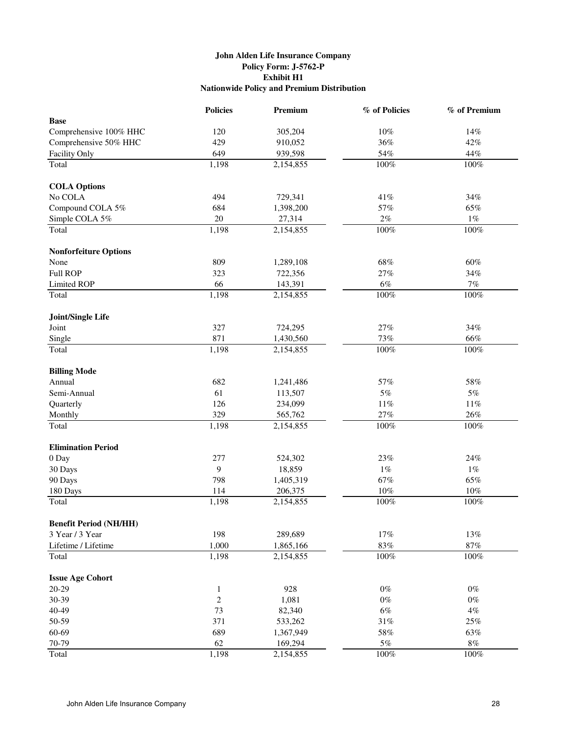# **John Alden Life Insurance Company Policy Form: J-5762-P Exhibit H1 Nationwide Policy and Premium Distribution**

|                               | <b>Policies</b> | Premium   | % of Policies | % of Premium |
|-------------------------------|-----------------|-----------|---------------|--------------|
| <b>Base</b>                   |                 |           |               |              |
| Comprehensive 100% HHC        | 120             | 305,204   | $10\%$        | 14%          |
| Comprehensive 50% HHC         | 429             | 910,052   | 36%           | 42%          |
| Facility Only                 | 649             | 939,598   | 54%           | 44%          |
| Total                         | 1,198           | 2,154,855 | 100%          | 100%         |
| <b>COLA Options</b>           |                 |           |               |              |
| No COLA                       | 494             | 729,341   | $41\%$        | $34\%$       |
| Compound COLA 5%              | 684             | 1,398,200 | 57%           | 65%          |
| Simple COLA 5%                | 20              | 27,314    | $2\%$         | $1\%$        |
| Total                         | 1,198           | 2,154,855 | 100%          | 100%         |
| <b>Nonforfeiture Options</b>  |                 |           |               |              |
| None                          | 809             | 1,289,108 | 68%           | 60%          |
| <b>Full ROP</b>               | 323             | 722,356   | 27%           | 34%          |
| Limited ROP                   | 66              | 143,391   | $6\%$         | $7\%$        |
| Total                         | 1,198           | 2,154,855 | 100%          | $100\%$      |
| Joint/Single Life             |                 |           |               |              |
| Joint                         | 327             | 724,295   | 27%           | 34%          |
| Single                        | 871             | 1,430,560 | 73%           | 66%          |
| Total                         | 1,198           | 2,154,855 | 100%          | 100%         |
| <b>Billing Mode</b>           |                 |           |               |              |
| Annual                        | 682             | 1,241,486 | 57%           | 58%          |
| Semi-Annual                   | 61              | 113,507   | $5\%$         | 5%           |
| Quarterly                     | 126             | 234,099   | $11\%$        | $11\%$       |
| Monthly                       | 329             | 565,762   | $27\%$        | 26%          |
| Total                         | 1,198           | 2,154,855 | $100\%$       | $100\%$      |
|                               |                 |           |               |              |
| <b>Elimination Period</b>     |                 |           |               |              |
| 0 Day                         | 277             | 524,302   | 23%           | 24%          |
| 30 Days                       | 9               | 18,859    | $1\%$         | $1\%$        |
| 90 Days                       | 798             | 1,405,319 | 67%           | 65%          |
| 180 Days                      | 114             | 206,375   | $10\%$        | 10%          |
| Total                         | 1,198           | 2,154,855 | $100\%$       | $100\%$      |
| <b>Benefit Period (NH/HH)</b> |                 |           |               |              |
| 3 Year / 3 Year               | 198             | 289,689   | $17\%$        | 13%          |
| Lifetime / Lifetime           | 1,000           | 1,865,166 | $83\%$        | $87\%$       |
| Total                         | 1,198           | 2,154,855 | 100%          | $100\%$      |
| <b>Issue Age Cohort</b>       |                 |           |               |              |
| 20-29                         | $\mathbf{1}$    | 928       | $0\%$         | $0\%$        |
| 30-39                         | $\sqrt{2}$      | 1,081     | $0\%$         | $0\%$        |
| 40-49                         | 73              | 82,340    | $6\%$         | $4\%$        |
| 50-59                         | 371             | 533,262   | $31\%$        | $25\%$       |
| 60-69                         | 689             | 1,367,949 | $58\%$        | 63%          |
| 70-79                         | 62              | 169,294   | $5\%$         | $8\%$        |
| Total                         | 1,198           | 2,154,855 | 100%          | $100\%$      |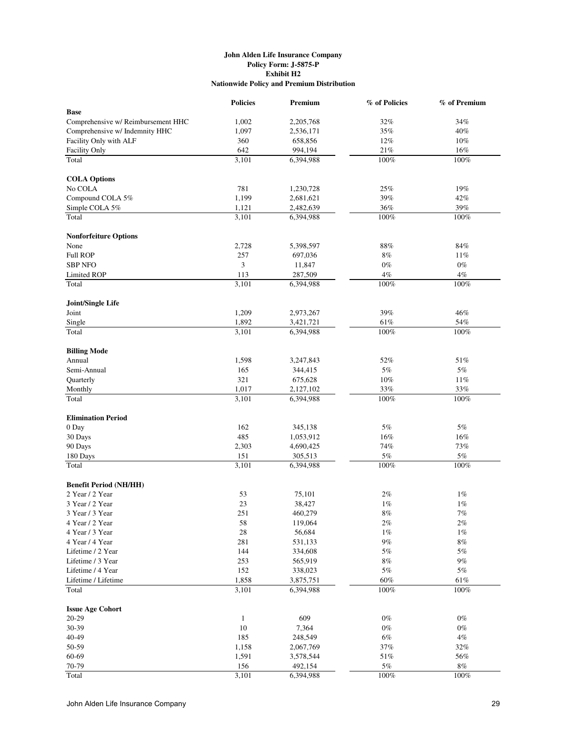#### **John Alden Life Insurance Company Policy Form: J-5875-P Exhibit H2 Nationwide Policy and Premium Distribution**

|                                    | <b>Policies</b> | Premium   | % of Policies | % of Premium |
|------------------------------------|-----------------|-----------|---------------|--------------|
| <b>Base</b>                        |                 |           |               |              |
| Comprehensive w/ Reimbursement HHC | 1,002           | 2,205,768 | 32%           | 34%          |
| Comprehensive w/ Indemnity HHC     | 1,097           | 2,536,171 | 35%           | 40%          |
| Facility Only with ALF             | 360             | 658,856   | 12%           | 10%          |
| <b>Facility Only</b>               | 642             | 994,194   | 21%           | 16%          |
| Total                              | 3,101           | 6,394,988 | $100\%$       | $100\%$      |
| <b>COLA Options</b>                |                 |           |               |              |
| No COLA                            | 781             | 1,230,728 | 25%           | 19%          |
| Compound COLA 5%                   | 1,199           | 2,681,621 | 39%           | 42%          |
| Simple COLA 5%                     | 1,121           | 2,482,639 | 36%           | 39%          |
| Total                              | 3,101           | 6,394,988 | $100\%$       | 100%         |
|                                    |                 |           |               |              |
| <b>Nonforfeiture Options</b>       |                 |           |               |              |
| None                               | 2,728           | 5,398,597 | 88%           | 84%          |
| <b>Full ROP</b>                    | 257             | 697,036   | 8%            | 11%          |
| <b>SBP NFO</b>                     | 3               | 11,847    | $0\%$         | $0\%$        |
| Limited ROP                        | 113             | 287,509   | $4\%$         | 4%           |
| Total                              | 3,101           | 6,394,988 | 100%          | 100%         |
| Joint/Single Life                  |                 |           |               |              |
| Joint                              | 1,209           | 2,973,267 | 39%           | 46%          |
| Single                             | 1,892           | 3,421,721 | 61%           | 54%          |
| Total                              | 3,101           | 6,394,988 | 100%          | 100%         |
| <b>Billing Mode</b>                |                 |           |               |              |
| Annual                             | 1,598           | 3,247,843 | 52%           | 51%          |
| Semi-Annual                        | 165             | 344,415   | 5%            | 5%           |
| Quarterly                          | 321             | 675,628   | 10%           | 11%          |
| Monthly                            | 1,017           | 2,127,102 | 33%           | 33%          |
| Total                              | 3,101           | 6,394,988 | 100%          | 100%         |
| <b>Elimination Period</b>          |                 |           |               |              |
| 0 Day                              | 162             | 345,138   | 5%            | 5%           |
| 30 Days                            | 485             | 1,053,912 | 16%           | 16%          |
| 90 Days                            | 2,303           | 4,690,425 | 74%           | 73%          |
| 180 Days                           | 151             | 305,513   | $5\%$         | $5\%$        |
| Total                              | 3,101           | 6,394,988 | 100%          | 100%         |
|                                    |                 |           |               |              |
| <b>Benefit Period (NH/HH)</b>      |                 |           |               |              |
| 2 Year / 2 Year                    | 53              | 75,101    | 2%            | $1\%$        |
| 3 Year / 2 Year                    | 23              | 38,427    | 1%            | $1\%$        |
| 3 Year / 3 Year                    | 251             | 460,279   | $8\%$         | $7\%$        |
| 4 Year / 2 Year                    | 58              | 119,064   | 2%            | $2\%$        |
| 4 Year / 3 Year                    | 28              | 56,684    | $1\%$         | $1\%$        |
| 4 Year / 4 Year                    | 281             | 531,133   | $9\%$         | $8\%$        |
| Lifetime / 2 Year                  | 144             | 334,608   | $5\%$         | $5\%$        |
| Lifetime / 3 Year                  | 253             | 565,919   | $8\%$         | $9\%$        |
| Lifetime / 4 Year                  | 152             | 338,023   | $5\%$         | $5\%$        |
| Lifetime / Lifetime                | 1,858           | 3,875,751 | 60%           | 61%          |
| Total                              | 3,101           | 6,394,988 | $100\%$       | 100%         |
| <b>Issue Age Cohort</b>            |                 |           |               |              |
| 20-29                              | $\mathbf{1}$    | 609       | $0\%$         | $0\%$        |
| 30-39                              | 10              | 7,364     | $0\%$         | $0\%$        |
| 40-49                              | 185             | 248,549   | $6\%$         | $4\%$        |
| 50-59                              | 1,158           | 2,067,769 | $37\%$        | $32\%$       |
| 60-69                              | 1,591           | 3,578,544 | 51%           | 56%          |
| 70-79                              | 156             | 492,154   | 5%            | $8\%$        |
| Total                              | 3,101           | 6,394,988 | 100%          | 100%         |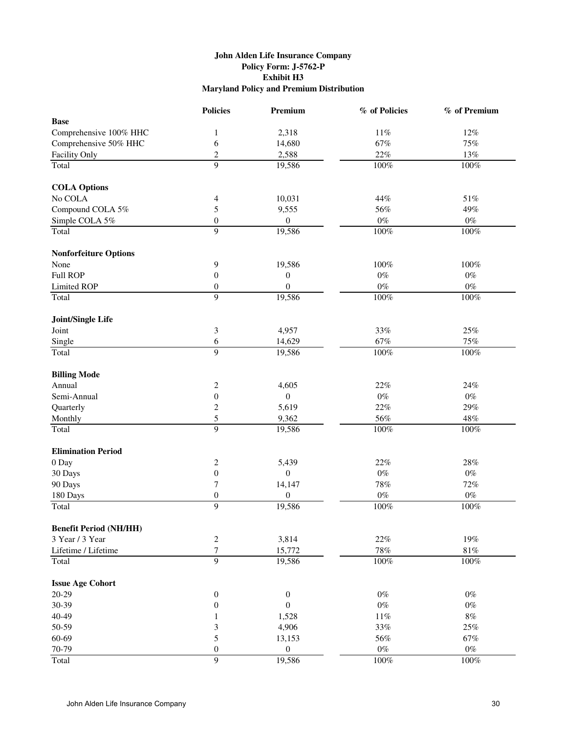# **John Alden Life Insurance Company Policy Form: J-5762-P Exhibit H3 Maryland Policy and Premium Distribution**

|                               | <b>Policies</b>                  | Premium          | % of Policies | % of Premium |
|-------------------------------|----------------------------------|------------------|---------------|--------------|
| <b>Base</b>                   |                                  |                  |               |              |
| Comprehensive 100% HHC        | $\mathbf{1}$                     | 2,318            | $11\%$        | 12%          |
| Comprehensive 50% HHC         | 6                                | 14,680           | 67%           | 75%          |
| Facility Only                 | $\overline{c}$                   | 2,588            | 22%           | 13%          |
| Total                         | 9                                | 19,586           | 100%          | 100%         |
|                               |                                  |                  |               |              |
| <b>COLA Options</b>           |                                  |                  |               |              |
| No COLA                       | 4                                | 10,031           | 44%           | 51%          |
| Compound COLA 5%              | 5                                | 9,555            | 56%           | 49%          |
| Simple COLA 5%                | $\boldsymbol{0}$                 | $\boldsymbol{0}$ | $0\%$         | $0\%$        |
| Total                         | 9                                | 19,586           | $100\%$       | 100%         |
| <b>Nonforfeiture Options</b>  |                                  |                  |               |              |
| None                          | 9                                | 19,586           | 100%          | $100\%$      |
| <b>Full ROP</b>               | $\boldsymbol{0}$                 | $\boldsymbol{0}$ | $0\%$         | $0\%$        |
| <b>Limited ROP</b>            | $\boldsymbol{0}$                 | $\boldsymbol{0}$ | $0\%$         | $0\%$        |
| Total                         | 9                                | 19,586           | $100\%$       | $100\%$      |
|                               |                                  |                  |               |              |
| Joint/Single Life<br>Joint    | 3                                | 4,957            | 33%           | $25\%$       |
| Single                        | 6                                | 14,629           | 67%           | 75%          |
| Total                         | 9                                | 19,586           | $100\%$       | $100\%$      |
|                               |                                  |                  |               |              |
| <b>Billing Mode</b>           |                                  |                  |               |              |
| Annual                        | $\overline{c}$                   | 4,605            | 22%           | 24%          |
| Semi-Annual                   | $\boldsymbol{0}$                 | $\overline{0}$   | $0\%$         | $0\%$        |
| Quarterly                     | $\overline{c}$                   | 5,619            | 22%           | 29%          |
| Monthly                       | 5                                | 9,362            | 56%           | 48%          |
| Total                         | 9                                | 19,586           | $100\%$       | 100%         |
| <b>Elimination Period</b>     |                                  |                  |               |              |
| 0 Day                         | 2                                | 5,439            | 22%           | 28%          |
| 30 Days                       | $\boldsymbol{0}$                 | $\boldsymbol{0}$ | $0\%$         | $0\%$        |
| 90 Days                       | 7                                | 14,147           | 78%           | 72%          |
| 180 Days                      | $\boldsymbol{0}$                 | $\boldsymbol{0}$ | $0\%$         | $0\%$        |
| Total                         | 9                                | 19,586           | 100%          | $100\%$      |
|                               |                                  |                  |               |              |
| <b>Benefit Period (NH/HH)</b> |                                  |                  |               |              |
| 3 Year / 3 Year               | $\boldsymbol{2}$                 | 3,814            | 22%           | 19%          |
| Lifetime / Lifetime           | $\overline{7}$<br>$\overline{9}$ | 15,772           | 78%           | $81\%$       |
| Total                         |                                  | 19,586           | $100\%$       | $100\%$      |
| <b>Issue Age Cohort</b>       |                                  |                  |               |              |
| $20-29$                       | $\boldsymbol{0}$                 | $\boldsymbol{0}$ | $0\%$         | $0\%$        |
| 30-39                         | $\boldsymbol{0}$                 | $\boldsymbol{0}$ | $0\%$         | $0\%$        |
| 40-49                         | 1                                | 1,528            | $11\%$        | $8\%$        |
| 50-59                         | $\mathfrak{Z}$                   | 4,906            | 33%           | 25%          |
| 60-69                         | 5                                | 13,153           | 56%           | 67%          |
| 70-79                         | $\boldsymbol{0}$                 | $\boldsymbol{0}$ | $0\%$         | $0\%$        |
| Total                         | $\overline{9}$                   | 19,586           | 100%          | 100%         |